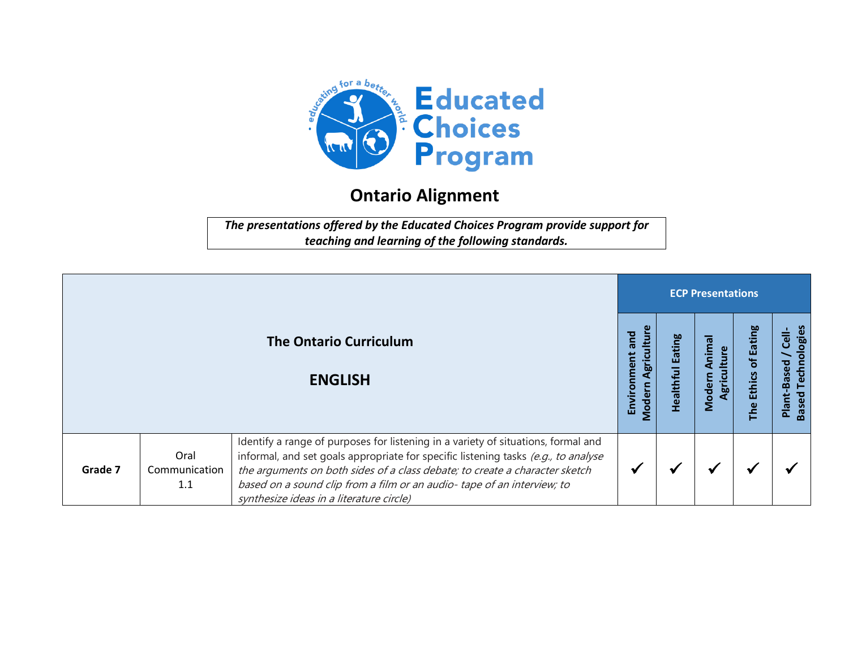

## **Ontario Alignment**

*The presentations offered by the Educated Choices Program provide support for teaching and learning of the following standards.*

|         |                              |                                                                                                                                                                                                                                                                                                                                                                              | <b>ECP Presentations</b>                              |                     |                                       |                                   |                                                                   |  |  |
|---------|------------------------------|------------------------------------------------------------------------------------------------------------------------------------------------------------------------------------------------------------------------------------------------------------------------------------------------------------------------------------------------------------------------------|-------------------------------------------------------|---------------------|---------------------------------------|-----------------------------------|-------------------------------------------------------------------|--|--|
|         |                              | <b>The Ontario Curriculum</b><br><b>ENGLISH</b>                                                                                                                                                                                                                                                                                                                              | ultur<br>and<br>ູ່<br>ອູກ່ວ<br>Enviro<br><b>Moder</b> | Eating<br>Healthful | σ<br>Anima<br>ulture<br>gric<br>Moder | of Eating<br><b>Ethics</b><br>The | ologies<br>$\overline{3}$<br>Techn<br>Plant-Based<br><b>Based</b> |  |  |
| Grade 7 | Oral<br>Communication<br>1.1 | Identify a range of purposes for listening in a variety of situations, formal and<br>informal, and set goals appropriate for specific listening tasks (e.g., to analyse<br>the arguments on both sides of a class debate; to create a character sketch<br>based on a sound clip from a film or an audio-tape of an interview; to<br>synthesize ideas in a literature circle) |                                                       |                     |                                       |                                   |                                                                   |  |  |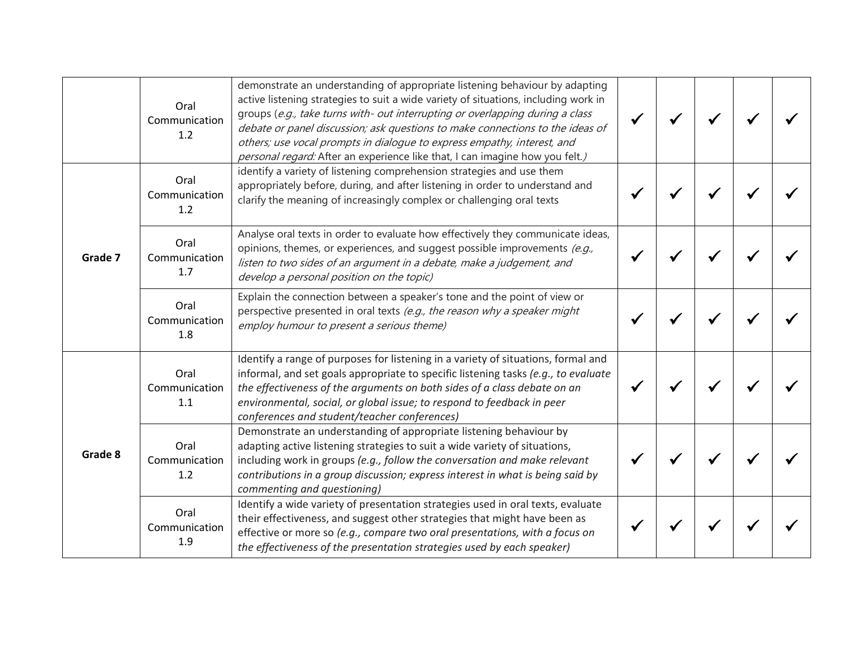|         | Oral<br>Communication<br>1.2 | demonstrate an understanding of appropriate listening behaviour by adapting<br>active listening strategies to suit a wide variety of situations, including work in<br>groups (e.g., take turns with- out interrupting or overlapping during a class<br>debate or panel discussion; ask questions to make connections to the ideas of<br>others; use vocal prompts in dialogue to express empathy, interest, and<br>personal regard: After an experience like that, I can imagine how you felt.) |  |  |  |
|---------|------------------------------|-------------------------------------------------------------------------------------------------------------------------------------------------------------------------------------------------------------------------------------------------------------------------------------------------------------------------------------------------------------------------------------------------------------------------------------------------------------------------------------------------|--|--|--|
|         | Oral<br>Communication<br>1.2 | identify a variety of listening comprehension strategies and use them<br>appropriately before, during, and after listening in order to understand and<br>clarify the meaning of increasingly complex or challenging oral texts                                                                                                                                                                                                                                                                  |  |  |  |
| Grade 7 | Oral<br>Communication<br>1.7 | Analyse oral texts in order to evaluate how effectively they communicate ideas,<br>opinions, themes, or experiences, and suggest possible improvements (e.g.,<br>listen to two sides of an argument in a debate, make a judgement, and<br>develop a personal position on the topic)                                                                                                                                                                                                             |  |  |  |
|         | Oral<br>Communication<br>1.8 | Explain the connection between a speaker's tone and the point of view or<br>perspective presented in oral texts (e.g., the reason why a speaker might<br>employ humour to present a serious theme)                                                                                                                                                                                                                                                                                              |  |  |  |
| Grade 8 | Oral<br>Communication<br>1.1 | Identify a range of purposes for listening in a variety of situations, formal and<br>informal, and set goals appropriate to specific listening tasks (e.g., to evaluate<br>the effectiveness of the arguments on both sides of a class debate on an<br>environmental, social, or global issue; to respond to feedback in peer<br>conferences and student/teacher conferences)                                                                                                                   |  |  |  |
|         | Oral<br>Communication<br>1.2 | Demonstrate an understanding of appropriate listening behaviour by<br>adapting active listening strategies to suit a wide variety of situations,<br>including work in groups (e.g., follow the conversation and make relevant<br>contributions in a group discussion; express interest in what is being said by<br>commenting and questioning)                                                                                                                                                  |  |  |  |
|         | Oral<br>Communication<br>1.9 | Identify a wide variety of presentation strategies used in oral texts, evaluate<br>their effectiveness, and suggest other strategies that might have been as<br>effective or more so (e.g., compare two oral presentations, with a focus on<br>the effectiveness of the presentation strategies used by each speaker)                                                                                                                                                                           |  |  |  |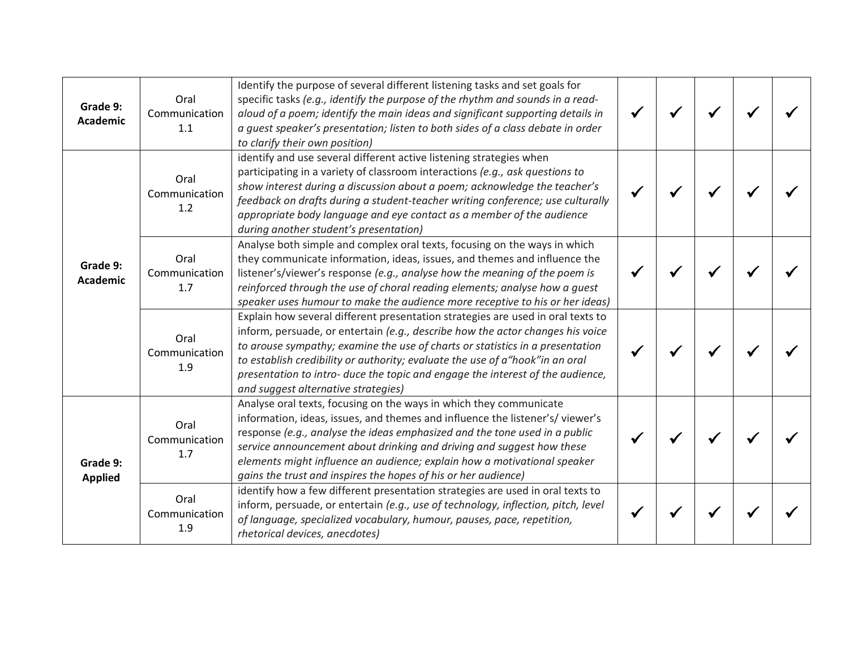| Grade 9:<br><b>Academic</b>                        | Oral<br>Communication<br>1.1 | Identify the purpose of several different listening tasks and set goals for<br>specific tasks (e.g., identify the purpose of the rhythm and sounds in a read-<br>aloud of a poem; identify the main ideas and significant supporting details in<br>a quest speaker's presentation; listen to both sides of a class debate in order<br>to clarify their own position)                                                                                          |  |  |  |
|----------------------------------------------------|------------------------------|---------------------------------------------------------------------------------------------------------------------------------------------------------------------------------------------------------------------------------------------------------------------------------------------------------------------------------------------------------------------------------------------------------------------------------------------------------------|--|--|--|
| Grade 9:<br>Academic<br>Grade 9:<br><b>Applied</b> | Oral<br>Communication<br>1.2 | identify and use several different active listening strategies when<br>participating in a variety of classroom interactions (e.g., ask questions to<br>show interest during a discussion about a poem; acknowledge the teacher's<br>feedback on drafts during a student-teacher writing conference; use culturally<br>appropriate body language and eye contact as a member of the audience<br>during another student's presentation)                         |  |  |  |
|                                                    | Oral<br>Communication<br>1.7 | Analyse both simple and complex oral texts, focusing on the ways in which<br>they communicate information, ideas, issues, and themes and influence the<br>listener's/viewer's response (e.g., analyse how the meaning of the poem is<br>reinforced through the use of choral reading elements; analyse how a guest<br>speaker uses humour to make the audience more receptive to his or her ideas)                                                            |  |  |  |
|                                                    | Oral<br>Communication<br>1.9 | Explain how several different presentation strategies are used in oral texts to<br>inform, persuade, or entertain (e.g., describe how the actor changes his voice<br>to arouse sympathy; examine the use of charts or statistics in a presentation<br>to establish credibility or authority; evaluate the use of a "hook" in an oral<br>presentation to intro- duce the topic and engage the interest of the audience,<br>and suggest alternative strategies) |  |  |  |
|                                                    | Oral<br>Communication<br>1.7 | Analyse oral texts, focusing on the ways in which they communicate<br>information, ideas, issues, and themes and influence the listener's/viewer's<br>response (e.g., analyse the ideas emphasized and the tone used in a public<br>service announcement about drinking and driving and suggest how these<br>elements might influence an audience; explain how a motivational speaker<br>gains the trust and inspires the hopes of his or her audience)       |  |  |  |
|                                                    | Oral<br>Communication<br>1.9 | identify how a few different presentation strategies are used in oral texts to<br>inform, persuade, or entertain (e.g., use of technology, inflection, pitch, level<br>of language, specialized vocabulary, humour, pauses, pace, repetition,<br>rhetorical devices, anecdotes)                                                                                                                                                                               |  |  |  |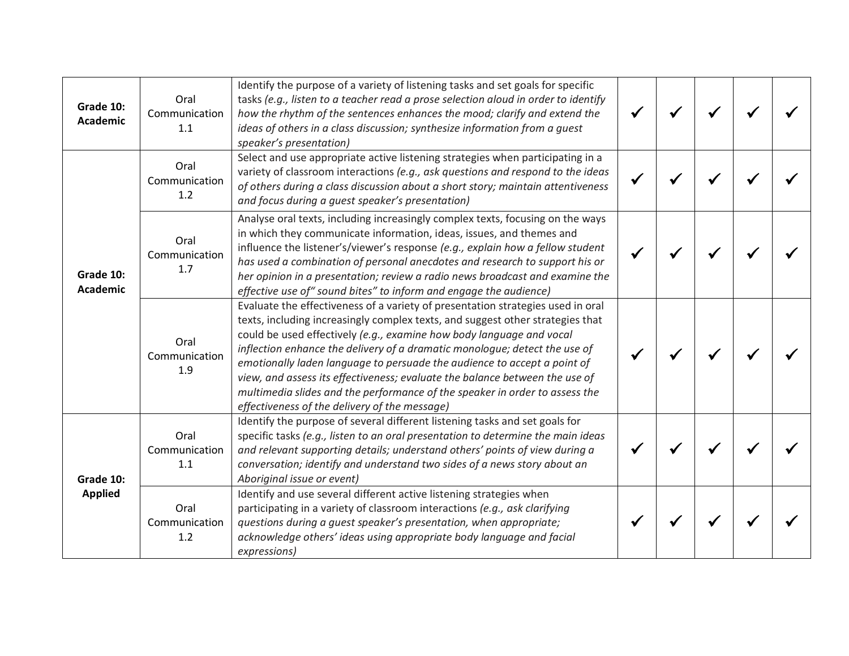| Grade 10:<br><b>Academic</b>                                | Oral<br>Communication<br>1.1 | Identify the purpose of a variety of listening tasks and set goals for specific<br>tasks (e.g., listen to a teacher read a prose selection aloud in order to identify<br>how the rhythm of the sentences enhances the mood; clarify and extend the<br>ideas of others in a class discussion; synthesize information from a quest<br>speaker's presentation)                                                                                                                                                                                                                                                        |  |  |  |
|-------------------------------------------------------------|------------------------------|--------------------------------------------------------------------------------------------------------------------------------------------------------------------------------------------------------------------------------------------------------------------------------------------------------------------------------------------------------------------------------------------------------------------------------------------------------------------------------------------------------------------------------------------------------------------------------------------------------------------|--|--|--|
| Grade 10:<br><b>Academic</b><br>Grade 10:<br><b>Applied</b> | Oral<br>Communication<br>1.2 | Select and use appropriate active listening strategies when participating in a<br>variety of classroom interactions (e.g., ask questions and respond to the ideas<br>of others during a class discussion about a short story; maintain attentiveness<br>and focus during a quest speaker's presentation)                                                                                                                                                                                                                                                                                                           |  |  |  |
|                                                             | Oral<br>Communication<br>1.7 | Analyse oral texts, including increasingly complex texts, focusing on the ways<br>in which they communicate information, ideas, issues, and themes and<br>influence the listener's/viewer's response (e.g., explain how a fellow student<br>has used a combination of personal anecdotes and research to support his or<br>her opinion in a presentation; review a radio news broadcast and examine the<br>effective use of" sound bites" to inform and engage the audience)                                                                                                                                       |  |  |  |
|                                                             | Oral<br>Communication<br>1.9 | Evaluate the effectiveness of a variety of presentation strategies used in oral<br>texts, including increasingly complex texts, and suggest other strategies that<br>could be used effectively (e.g., examine how body language and vocal<br>inflection enhance the delivery of a dramatic monologue; detect the use of<br>emotionally laden language to persuade the audience to accept a point of<br>view, and assess its effectiveness; evaluate the balance between the use of<br>multimedia slides and the performance of the speaker in order to assess the<br>effectiveness of the delivery of the message) |  |  |  |
|                                                             | Oral<br>Communication<br>1.1 | Identify the purpose of several different listening tasks and set goals for<br>specific tasks (e.g., listen to an oral presentation to determine the main ideas<br>and relevant supporting details; understand others' points of view during a<br>conversation; identify and understand two sides of a news story about an<br>Aboriginal issue or event)                                                                                                                                                                                                                                                           |  |  |  |
|                                                             | Oral<br>Communication<br>1.2 | Identify and use several different active listening strategies when<br>participating in a variety of classroom interactions (e.g., ask clarifying<br>questions during a guest speaker's presentation, when appropriate;<br>acknowledge others' ideas using appropriate body language and facial<br>expressions)                                                                                                                                                                                                                                                                                                    |  |  |  |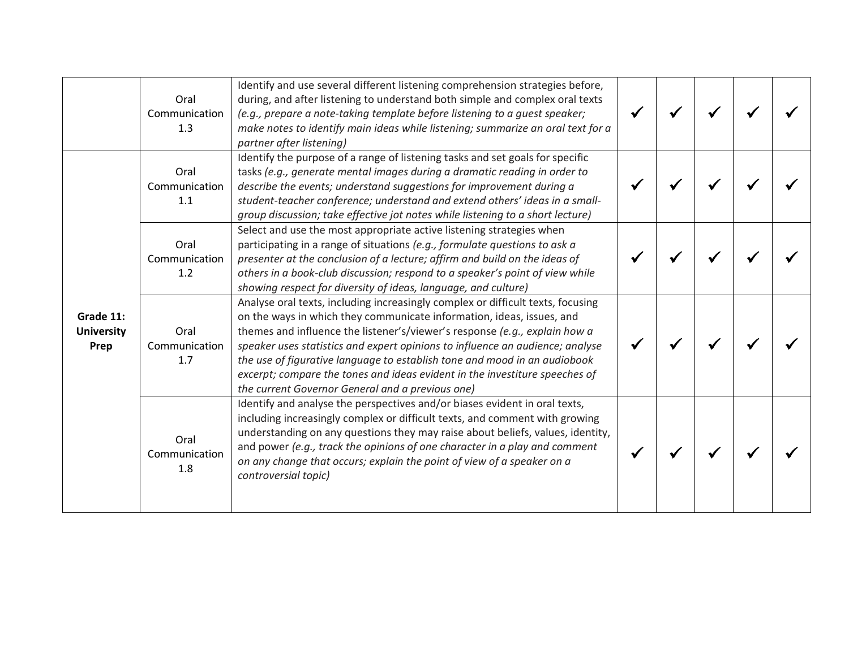|                                        | Oral<br>Communication<br>1.3 | Identify and use several different listening comprehension strategies before,<br>during, and after listening to understand both simple and complex oral texts<br>(e.g., prepare a note-taking template before listening to a guest speaker;<br>make notes to identify main ideas while listening; summarize an oral text for a<br>partner after listening)                                                                                                                                                                              |  |  |  |
|----------------------------------------|------------------------------|-----------------------------------------------------------------------------------------------------------------------------------------------------------------------------------------------------------------------------------------------------------------------------------------------------------------------------------------------------------------------------------------------------------------------------------------------------------------------------------------------------------------------------------------|--|--|--|
|                                        | Oral<br>Communication<br>1.1 | Identify the purpose of a range of listening tasks and set goals for specific<br>tasks (e.g., generate mental images during a dramatic reading in order to<br>describe the events; understand suggestions for improvement during a<br>student-teacher conference; understand and extend others' ideas in a small-<br>group discussion; take effective jot notes while listening to a short lecture)                                                                                                                                     |  |  |  |
| Grade 11:<br><b>University</b><br>Prep | Oral<br>Communication<br>1.2 | Select and use the most appropriate active listening strategies when<br>participating in a range of situations (e.g., formulate questions to ask a<br>presenter at the conclusion of a lecture; affirm and build on the ideas of<br>others in a book-club discussion; respond to a speaker's point of view while<br>showing respect for diversity of ideas, language, and culture)                                                                                                                                                      |  |  |  |
|                                        | Oral<br>Communication<br>1.7 | Analyse oral texts, including increasingly complex or difficult texts, focusing<br>on the ways in which they communicate information, ideas, issues, and<br>themes and influence the listener's/viewer's response (e.g., explain how a<br>speaker uses statistics and expert opinions to influence an audience; analyse<br>the use of figurative language to establish tone and mood in an audiobook<br>excerpt; compare the tones and ideas evident in the investiture speeches of<br>the current Governor General and a previous one) |  |  |  |
|                                        | Oral<br>Communication<br>1.8 | Identify and analyse the perspectives and/or biases evident in oral texts,<br>including increasingly complex or difficult texts, and comment with growing<br>understanding on any questions they may raise about beliefs, values, identity,<br>and power (e.g., track the opinions of one character in a play and comment<br>on any change that occurs; explain the point of view of a speaker on a<br>controversial topic)                                                                                                             |  |  |  |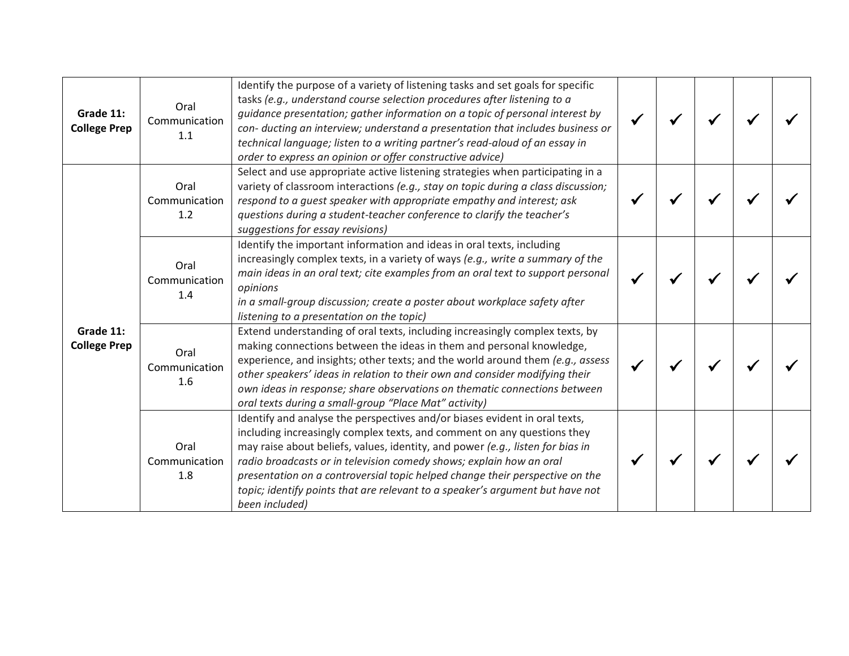| Grade 11:<br><b>College Prep</b> | Oral<br>Communication<br>1.1 | Identify the purpose of a variety of listening tasks and set goals for specific<br>tasks (e.g., understand course selection procedures after listening to a<br>guidance presentation; gather information on a topic of personal interest by<br>con- ducting an interview; understand a presentation that includes business or<br>technical language; listen to a writing partner's read-aloud of an essay in<br>order to express an opinion or offer constructive advice)                         |  |  |  |
|----------------------------------|------------------------------|---------------------------------------------------------------------------------------------------------------------------------------------------------------------------------------------------------------------------------------------------------------------------------------------------------------------------------------------------------------------------------------------------------------------------------------------------------------------------------------------------|--|--|--|
| Grade 11:<br><b>College Prep</b> | Oral<br>Communication<br>1.2 | Select and use appropriate active listening strategies when participating in a<br>variety of classroom interactions (e.g., stay on topic during a class discussion;<br>respond to a quest speaker with appropriate empathy and interest; ask<br>questions during a student-teacher conference to clarify the teacher's<br>suggestions for essay revisions)                                                                                                                                        |  |  |  |
|                                  | Oral<br>Communication<br>1.4 | Identify the important information and ideas in oral texts, including<br>increasingly complex texts, in a variety of ways (e.g., write a summary of the<br>main ideas in an oral text; cite examples from an oral text to support personal<br>opinions<br>in a small-group discussion; create a poster about workplace safety after<br>listening to a presentation on the topic)                                                                                                                  |  |  |  |
|                                  | Oral<br>Communication<br>1.6 | Extend understanding of oral texts, including increasingly complex texts, by<br>making connections between the ideas in them and personal knowledge,<br>experience, and insights; other texts; and the world around them (e.g., assess<br>other speakers' ideas in relation to their own and consider modifying their<br>own ideas in response; share observations on thematic connections between<br>oral texts during a small-group "Place Mat" activity)                                       |  |  |  |
|                                  | Oral<br>Communication<br>1.8 | Identify and analyse the perspectives and/or biases evident in oral texts,<br>including increasingly complex texts, and comment on any questions they<br>may raise about beliefs, values, identity, and power (e.g., listen for bias in<br>radio broadcasts or in television comedy shows; explain how an oral<br>presentation on a controversial topic helped change their perspective on the<br>topic; identify points that are relevant to a speaker's argument but have not<br>been included) |  |  |  |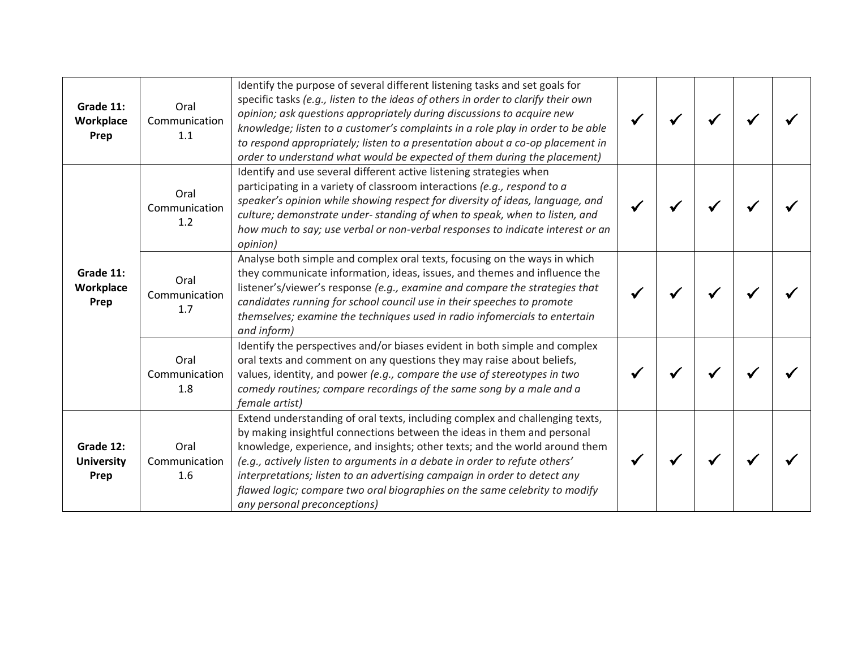| Grade 11:<br>Workplace<br>Prep         | Oral<br>Communication<br>1.1 | Identify the purpose of several different listening tasks and set goals for<br>specific tasks (e.g., listen to the ideas of others in order to clarify their own<br>opinion; ask questions appropriately during discussions to acquire new<br>knowledge; listen to a customer's complaints in a role play in order to be able<br>to respond appropriately; listen to a presentation about a co-op placement in<br>order to understand what would be expected of them during the placement)                      |  |  |  |
|----------------------------------------|------------------------------|-----------------------------------------------------------------------------------------------------------------------------------------------------------------------------------------------------------------------------------------------------------------------------------------------------------------------------------------------------------------------------------------------------------------------------------------------------------------------------------------------------------------|--|--|--|
|                                        | Oral<br>Communication<br>1.2 | Identify and use several different active listening strategies when<br>participating in a variety of classroom interactions (e.g., respond to a<br>speaker's opinion while showing respect for diversity of ideas, language, and<br>culture; demonstrate under-standing of when to speak, when to listen, and<br>how much to say; use verbal or non-verbal responses to indicate interest or an<br>opinion)                                                                                                     |  |  |  |
| Grade 11:<br>Workplace<br>Prep         | Oral<br>Communication<br>1.7 | Analyse both simple and complex oral texts, focusing on the ways in which<br>they communicate information, ideas, issues, and themes and influence the<br>listener's/viewer's response (e.g., examine and compare the strategies that<br>candidates running for school council use in their speeches to promote<br>themselves; examine the techniques used in radio infomercials to entertain<br>and inform)                                                                                                    |  |  |  |
|                                        | Oral<br>Communication<br>1.8 | Identify the perspectives and/or biases evident in both simple and complex<br>oral texts and comment on any questions they may raise about beliefs,<br>values, identity, and power (e.g., compare the use of stereotypes in two<br>comedy routines; compare recordings of the same song by a male and a<br>female artist)                                                                                                                                                                                       |  |  |  |
| Grade 12:<br><b>University</b><br>Prep | Oral<br>Communication<br>1.6 | Extend understanding of oral texts, including complex and challenging texts,<br>by making insightful connections between the ideas in them and personal<br>knowledge, experience, and insights; other texts; and the world around them<br>(e.g., actively listen to arguments in a debate in order to refute others'<br>interpretations; listen to an advertising campaign in order to detect any<br>flawed logic; compare two oral biographies on the same celebrity to modify<br>any personal preconceptions) |  |  |  |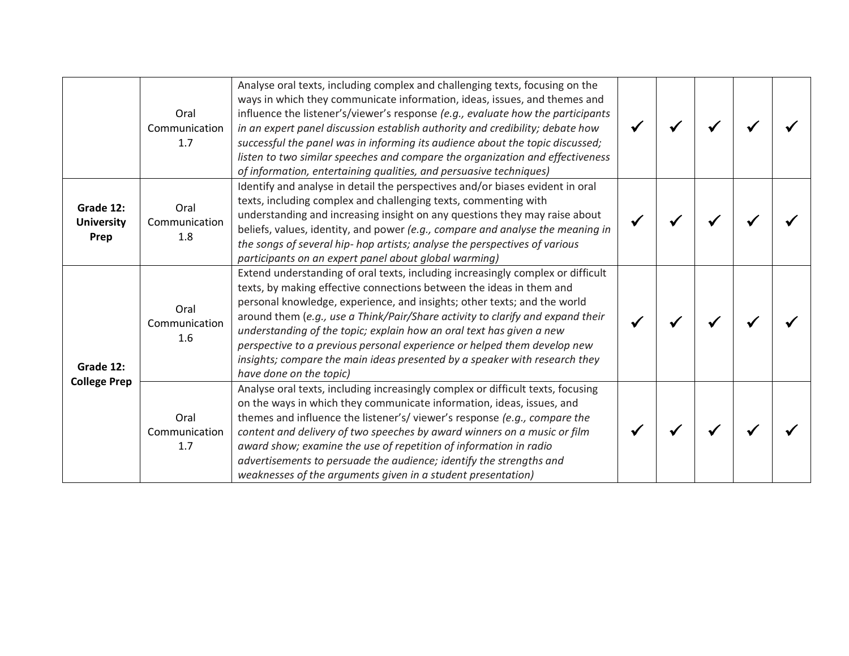|                                        | Oral<br>Communication<br>1.7 | Analyse oral texts, including complex and challenging texts, focusing on the<br>ways in which they communicate information, ideas, issues, and themes and<br>influence the listener's/viewer's response (e.g., evaluate how the participants<br>in an expert panel discussion establish authority and credibility; debate how<br>successful the panel was in informing its audience about the topic discussed;<br>listen to two similar speeches and compare the organization and effectiveness                                                                                    |  |  |  |
|----------------------------------------|------------------------------|------------------------------------------------------------------------------------------------------------------------------------------------------------------------------------------------------------------------------------------------------------------------------------------------------------------------------------------------------------------------------------------------------------------------------------------------------------------------------------------------------------------------------------------------------------------------------------|--|--|--|
| Grade 12:<br><b>University</b><br>Prep | Oral<br>Communication<br>1.8 | of information, entertaining qualities, and persuasive techniques)<br>Identify and analyse in detail the perspectives and/or biases evident in oral<br>texts, including complex and challenging texts, commenting with<br>understanding and increasing insight on any questions they may raise about<br>beliefs, values, identity, and power (e.g., compare and analyse the meaning in<br>the songs of several hip- hop artists; analyse the perspectives of various<br>participants on an expert panel about global warming)                                                      |  |  |  |
| Grade 12:<br><b>College Prep</b>       | Oral<br>Communication<br>1.6 | Extend understanding of oral texts, including increasingly complex or difficult<br>texts, by making effective connections between the ideas in them and<br>personal knowledge, experience, and insights; other texts; and the world<br>around them (e.g., use a Think/Pair/Share activity to clarify and expand their<br>understanding of the topic; explain how an oral text has given a new<br>perspective to a previous personal experience or helped them develop new<br>insights; compare the main ideas presented by a speaker with research they<br>have done on the topic) |  |  |  |
|                                        | Oral<br>Communication<br>1.7 | Analyse oral texts, including increasingly complex or difficult texts, focusing<br>on the ways in which they communicate information, ideas, issues, and<br>themes and influence the listener's/viewer's response (e.g., compare the<br>content and delivery of two speeches by award winners on a music or film<br>award show; examine the use of repetition of information in radio<br>advertisements to persuade the audience; identify the strengths and<br>weaknesses of the arguments given in a student presentation)                                                       |  |  |  |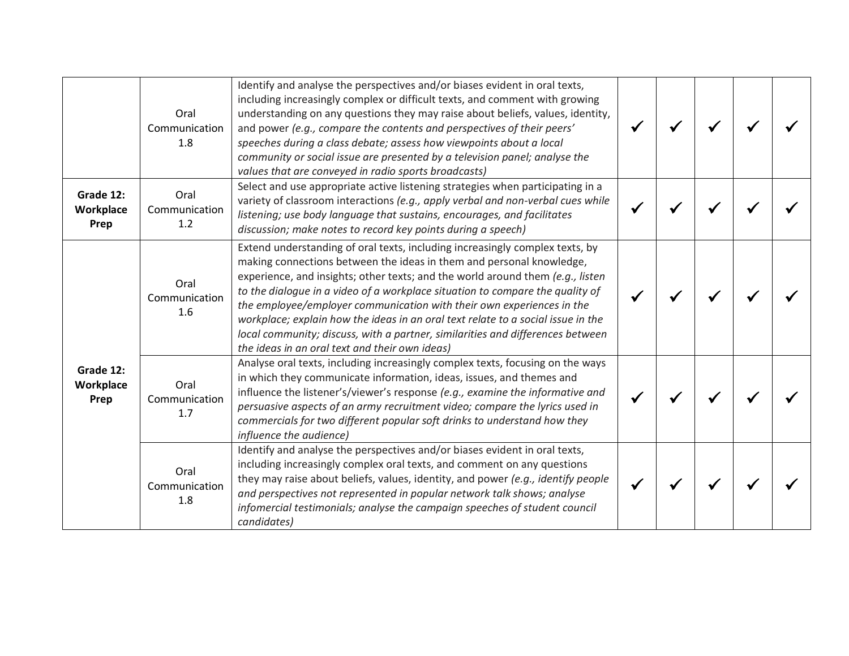|                                | Oral<br>Communication<br>1.8 | Identify and analyse the perspectives and/or biases evident in oral texts,<br>including increasingly complex or difficult texts, and comment with growing<br>understanding on any questions they may raise about beliefs, values, identity,<br>and power (e.g., compare the contents and perspectives of their peers'<br>speeches during a class debate; assess how viewpoints about a local<br>community or social issue are presented by a television panel; analyse the<br>values that are conveyed in radio sports broadcasts)                                                                                       |  |  |  |
|--------------------------------|------------------------------|--------------------------------------------------------------------------------------------------------------------------------------------------------------------------------------------------------------------------------------------------------------------------------------------------------------------------------------------------------------------------------------------------------------------------------------------------------------------------------------------------------------------------------------------------------------------------------------------------------------------------|--|--|--|
| Grade 12:<br>Workplace<br>Prep | Oral<br>Communication<br>1.2 | Select and use appropriate active listening strategies when participating in a<br>variety of classroom interactions (e.g., apply verbal and non-verbal cues while<br>listening; use body language that sustains, encourages, and facilitates<br>discussion; make notes to record key points during a speech)                                                                                                                                                                                                                                                                                                             |  |  |  |
| Grade 12:<br>Workplace<br>Prep | Oral<br>Communication<br>1.6 | Extend understanding of oral texts, including increasingly complex texts, by<br>making connections between the ideas in them and personal knowledge,<br>experience, and insights; other texts; and the world around them (e.g., listen<br>to the dialogue in a video of a workplace situation to compare the quality of<br>the employee/employer communication with their own experiences in the<br>workplace; explain how the ideas in an oral text relate to a social issue in the<br>local community; discuss, with a partner, similarities and differences between<br>the ideas in an oral text and their own ideas) |  |  |  |
|                                | Oral<br>Communication<br>1.7 | Analyse oral texts, including increasingly complex texts, focusing on the ways<br>in which they communicate information, ideas, issues, and themes and<br>influence the listener's/viewer's response (e.g., examine the informative and<br>persuasive aspects of an army recruitment video; compare the lyrics used in<br>commercials for two different popular soft drinks to understand how they<br>influence the audience)                                                                                                                                                                                            |  |  |  |
|                                | Oral<br>Communication<br>1.8 | Identify and analyse the perspectives and/or biases evident in oral texts,<br>including increasingly complex oral texts, and comment on any questions<br>they may raise about beliefs, values, identity, and power (e.g., identify people<br>and perspectives not represented in popular network talk shows; analyse<br>infomercial testimonials; analyse the campaign speeches of student council<br>candidates)                                                                                                                                                                                                        |  |  |  |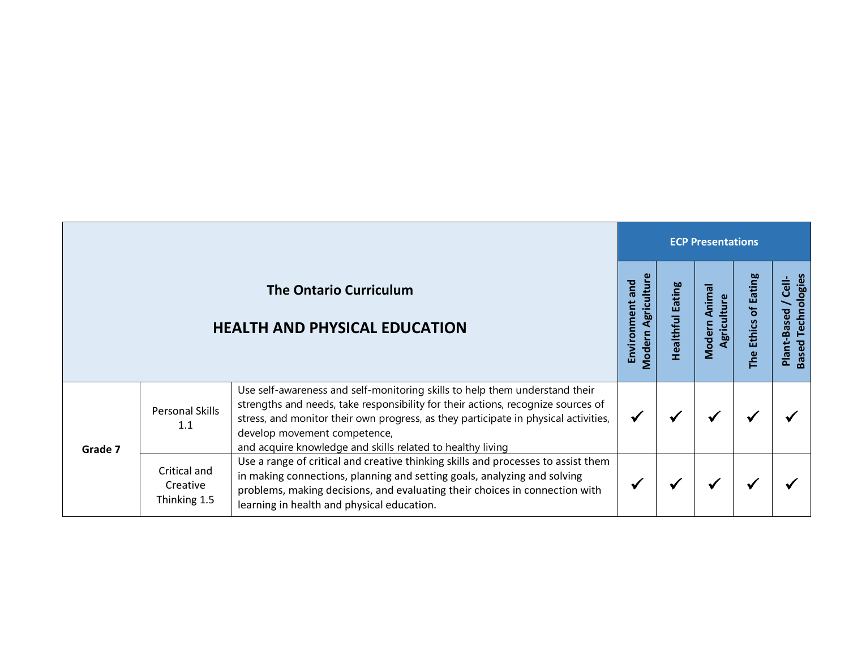|         |                                          |                                                                                                                                                                                                                                                                                                                                                      | <b>ECP Presentations</b>                |                   |                                |                                            |                                                  |  |  |  |
|---------|------------------------------------------|------------------------------------------------------------------------------------------------------------------------------------------------------------------------------------------------------------------------------------------------------------------------------------------------------------------------------------------------------|-----------------------------------------|-------------------|--------------------------------|--------------------------------------------|--------------------------------------------------|--|--|--|
|         |                                          | <b>The Ontario Curriculum</b><br><b>HEALTH AND PHYSICAL EDUCATION</b>                                                                                                                                                                                                                                                                                | Modern Agricultur<br>pue<br>Environment | ating<br>ealthful | Anima<br>Agriculture<br>Modern | <b>Eating</b><br>đ<br><b>Ethics</b><br>The | sed Technologies<br>$\frac{1}{C}$<br>Plant-Based |  |  |  |
| Grade 7 | <b>Personal Skills</b><br>1.1            | Use self-awareness and self-monitoring skills to help them understand their<br>strengths and needs, take responsibility for their actions, recognize sources of<br>stress, and monitor their own progress, as they participate in physical activities,<br>develop movement competence,<br>and acquire knowledge and skills related to healthy living |                                         |                   |                                |                                            |                                                  |  |  |  |
|         | Critical and<br>Creative<br>Thinking 1.5 | Use a range of critical and creative thinking skills and processes to assist them<br>in making connections, planning and setting goals, analyzing and solving<br>problems, making decisions, and evaluating their choices in connection with<br>learning in health and physical education.                                                           |                                         |                   |                                |                                            |                                                  |  |  |  |

Г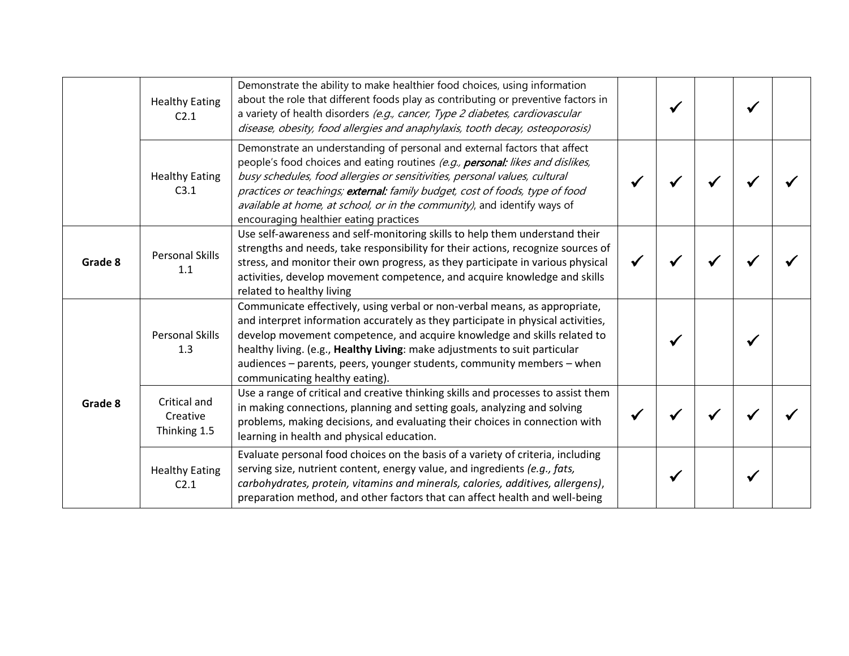|         | <b>Healthy Eating</b><br>C <sub>2.1</sub> | Demonstrate the ability to make healthier food choices, using information<br>about the role that different foods play as contributing or preventive factors in<br>a variety of health disorders (e.g., cancer, Type 2 diabetes, cardiovascular<br>disease, obesity, food allergies and anaphylaxis, tooth decay, osteoporosis)                                                                                                                  |  |  |  |
|---------|-------------------------------------------|-------------------------------------------------------------------------------------------------------------------------------------------------------------------------------------------------------------------------------------------------------------------------------------------------------------------------------------------------------------------------------------------------------------------------------------------------|--|--|--|
|         | <b>Healthy Eating</b><br>C3.1             | Demonstrate an understanding of personal and external factors that affect<br>people's food choices and eating routines (e.g., personal: likes and dislikes,<br>busy schedules, food allergies or sensitivities, personal values, cultural<br>practices or teachings; external: family budget, cost of foods, type of food<br>available at home, at school, or in the community), and identify ways of<br>encouraging healthier eating practices |  |  |  |
| Grade 8 | <b>Personal Skills</b><br>1.1             | Use self-awareness and self-monitoring skills to help them understand their<br>strengths and needs, take responsibility for their actions, recognize sources of<br>stress, and monitor their own progress, as they participate in various physical<br>activities, develop movement competence, and acquire knowledge and skills<br>related to healthy living                                                                                    |  |  |  |
|         | <b>Personal Skills</b><br>1.3             | Communicate effectively, using verbal or non-verbal means, as appropriate,<br>and interpret information accurately as they participate in physical activities,<br>develop movement competence, and acquire knowledge and skills related to<br>healthy living. (e.g., Healthy Living: make adjustments to suit particular<br>audiences – parents, peers, younger students, community members – when<br>communicating healthy eating).            |  |  |  |
| Grade 8 | Critical and<br>Creative<br>Thinking 1.5  | Use a range of critical and creative thinking skills and processes to assist them<br>in making connections, planning and setting goals, analyzing and solving<br>problems, making decisions, and evaluating their choices in connection with<br>learning in health and physical education.                                                                                                                                                      |  |  |  |
|         | <b>Healthy Eating</b><br>C2.1             | Evaluate personal food choices on the basis of a variety of criteria, including<br>serving size, nutrient content, energy value, and ingredients (e.g., fats,<br>carbohydrates, protein, vitamins and minerals, calories, additives, allergens),<br>preparation method, and other factors that can affect health and well-being                                                                                                                 |  |  |  |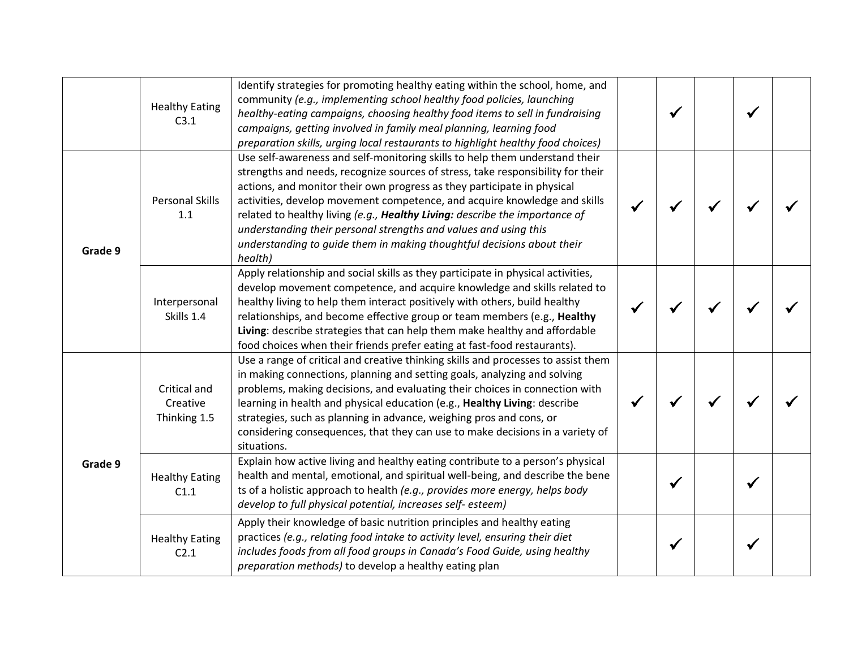|         | <b>Healthy Eating</b><br>C3.1            | Identify strategies for promoting healthy eating within the school, home, and<br>community (e.g., implementing school healthy food policies, launching<br>healthy-eating campaigns, choosing healthy food items to sell in fundraising<br>campaigns, getting involved in family meal planning, learning food<br>preparation skills, urging local restaurants to highlight healthy food choices)                                                                                                                                                                |  |  |  |
|---------|------------------------------------------|----------------------------------------------------------------------------------------------------------------------------------------------------------------------------------------------------------------------------------------------------------------------------------------------------------------------------------------------------------------------------------------------------------------------------------------------------------------------------------------------------------------------------------------------------------------|--|--|--|
| Grade 9 | <b>Personal Skills</b><br>1.1            | Use self-awareness and self-monitoring skills to help them understand their<br>strengths and needs, recognize sources of stress, take responsibility for their<br>actions, and monitor their own progress as they participate in physical<br>activities, develop movement competence, and acquire knowledge and skills<br>related to healthy living (e.g., Healthy Living: describe the importance of<br>understanding their personal strengths and values and using this<br>understanding to guide them in making thoughtful decisions about their<br>health) |  |  |  |
|         | Interpersonal<br>Skills 1.4              | Apply relationship and social skills as they participate in physical activities,<br>develop movement competence, and acquire knowledge and skills related to<br>healthy living to help them interact positively with others, build healthy<br>relationships, and become effective group or team members (e.g., Healthy<br>Living: describe strategies that can help them make healthy and affordable<br>food choices when their friends prefer eating at fast-food restaurants).                                                                               |  |  |  |
| Grade 9 | Critical and<br>Creative<br>Thinking 1.5 | Use a range of critical and creative thinking skills and processes to assist them<br>in making connections, planning and setting goals, analyzing and solving<br>problems, making decisions, and evaluating their choices in connection with<br>learning in health and physical education (e.g., Healthy Living: describe<br>strategies, such as planning in advance, weighing pros and cons, or<br>considering consequences, that they can use to make decisions in a variety of<br>situations.                                                               |  |  |  |
|         | <b>Healthy Eating</b><br>C1.1            | Explain how active living and healthy eating contribute to a person's physical<br>health and mental, emotional, and spiritual well-being, and describe the bene<br>ts of a holistic approach to health (e.g., provides more energy, helps body<br>develop to full physical potential, increases self-esteem)                                                                                                                                                                                                                                                   |  |  |  |
|         | <b>Healthy Eating</b><br>C2.1            | Apply their knowledge of basic nutrition principles and healthy eating<br>practices (e.g., relating food intake to activity level, ensuring their diet<br>includes foods from all food groups in Canada's Food Guide, using healthy<br>preparation methods) to develop a healthy eating plan                                                                                                                                                                                                                                                                   |  |  |  |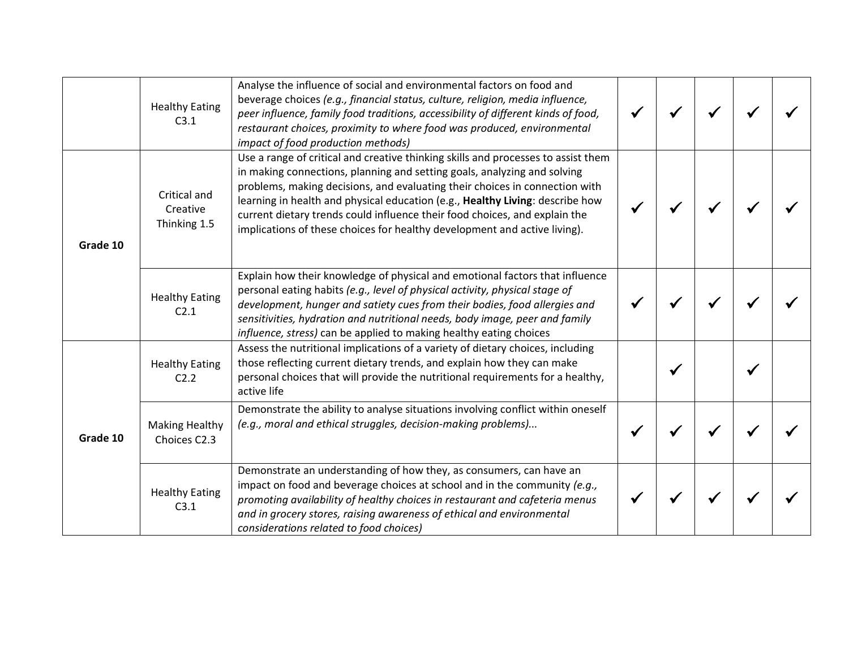|          | <b>Healthy Eating</b><br>C3.1             | Analyse the influence of social and environmental factors on food and<br>beverage choices (e.g., financial status, culture, religion, media influence,<br>peer influence, family food traditions, accessibility of different kinds of food,<br>restaurant choices, proximity to where food was produced, environmental<br>impact of food production methods)                                                                                                                             |  |  |  |
|----------|-------------------------------------------|------------------------------------------------------------------------------------------------------------------------------------------------------------------------------------------------------------------------------------------------------------------------------------------------------------------------------------------------------------------------------------------------------------------------------------------------------------------------------------------|--|--|--|
| Grade 10 | Critical and<br>Creative<br>Thinking 1.5  | Use a range of critical and creative thinking skills and processes to assist them<br>in making connections, planning and setting goals, analyzing and solving<br>problems, making decisions, and evaluating their choices in connection with<br>learning in health and physical education (e.g., Healthy Living: describe how<br>current dietary trends could influence their food choices, and explain the<br>implications of these choices for healthy development and active living). |  |  |  |
|          | <b>Healthy Eating</b><br>C <sub>2.1</sub> | Explain how their knowledge of physical and emotional factors that influence<br>personal eating habits (e.g., level of physical activity, physical stage of<br>development, hunger and satiety cues from their bodies, food allergies and<br>sensitivities, hydration and nutritional needs, body image, peer and family<br>influence, stress) can be applied to making healthy eating choices                                                                                           |  |  |  |
|          | <b>Healthy Eating</b><br>C2.2             | Assess the nutritional implications of a variety of dietary choices, including<br>those reflecting current dietary trends, and explain how they can make<br>personal choices that will provide the nutritional requirements for a healthy,<br>active life                                                                                                                                                                                                                                |  |  |  |
| Grade 10 | <b>Making Healthy</b><br>Choices C2.3     | Demonstrate the ability to analyse situations involving conflict within oneself<br>(e.g., moral and ethical struggles, decision-making problems)                                                                                                                                                                                                                                                                                                                                         |  |  |  |
|          | <b>Healthy Eating</b><br>C3.1             | Demonstrate an understanding of how they, as consumers, can have an<br>impact on food and beverage choices at school and in the community (e.g.,<br>promoting availability of healthy choices in restaurant and cafeteria menus<br>and in grocery stores, raising awareness of ethical and environmental<br>considerations related to food choices)                                                                                                                                      |  |  |  |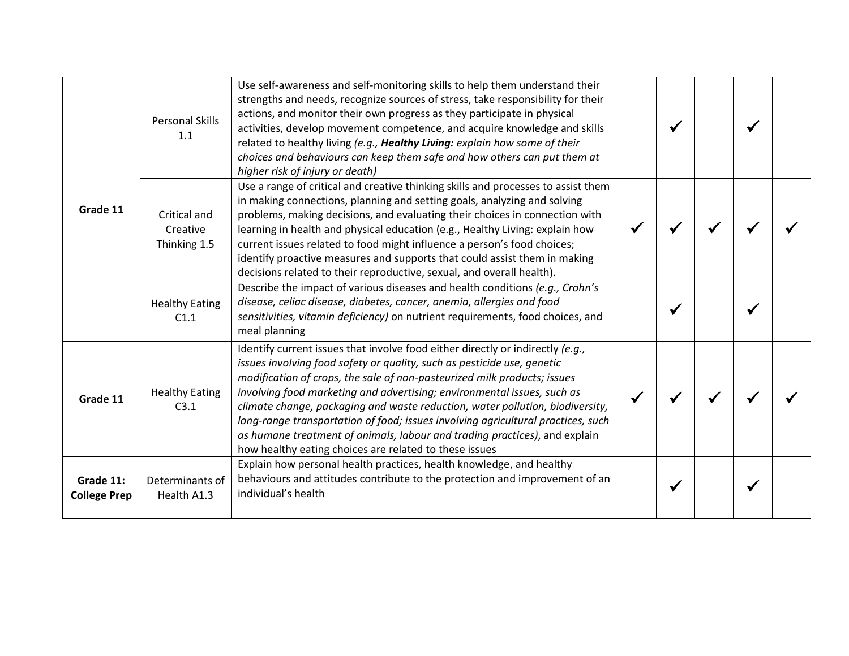| Grade 11                         | <b>Personal Skills</b><br>1.1            | Use self-awareness and self-monitoring skills to help them understand their<br>strengths and needs, recognize sources of stress, take responsibility for their<br>actions, and monitor their own progress as they participate in physical<br>activities, develop movement competence, and acquire knowledge and skills<br>related to healthy living (e.g., Healthy Living: explain how some of their<br>choices and behaviours can keep them safe and how others can put them at<br>higher risk of injury or death)                                                                                                           |  |  |  |
|----------------------------------|------------------------------------------|-------------------------------------------------------------------------------------------------------------------------------------------------------------------------------------------------------------------------------------------------------------------------------------------------------------------------------------------------------------------------------------------------------------------------------------------------------------------------------------------------------------------------------------------------------------------------------------------------------------------------------|--|--|--|
|                                  | Critical and<br>Creative<br>Thinking 1.5 | Use a range of critical and creative thinking skills and processes to assist them<br>in making connections, planning and setting goals, analyzing and solving<br>problems, making decisions, and evaluating their choices in connection with<br>learning in health and physical education (e.g., Healthy Living: explain how<br>current issues related to food might influence a person's food choices;<br>identify proactive measures and supports that could assist them in making<br>decisions related to their reproductive, sexual, and overall health).                                                                 |  |  |  |
|                                  | <b>Healthy Eating</b><br>C1.1            | Describe the impact of various diseases and health conditions (e.g., Crohn's<br>disease, celiac disease, diabetes, cancer, anemia, allergies and food<br>sensitivities, vitamin deficiency) on nutrient requirements, food choices, and<br>meal planning                                                                                                                                                                                                                                                                                                                                                                      |  |  |  |
| Grade 11                         | <b>Healthy Eating</b><br>C3.1            | Identify current issues that involve food either directly or indirectly (e.g.,<br>issues involving food safety or quality, such as pesticide use, genetic<br>modification of crops, the sale of non-pasteurized milk products; issues<br>involving food marketing and advertising; environmental issues, such as<br>climate change, packaging and waste reduction, water pollution, biodiversity,<br>long-range transportation of food; issues involving agricultural practices, such<br>as humane treatment of animals, labour and trading practices), and explain<br>how healthy eating choices are related to these issues |  |  |  |
| Grade 11:<br><b>College Prep</b> | Determinants of<br>Health A1.3           | Explain how personal health practices, health knowledge, and healthy<br>behaviours and attitudes contribute to the protection and improvement of an<br>individual's health                                                                                                                                                                                                                                                                                                                                                                                                                                                    |  |  |  |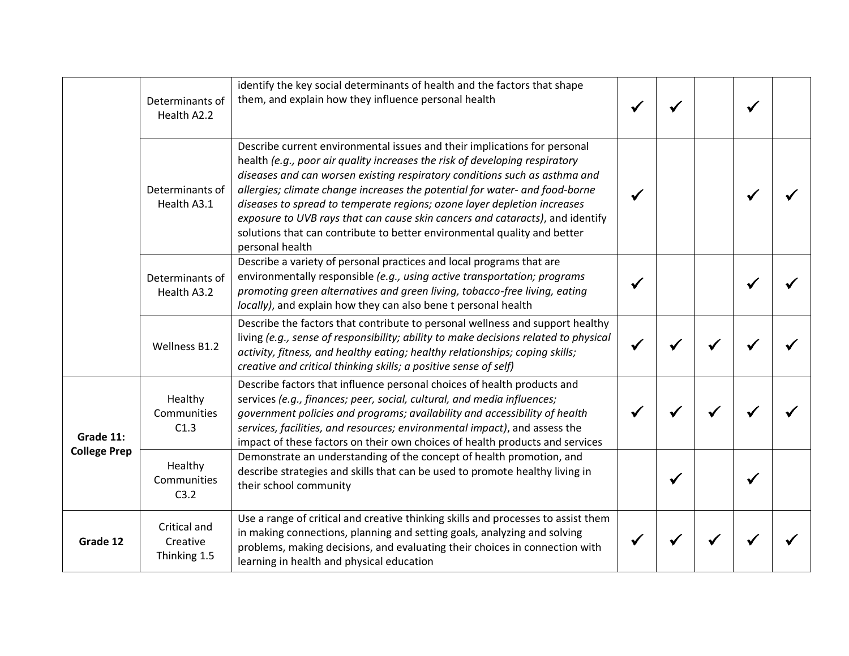|                     | Determinants of<br>Health A2.2           | identify the key social determinants of health and the factors that shape<br>them, and explain how they influence personal health                                                                                                                                                                                                                                                                                                                                                                                                                                                 |  |  |  |
|---------------------|------------------------------------------|-----------------------------------------------------------------------------------------------------------------------------------------------------------------------------------------------------------------------------------------------------------------------------------------------------------------------------------------------------------------------------------------------------------------------------------------------------------------------------------------------------------------------------------------------------------------------------------|--|--|--|
|                     | Determinants of<br>Health A3.1           | Describe current environmental issues and their implications for personal<br>health (e.g., poor air quality increases the risk of developing respiratory<br>diseases and can worsen existing respiratory conditions such as asthma and<br>allergies; climate change increases the potential for water- and food-borne<br>diseases to spread to temperate regions; ozone layer depletion increases<br>exposure to UVB rays that can cause skin cancers and cataracts), and identify<br>solutions that can contribute to better environmental quality and better<br>personal health |  |  |  |
|                     | Determinants of<br>Health A3.2           | Describe a variety of personal practices and local programs that are<br>environmentally responsible (e.g., using active transportation; programs<br>promoting green alternatives and green living, tobacco-free living, eating<br>locally), and explain how they can also bene t personal health                                                                                                                                                                                                                                                                                  |  |  |  |
|                     | Wellness B1.2                            | Describe the factors that contribute to personal wellness and support healthy<br>living (e.g., sense of responsibility; ability to make decisions related to physical<br>activity, fitness, and healthy eating; healthy relationships; coping skills;<br>creative and critical thinking skills; a positive sense of self)                                                                                                                                                                                                                                                         |  |  |  |
| Grade 11:           | Healthy<br>Communities<br>C1.3           | Describe factors that influence personal choices of health products and<br>services (e.g., finances; peer, social, cultural, and media influences;<br>government policies and programs; availability and accessibility of health<br>services, facilities, and resources; environmental impact), and assess the<br>impact of these factors on their own choices of health products and services                                                                                                                                                                                    |  |  |  |
| <b>College Prep</b> | Healthy<br>Communities<br>C3.2           | Demonstrate an understanding of the concept of health promotion, and<br>describe strategies and skills that can be used to promote healthy living in<br>their school community                                                                                                                                                                                                                                                                                                                                                                                                    |  |  |  |
| Grade 12            | Critical and<br>Creative<br>Thinking 1.5 | Use a range of critical and creative thinking skills and processes to assist them<br>in making connections, planning and setting goals, analyzing and solving<br>problems, making decisions, and evaluating their choices in connection with<br>learning in health and physical education                                                                                                                                                                                                                                                                                         |  |  |  |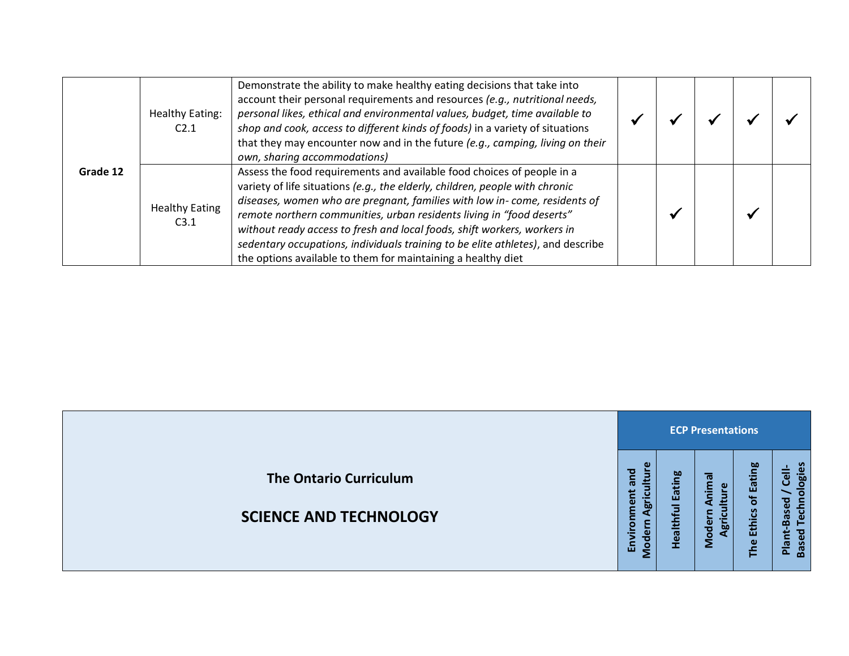|          | <b>Healthy Eating:</b><br>C <sub>2.1</sub> | Demonstrate the ability to make healthy eating decisions that take into<br>account their personal requirements and resources (e.g., nutritional needs,<br>personal likes, ethical and environmental values, budget, time available to<br>shop and cook, access to different kinds of foods) in a variety of situations<br>that they may encounter now and in the future (e.g., camping, living on their<br>own, sharing accommodations)                                                                                                     |  |  |  |
|----------|--------------------------------------------|---------------------------------------------------------------------------------------------------------------------------------------------------------------------------------------------------------------------------------------------------------------------------------------------------------------------------------------------------------------------------------------------------------------------------------------------------------------------------------------------------------------------------------------------|--|--|--|
| Grade 12 | <b>Healthy Eating</b><br>C3.1              | Assess the food requirements and available food choices of people in a<br>variety of life situations (e.g., the elderly, children, people with chronic<br>diseases, women who are pregnant, families with low in-come, residents of<br>remote northern communities, urban residents living in "food deserts"<br>without ready access to fresh and local foods, shift workers, workers in<br>sedentary occupations, individuals training to be elite athletes), and describe<br>the options available to them for maintaining a healthy diet |  |  |  |

|                                                                |                             |                          | <b>ECP Presentations</b>                   |                                     |                                                                                                 |
|----------------------------------------------------------------|-----------------------------|--------------------------|--------------------------------------------|-------------------------------------|-------------------------------------------------------------------------------------------------|
| <b>The Ontario Curriculum</b><br><b>SCIENCE AND TECHNOLOGY</b> | ъ<br>ē<br>ര<br>Бō<br>品<br>ဍ | <b>Eating</b><br>Healthf | nimal<br>Φ<br>Moder<br>$\overline{\omega}$ | Eating<br>ቴ<br><b>Ethics</b><br>The | plogies<br>$\overline{e}$<br><b>Based</b><br>흉<br>$\mathbf{\omega}$<br>⊨<br>ъ.<br>Plant<br>Base |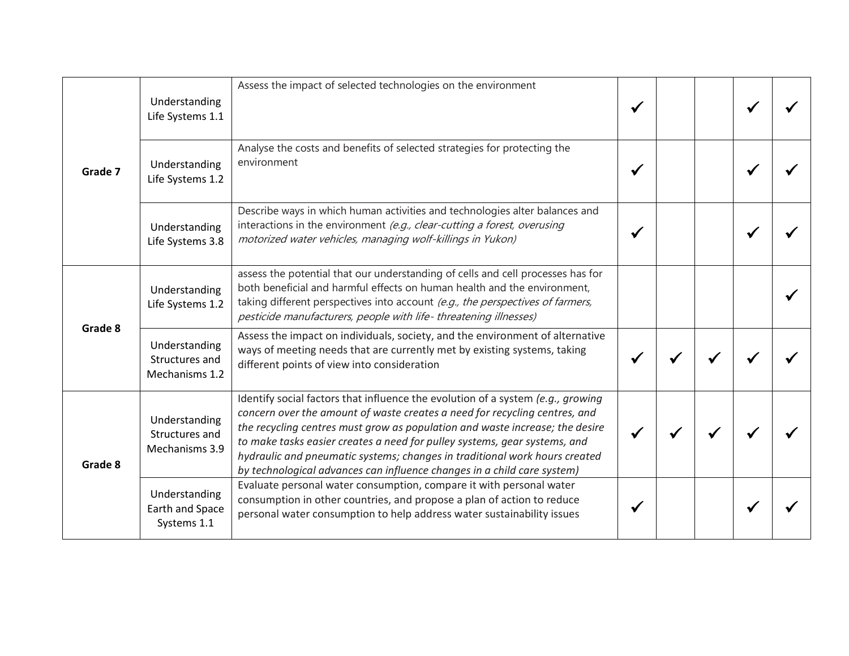| Grade 7            | Understanding<br>Life Systems 1.1                 | Assess the impact of selected technologies on the environment                                                                                                                                                                                                                                                                                                                                                                                                                       |  |  |  |
|--------------------|---------------------------------------------------|-------------------------------------------------------------------------------------------------------------------------------------------------------------------------------------------------------------------------------------------------------------------------------------------------------------------------------------------------------------------------------------------------------------------------------------------------------------------------------------|--|--|--|
|                    | Understanding<br>Life Systems 1.2                 | Analyse the costs and benefits of selected strategies for protecting the<br>environment                                                                                                                                                                                                                                                                                                                                                                                             |  |  |  |
|                    | Understanding<br>Life Systems 3.8                 | Describe ways in which human activities and technologies alter balances and<br>interactions in the environment (e.g., clear-cutting a forest, overusing<br>motorized water vehicles, managing wolf-killings in Yukon)                                                                                                                                                                                                                                                               |  |  |  |
| Grade 8<br>Grade 8 | Understanding<br>Life Systems 1.2                 | assess the potential that our understanding of cells and cell processes has for<br>both beneficial and harmful effects on human health and the environment,<br>taking different perspectives into account (e.g., the perspectives of farmers,<br>pesticide manufacturers, people with life-threatening illnesses)                                                                                                                                                                   |  |  |  |
|                    | Understanding<br>Structures and<br>Mechanisms 1.2 | Assess the impact on individuals, society, and the environment of alternative<br>ways of meeting needs that are currently met by existing systems, taking<br>different points of view into consideration                                                                                                                                                                                                                                                                            |  |  |  |
|                    | Understanding<br>Structures and<br>Mechanisms 3.9 | Identify social factors that influence the evolution of a system (e.g., growing<br>concern over the amount of waste creates a need for recycling centres, and<br>the recycling centres must grow as population and waste increase; the desire<br>to make tasks easier creates a need for pulley systems, gear systems, and<br>hydraulic and pneumatic systems; changes in traditional work hours created<br>by technological advances can influence changes in a child care system) |  |  |  |
|                    | Understanding<br>Earth and Space<br>Systems 1.1   | Evaluate personal water consumption, compare it with personal water<br>consumption in other countries, and propose a plan of action to reduce<br>personal water consumption to help address water sustainability issues                                                                                                                                                                                                                                                             |  |  |  |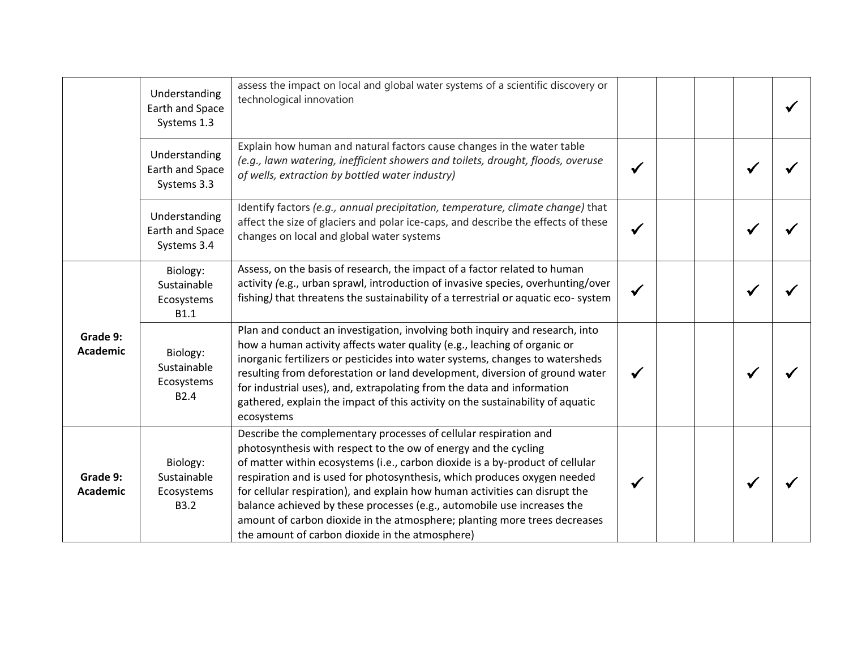|                             | Understanding<br>Earth and Space<br>Systems 1.3           | assess the impact on local and global water systems of a scientific discovery or<br>technological innovation                                                                                                                                                                                                                                                                                                                                                                                                                                                                               |  |  |  |
|-----------------------------|-----------------------------------------------------------|--------------------------------------------------------------------------------------------------------------------------------------------------------------------------------------------------------------------------------------------------------------------------------------------------------------------------------------------------------------------------------------------------------------------------------------------------------------------------------------------------------------------------------------------------------------------------------------------|--|--|--|
|                             | Understanding<br>Earth and Space<br>Systems 3.3           | Explain how human and natural factors cause changes in the water table<br>(e.g., lawn watering, inefficient showers and toilets, drought, floods, overuse<br>of wells, extraction by bottled water industry)                                                                                                                                                                                                                                                                                                                                                                               |  |  |  |
|                             | Understanding<br>Earth and Space<br>Systems 3.4           | Identify factors (e.g., annual precipitation, temperature, climate change) that<br>affect the size of glaciers and polar ice-caps, and describe the effects of these<br>changes on local and global water systems                                                                                                                                                                                                                                                                                                                                                                          |  |  |  |
|                             | Biology:<br>Sustainable<br>Ecosystems<br><b>B1.1</b>      | Assess, on the basis of research, the impact of a factor related to human<br>activity (e.g., urban sprawl, introduction of invasive species, overhunting/over<br>fishing) that threatens the sustainability of a terrestrial or aquatic eco-system                                                                                                                                                                                                                                                                                                                                         |  |  |  |
| Grade 9:<br><b>Academic</b> | Biology:<br>Sustainable<br>Ecosystems<br>B <sub>2.4</sub> | Plan and conduct an investigation, involving both inquiry and research, into<br>how a human activity affects water quality (e.g., leaching of organic or<br>inorganic fertilizers or pesticides into water systems, changes to watersheds<br>resulting from deforestation or land development, diversion of ground water<br>for industrial uses), and, extrapolating from the data and information<br>gathered, explain the impact of this activity on the sustainability of aquatic<br>ecosystems                                                                                         |  |  |  |
| Grade 9:<br><b>Academic</b> | Biology:<br>Sustainable<br>Ecosystems<br><b>B3.2</b>      | Describe the complementary processes of cellular respiration and<br>photosynthesis with respect to the ow of energy and the cycling<br>of matter within ecosystems (i.e., carbon dioxide is a by-product of cellular<br>respiration and is used for photosynthesis, which produces oxygen needed<br>for cellular respiration), and explain how human activities can disrupt the<br>balance achieved by these processes (e.g., automobile use increases the<br>amount of carbon dioxide in the atmosphere; planting more trees decreases<br>the amount of carbon dioxide in the atmosphere) |  |  |  |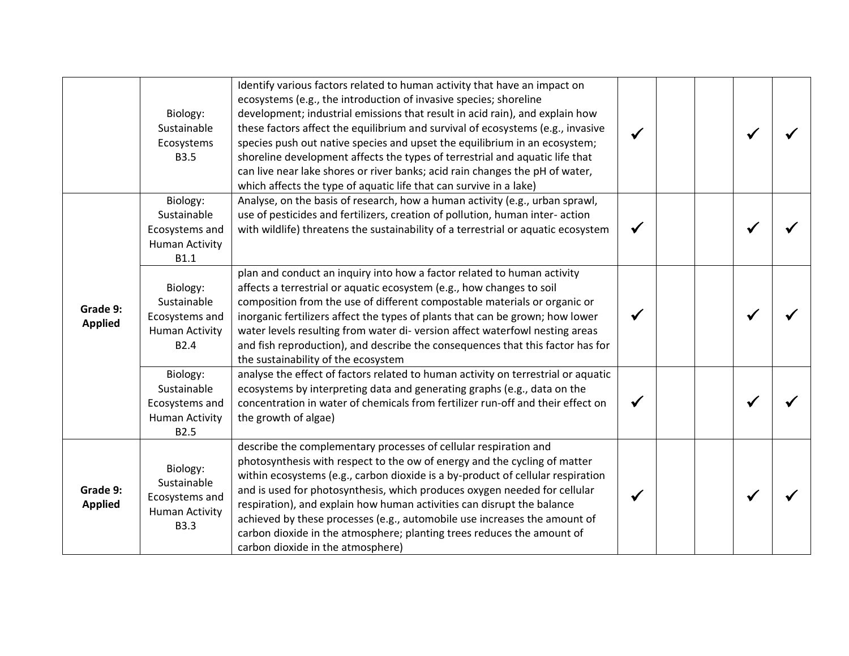|                            | Biology:<br>Sustainable<br>Ecosystems<br><b>B3.5</b>                                   | Identify various factors related to human activity that have an impact on<br>ecosystems (e.g., the introduction of invasive species; shoreline<br>development; industrial emissions that result in acid rain), and explain how<br>these factors affect the equilibrium and survival of ecosystems (e.g., invasive<br>species push out native species and upset the equilibrium in an ecosystem;<br>shoreline development affects the types of terrestrial and aquatic life that<br>can live near lake shores or river banks; acid rain changes the pH of water,<br>which affects the type of aquatic life that can survive in a lake) |  |  |  |
|----------------------------|----------------------------------------------------------------------------------------|---------------------------------------------------------------------------------------------------------------------------------------------------------------------------------------------------------------------------------------------------------------------------------------------------------------------------------------------------------------------------------------------------------------------------------------------------------------------------------------------------------------------------------------------------------------------------------------------------------------------------------------|--|--|--|
|                            | Biology:<br>Sustainable<br>Ecosystems and<br><b>Human Activity</b><br><b>B1.1</b>      | Analyse, on the basis of research, how a human activity (e.g., urban sprawl,<br>use of pesticides and fertilizers, creation of pollution, human inter- action<br>with wildlife) threatens the sustainability of a terrestrial or aquatic ecosystem                                                                                                                                                                                                                                                                                                                                                                                    |  |  |  |
| Grade 9:<br><b>Applied</b> | Biology:<br>Sustainable<br>Ecosystems and<br><b>Human Activity</b><br>B <sub>2.4</sub> | plan and conduct an inquiry into how a factor related to human activity<br>affects a terrestrial or aquatic ecosystem (e.g., how changes to soil<br>composition from the use of different compostable materials or organic or<br>inorganic fertilizers affect the types of plants that can be grown; how lower<br>water levels resulting from water di-version affect waterfowl nesting areas<br>and fish reproduction), and describe the consequences that this factor has for<br>the sustainability of the ecosystem                                                                                                                |  |  |  |
|                            | Biology:<br>Sustainable<br>Ecosystems and<br><b>Human Activity</b><br>B2.5             | analyse the effect of factors related to human activity on terrestrial or aquatic<br>ecosystems by interpreting data and generating graphs (e.g., data on the<br>concentration in water of chemicals from fertilizer run-off and their effect on<br>the growth of algae)                                                                                                                                                                                                                                                                                                                                                              |  |  |  |
| Grade 9:<br><b>Applied</b> | Biology:<br>Sustainable<br>Ecosystems and<br><b>Human Activity</b><br><b>B3.3</b>      | describe the complementary processes of cellular respiration and<br>photosynthesis with respect to the ow of energy and the cycling of matter<br>within ecosystems (e.g., carbon dioxide is a by-product of cellular respiration<br>and is used for photosynthesis, which produces oxygen needed for cellular<br>respiration), and explain how human activities can disrupt the balance<br>achieved by these processes (e.g., automobile use increases the amount of<br>carbon dioxide in the atmosphere; planting trees reduces the amount of<br>carbon dioxide in the atmosphere)                                                   |  |  |  |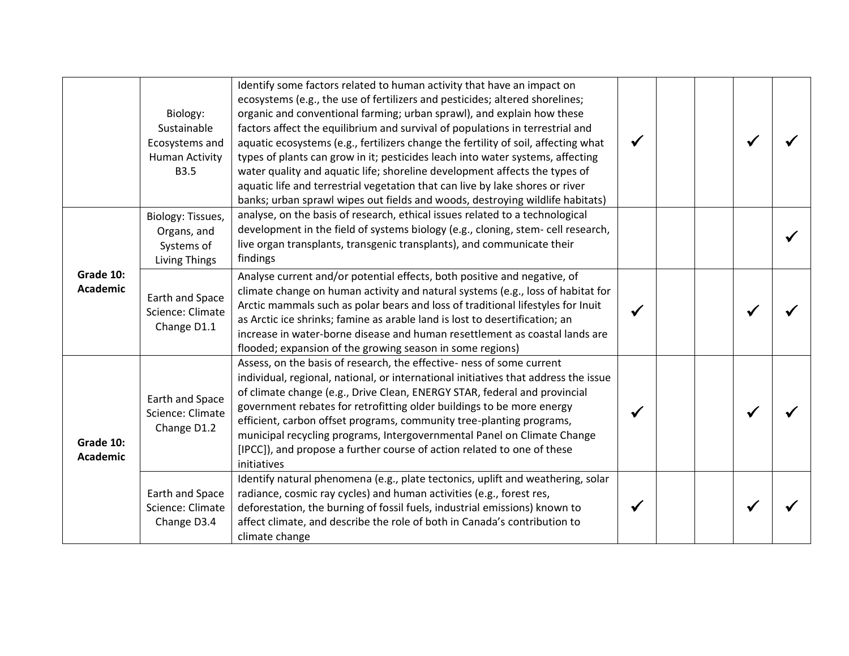|                              | Biology:<br>Sustainable<br>Ecosystems and<br><b>Human Activity</b><br><b>B3.5</b> | Identify some factors related to human activity that have an impact on<br>ecosystems (e.g., the use of fertilizers and pesticides; altered shorelines;<br>organic and conventional farming; urban sprawl), and explain how these<br>factors affect the equilibrium and survival of populations in terrestrial and<br>aquatic ecosystems (e.g., fertilizers change the fertility of soil, affecting what<br>types of plants can grow in it; pesticides leach into water systems, affecting<br>water quality and aquatic life; shoreline development affects the types of<br>aquatic life and terrestrial vegetation that can live by lake shores or river<br>banks; urban sprawl wipes out fields and woods, destroying wildlife habitats) |  |  |  |
|------------------------------|-----------------------------------------------------------------------------------|-------------------------------------------------------------------------------------------------------------------------------------------------------------------------------------------------------------------------------------------------------------------------------------------------------------------------------------------------------------------------------------------------------------------------------------------------------------------------------------------------------------------------------------------------------------------------------------------------------------------------------------------------------------------------------------------------------------------------------------------|--|--|--|
|                              | Biology: Tissues,<br>Organs, and<br>Systems of<br><b>Living Things</b>            | analyse, on the basis of research, ethical issues related to a technological<br>development in the field of systems biology (e.g., cloning, stem- cell research,<br>live organ transplants, transgenic transplants), and communicate their<br>findings                                                                                                                                                                                                                                                                                                                                                                                                                                                                                    |  |  |  |
| Grade 10:<br><b>Academic</b> | Earth and Space<br>Science: Climate<br>Change D1.1                                | Analyse current and/or potential effects, both positive and negative, of<br>climate change on human activity and natural systems (e.g., loss of habitat for<br>Arctic mammals such as polar bears and loss of traditional lifestyles for Inuit<br>as Arctic ice shrinks; famine as arable land is lost to desertification; an<br>increase in water-borne disease and human resettlement as coastal lands are<br>flooded; expansion of the growing season in some regions)                                                                                                                                                                                                                                                                 |  |  |  |
| Grade 10:<br><b>Academic</b> | Earth and Space<br>Science: Climate<br>Change D1.2                                | Assess, on the basis of research, the effective- ness of some current<br>individual, regional, national, or international initiatives that address the issue<br>of climate change (e.g., Drive Clean, ENERGY STAR, federal and provincial<br>government rebates for retrofitting older buildings to be more energy<br>efficient, carbon offset programs, community tree-planting programs,<br>municipal recycling programs, Intergovernmental Panel on Climate Change<br>[IPCC]), and propose a further course of action related to one of these<br>initiatives                                                                                                                                                                           |  |  |  |
|                              | Earth and Space<br>Science: Climate<br>Change D3.4                                | Identify natural phenomena (e.g., plate tectonics, uplift and weathering, solar<br>radiance, cosmic ray cycles) and human activities (e.g., forest res,<br>deforestation, the burning of fossil fuels, industrial emissions) known to<br>affect climate, and describe the role of both in Canada's contribution to<br>climate change                                                                                                                                                                                                                                                                                                                                                                                                      |  |  |  |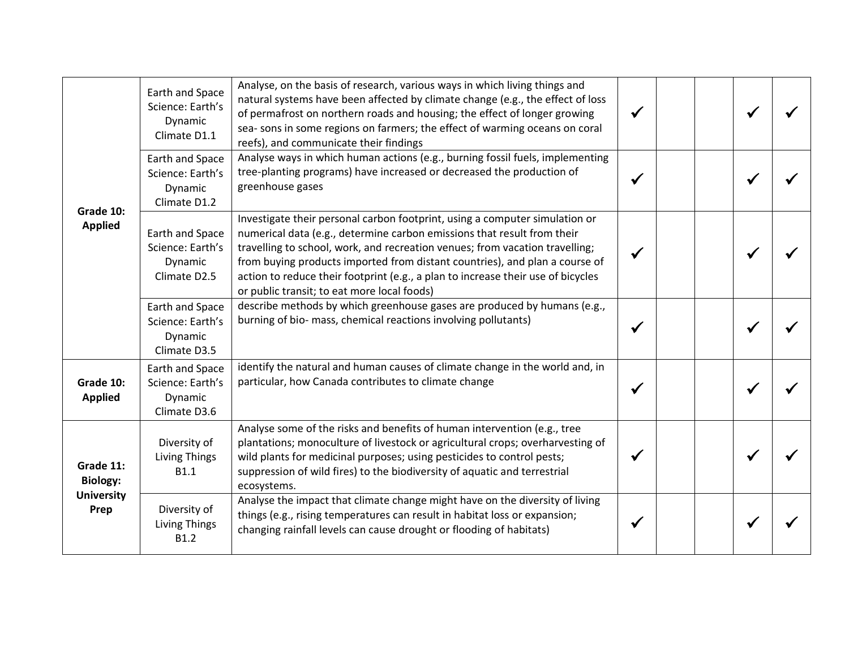| Grade 10:<br><b>Applied</b>                               | Earth and Space<br>Science: Earth's<br>Dynamic<br>Climate D1.1 | Analyse, on the basis of research, various ways in which living things and<br>natural systems have been affected by climate change (e.g., the effect of loss<br>of permafrost on northern roads and housing; the effect of longer growing<br>sea- sons in some regions on farmers; the effect of warming oceans on coral<br>reefs), and communicate their findings                                                                                       |  |  |  |
|-----------------------------------------------------------|----------------------------------------------------------------|----------------------------------------------------------------------------------------------------------------------------------------------------------------------------------------------------------------------------------------------------------------------------------------------------------------------------------------------------------------------------------------------------------------------------------------------------------|--|--|--|
|                                                           | Earth and Space<br>Science: Earth's<br>Dynamic<br>Climate D1.2 | Analyse ways in which human actions (e.g., burning fossil fuels, implementing<br>tree-planting programs) have increased or decreased the production of<br>greenhouse gases                                                                                                                                                                                                                                                                               |  |  |  |
|                                                           | Earth and Space<br>Science: Earth's<br>Dynamic<br>Climate D2.5 | Investigate their personal carbon footprint, using a computer simulation or<br>numerical data (e.g., determine carbon emissions that result from their<br>travelling to school, work, and recreation venues; from vacation travelling;<br>from buying products imported from distant countries), and plan a course of<br>action to reduce their footprint (e.g., a plan to increase their use of bicycles<br>or public transit; to eat more local foods) |  |  |  |
|                                                           | Earth and Space<br>Science: Earth's<br>Dynamic<br>Climate D3.5 | describe methods by which greenhouse gases are produced by humans (e.g.,<br>burning of bio- mass, chemical reactions involving pollutants)                                                                                                                                                                                                                                                                                                               |  |  |  |
| Grade 10:<br><b>Applied</b>                               | Earth and Space<br>Science: Earth's<br>Dynamic<br>Climate D3.6 | identify the natural and human causes of climate change in the world and, in<br>particular, how Canada contributes to climate change                                                                                                                                                                                                                                                                                                                     |  |  |  |
| Grade 11:<br><b>Biology:</b><br><b>University</b><br>Prep | Diversity of<br><b>Living Things</b><br>B1.1                   | Analyse some of the risks and benefits of human intervention (e.g., tree<br>plantations; monoculture of livestock or agricultural crops; overharvesting of<br>wild plants for medicinal purposes; using pesticides to control pests;<br>suppression of wild fires) to the biodiversity of aquatic and terrestrial<br>ecosystems.                                                                                                                         |  |  |  |
|                                                           | Diversity of<br><b>Living Things</b><br>B1.2                   | Analyse the impact that climate change might have on the diversity of living<br>things (e.g., rising temperatures can result in habitat loss or expansion;<br>changing rainfall levels can cause drought or flooding of habitats)                                                                                                                                                                                                                        |  |  |  |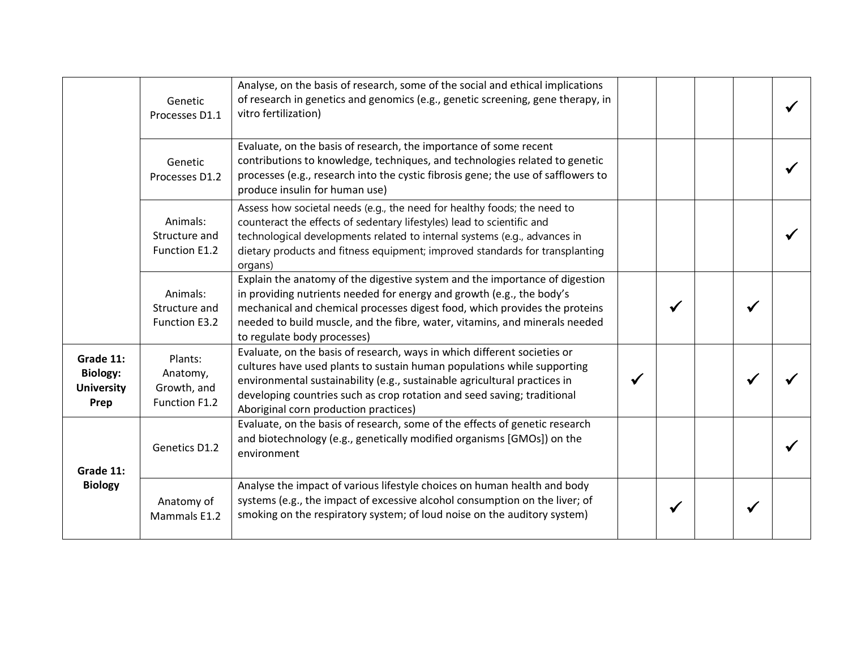|                                                           | Genetic<br>Processes D1.1                           | Analyse, on the basis of research, some of the social and ethical implications<br>of research in genetics and genomics (e.g., genetic screening, gene therapy, in<br>vitro fertilization)                                                                                                                                                            |  |  |  |
|-----------------------------------------------------------|-----------------------------------------------------|------------------------------------------------------------------------------------------------------------------------------------------------------------------------------------------------------------------------------------------------------------------------------------------------------------------------------------------------------|--|--|--|
|                                                           | Genetic<br>Processes D1.2                           | Evaluate, on the basis of research, the importance of some recent<br>contributions to knowledge, techniques, and technologies related to genetic<br>processes (e.g., research into the cystic fibrosis gene; the use of safflowers to<br>produce insulin for human use)                                                                              |  |  |  |
|                                                           | Animals:<br>Structure and<br>Function E1.2          | Assess how societal needs (e.g., the need for healthy foods; the need to<br>counteract the effects of sedentary lifestyles) lead to scientific and<br>technological developments related to internal systems (e.g., advances in<br>dietary products and fitness equipment; improved standards for transplanting<br>organs)                           |  |  |  |
|                                                           | Animals:<br>Structure and<br>Function E3.2          | Explain the anatomy of the digestive system and the importance of digestion<br>in providing nutrients needed for energy and growth (e.g., the body's<br>mechanical and chemical processes digest food, which provides the proteins<br>needed to build muscle, and the fibre, water, vitamins, and minerals needed<br>to regulate body processes)     |  |  |  |
| Grade 11:<br><b>Biology:</b><br><b>University</b><br>Prep | Plants:<br>Anatomy,<br>Growth, and<br>Function F1.2 | Evaluate, on the basis of research, ways in which different societies or<br>cultures have used plants to sustain human populations while supporting<br>environmental sustainability (e.g., sustainable agricultural practices in<br>developing countries such as crop rotation and seed saving; traditional<br>Aboriginal corn production practices) |  |  |  |
| Grade 11:                                                 | Genetics D1.2                                       | Evaluate, on the basis of research, some of the effects of genetic research<br>and biotechnology (e.g., genetically modified organisms [GMOs]) on the<br>environment                                                                                                                                                                                 |  |  |  |
| <b>Biology</b>                                            | Anatomy of<br>Mammals E1.2                          | Analyse the impact of various lifestyle choices on human health and body<br>systems (e.g., the impact of excessive alcohol consumption on the liver; of<br>smoking on the respiratory system; of loud noise on the auditory system)                                                                                                                  |  |  |  |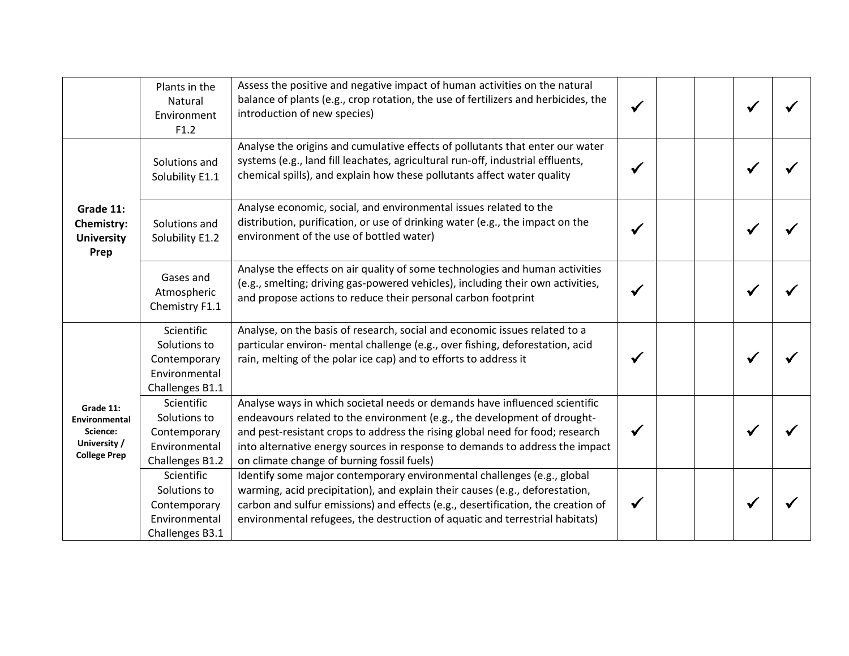|                                                                               | Plants in the<br>Natural<br>Environment<br>F1.2                                | Assess the positive and negative impact of human activities on the natural<br>balance of plants (e.g., crop rotation, the use of fertilizers and herbicides, the<br>introduction of new species)                                                                                                                                                                      |  |  |  |
|-------------------------------------------------------------------------------|--------------------------------------------------------------------------------|-----------------------------------------------------------------------------------------------------------------------------------------------------------------------------------------------------------------------------------------------------------------------------------------------------------------------------------------------------------------------|--|--|--|
|                                                                               | Solutions and<br>Solubility E1.1                                               | Analyse the origins and cumulative effects of pollutants that enter our water<br>systems (e.g., land fill leachates, agricultural run-off, industrial effluents,<br>chemical spills), and explain how these pollutants affect water quality                                                                                                                           |  |  |  |
| Grade 11:<br><b>Chemistry:</b><br><b>University</b><br>Prep                   | Solutions and<br>Solubility E1.2                                               | Analyse economic, social, and environmental issues related to the<br>distribution, purification, or use of drinking water (e.g., the impact on the<br>environment of the use of bottled water)                                                                                                                                                                        |  |  |  |
|                                                                               | Gases and<br>Atmospheric<br>Chemistry F1.1                                     | Analyse the effects on air quality of some technologies and human activities<br>(e.g., smelting; driving gas-powered vehicles), including their own activities,<br>and propose actions to reduce their personal carbon footprint                                                                                                                                      |  |  |  |
|                                                                               | Scientific<br>Solutions to<br>Contemporary<br>Environmental<br>Challenges B1.1 | Analyse, on the basis of research, social and economic issues related to a<br>particular environ- mental challenge (e.g., over fishing, deforestation, acid<br>rain, melting of the polar ice cap) and to efforts to address it                                                                                                                                       |  |  |  |
| Grade 11:<br>Environmental<br>Science:<br>University /<br><b>College Prep</b> | Scientific<br>Solutions to<br>Contemporary<br>Environmental<br>Challenges B1.2 | Analyse ways in which societal needs or demands have influenced scientific<br>endeavours related to the environment (e.g., the development of drought-<br>and pest-resistant crops to address the rising global need for food; research<br>into alternative energy sources in response to demands to address the impact<br>on climate change of burning fossil fuels) |  |  |  |
|                                                                               | Scientific<br>Solutions to<br>Contemporary<br>Environmental<br>Challenges B3.1 | Identify some major contemporary environmental challenges (e.g., global<br>warming, acid precipitation), and explain their causes (e.g., deforestation,<br>carbon and sulfur emissions) and effects (e.g., desertification, the creation of<br>environmental refugees, the destruction of aquatic and terrestrial habitats)                                           |  |  |  |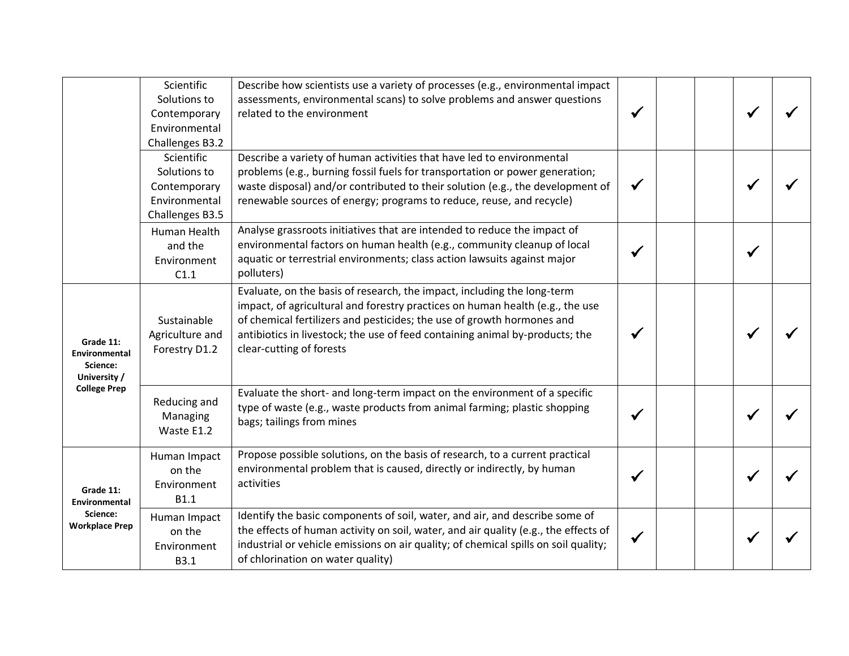|                                                                 | Scientific<br>Solutions to<br>Contemporary<br>Environmental                                       | Describe how scientists use a variety of processes (e.g., environmental impact<br>assessments, environmental scans) to solve problems and answer questions<br>related to the environment                                                                                                                                                       |   |  |  |
|-----------------------------------------------------------------|---------------------------------------------------------------------------------------------------|------------------------------------------------------------------------------------------------------------------------------------------------------------------------------------------------------------------------------------------------------------------------------------------------------------------------------------------------|---|--|--|
|                                                                 | Challenges B3.2<br>Scientific<br>Solutions to<br>Contemporary<br>Environmental<br>Challenges B3.5 | Describe a variety of human activities that have led to environmental<br>problems (e.g., burning fossil fuels for transportation or power generation;<br>waste disposal) and/or contributed to their solution (e.g., the development of<br>renewable sources of energy; programs to reduce, reuse, and recycle)                                | ✔ |  |  |
|                                                                 | <b>Human Health</b><br>and the<br>Environment<br>C1.1                                             | Analyse grassroots initiatives that are intended to reduce the impact of<br>environmental factors on human health (e.g., community cleanup of local<br>aquatic or terrestrial environments; class action lawsuits against major<br>polluters)                                                                                                  |   |  |  |
| Grade 11:<br>Environmental<br>Science:<br>University /          | Sustainable<br>Agriculture and<br>Forestry D1.2                                                   | Evaluate, on the basis of research, the impact, including the long-term<br>impact, of agricultural and forestry practices on human health (e.g., the use<br>of chemical fertilizers and pesticides; the use of growth hormones and<br>antibiotics in livestock; the use of feed containing animal by-products; the<br>clear-cutting of forests |   |  |  |
| <b>College Prep</b>                                             | Reducing and<br>Managing<br>Waste E1.2                                                            | Evaluate the short- and long-term impact on the environment of a specific<br>type of waste (e.g., waste products from animal farming; plastic shopping<br>bags; tailings from mines                                                                                                                                                            |   |  |  |
| Grade 11:<br>Environmental<br>Science:<br><b>Workplace Prep</b> | Human Impact<br>on the<br>Environment<br><b>B1.1</b>                                              | Propose possible solutions, on the basis of research, to a current practical<br>environmental problem that is caused, directly or indirectly, by human<br>activities                                                                                                                                                                           |   |  |  |
|                                                                 | Human Impact<br>on the<br>Environment<br>B3.1                                                     | Identify the basic components of soil, water, and air, and describe some of<br>the effects of human activity on soil, water, and air quality (e.g., the effects of<br>industrial or vehicle emissions on air quality; of chemical spills on soil quality;<br>of chlorination on water quality)                                                 |   |  |  |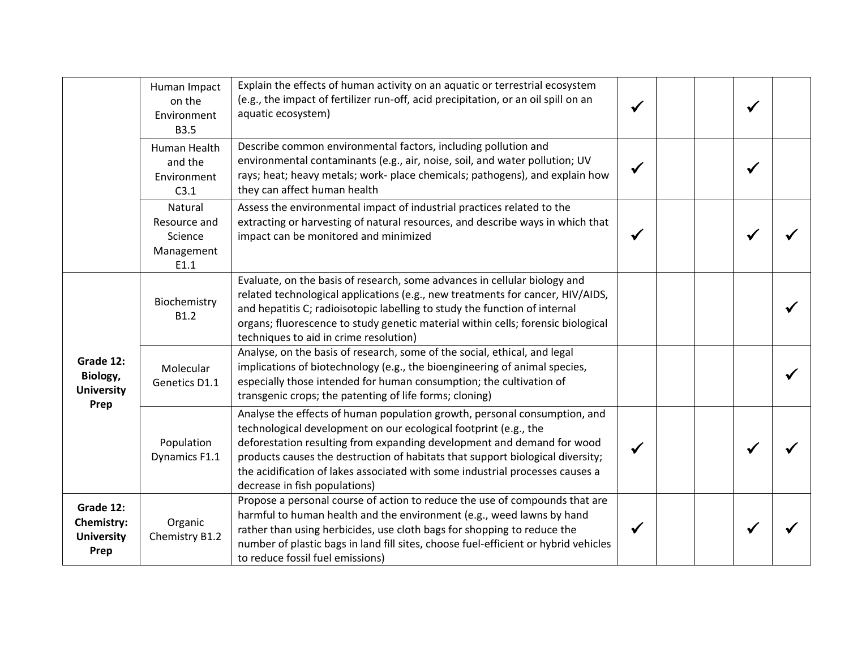|                                                      | Human Impact<br>on the<br>Environment<br><b>B3.5</b>     | Explain the effects of human activity on an aquatic or terrestrial ecosystem<br>(e.g., the impact of fertilizer run-off, acid precipitation, or an oil spill on an<br>aquatic ecosystem)                                                                                                                                                                                                                                    |  |  |  |
|------------------------------------------------------|----------------------------------------------------------|-----------------------------------------------------------------------------------------------------------------------------------------------------------------------------------------------------------------------------------------------------------------------------------------------------------------------------------------------------------------------------------------------------------------------------|--|--|--|
|                                                      | Human Health<br>and the<br>Environment<br>C3.1           | Describe common environmental factors, including pollution and<br>environmental contaminants (e.g., air, noise, soil, and water pollution; UV<br>rays; heat; heavy metals; work- place chemicals; pathogens), and explain how<br>they can affect human health                                                                                                                                                               |  |  |  |
|                                                      | Natural<br>Resource and<br>Science<br>Management<br>E1.1 | Assess the environmental impact of industrial practices related to the<br>extracting or harvesting of natural resources, and describe ways in which that<br>impact can be monitored and minimized                                                                                                                                                                                                                           |  |  |  |
|                                                      | Biochemistry<br>B1.2                                     | Evaluate, on the basis of research, some advances in cellular biology and<br>related technological applications (e.g., new treatments for cancer, HIV/AIDS,<br>and hepatitis C; radioisotopic labelling to study the function of internal<br>organs; fluorescence to study genetic material within cells; forensic biological<br>techniques to aid in crime resolution)                                                     |  |  |  |
| Grade 12:<br>Biology,<br><b>University</b>           | Molecular<br>Genetics D1.1                               | Analyse, on the basis of research, some of the social, ethical, and legal<br>implications of biotechnology (e.g., the bioengineering of animal species,<br>especially those intended for human consumption; the cultivation of<br>transgenic crops; the patenting of life forms; cloning)                                                                                                                                   |  |  |  |
| Prep                                                 | Population<br>Dynamics F1.1                              | Analyse the effects of human population growth, personal consumption, and<br>technological development on our ecological footprint (e.g., the<br>deforestation resulting from expanding development and demand for wood<br>products causes the destruction of habitats that support biological diversity;<br>the acidification of lakes associated with some industrial processes causes a<br>decrease in fish populations) |  |  |  |
| Grade 12:<br>Chemistry:<br><b>University</b><br>Prep | Organic<br>Chemistry B1.2                                | Propose a personal course of action to reduce the use of compounds that are<br>harmful to human health and the environment (e.g., weed lawns by hand<br>rather than using herbicides, use cloth bags for shopping to reduce the<br>number of plastic bags in land fill sites, choose fuel-efficient or hybrid vehicles<br>to reduce fossil fuel emissions)                                                                  |  |  |  |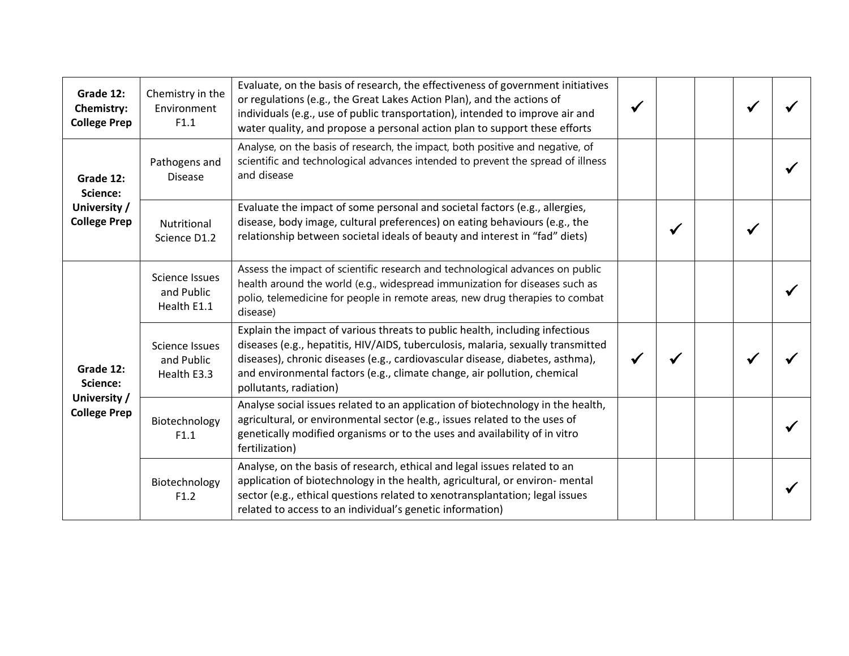| Grade 12:<br>Chemistry:<br><b>College Prep</b>               | Chemistry in the<br>Environment<br>F1.1            | Evaluate, on the basis of research, the effectiveness of government initiatives<br>or regulations (e.g., the Great Lakes Action Plan), and the actions of<br>individuals (e.g., use of public transportation), intended to improve air and<br>water quality, and propose a personal action plan to support these efforts                                |  |  |  |
|--------------------------------------------------------------|----------------------------------------------------|---------------------------------------------------------------------------------------------------------------------------------------------------------------------------------------------------------------------------------------------------------------------------------------------------------------------------------------------------------|--|--|--|
| Grade 12:<br>Science:<br>University /<br><b>College Prep</b> | Pathogens and<br><b>Disease</b>                    | Analyse, on the basis of research, the impact, both positive and negative, of<br>scientific and technological advances intended to prevent the spread of illness<br>and disease                                                                                                                                                                         |  |  |  |
|                                                              | Nutritional<br>Science D1.2                        | Evaluate the impact of some personal and societal factors (e.g., allergies,<br>disease, body image, cultural preferences) on eating behaviours (e.g., the<br>relationship between societal ideals of beauty and interest in "fad" diets)                                                                                                                |  |  |  |
| Grade 12:<br>Science:<br>University /<br><b>College Prep</b> | <b>Science Issues</b><br>and Public<br>Health E1.1 | Assess the impact of scientific research and technological advances on public<br>health around the world (e.g., widespread immunization for diseases such as<br>polio, telemedicine for people in remote areas, new drug therapies to combat<br>disease)                                                                                                |  |  |  |
|                                                              | <b>Science Issues</b><br>and Public<br>Health E3.3 | Explain the impact of various threats to public health, including infectious<br>diseases (e.g., hepatitis, HIV/AIDS, tuberculosis, malaria, sexually transmitted<br>diseases), chronic diseases (e.g., cardiovascular disease, diabetes, asthma),<br>and environmental factors (e.g., climate change, air pollution, chemical<br>pollutants, radiation) |  |  |  |
|                                                              | Biotechnology<br>F1.1                              | Analyse social issues related to an application of biotechnology in the health,<br>agricultural, or environmental sector (e.g., issues related to the uses of<br>genetically modified organisms or to the uses and availability of in vitro<br>fertilization)                                                                                           |  |  |  |
|                                                              | Biotechnology<br>F1.2                              | Analyse, on the basis of research, ethical and legal issues related to an<br>application of biotechnology in the health, agricultural, or environ- mental<br>sector (e.g., ethical questions related to xenotransplantation; legal issues<br>related to access to an individual's genetic information)                                                  |  |  |  |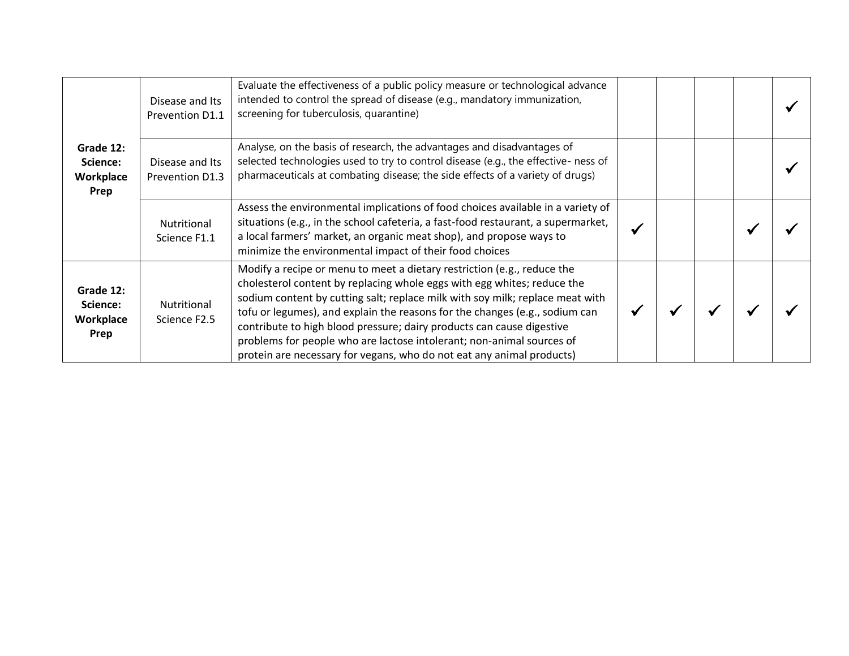| Grade 12:<br>Science:<br>Workplace<br>Prep | Disease and Its<br>Prevention D1.1 | Evaluate the effectiveness of a public policy measure or technological advance<br>intended to control the spread of disease (e.g., mandatory immunization,<br>screening for tuberculosis, quarantine)                                                                                                                                                                                                                                                                                                                                         |  |  |  |
|--------------------------------------------|------------------------------------|-----------------------------------------------------------------------------------------------------------------------------------------------------------------------------------------------------------------------------------------------------------------------------------------------------------------------------------------------------------------------------------------------------------------------------------------------------------------------------------------------------------------------------------------------|--|--|--|
|                                            | Disease and Its<br>Prevention D1.3 | Analyse, on the basis of research, the advantages and disadvantages of<br>selected technologies used to try to control disease (e.g., the effective- ness of<br>pharmaceuticals at combating disease; the side effects of a variety of drugs)                                                                                                                                                                                                                                                                                                 |  |  |  |
|                                            | Nutritional<br>Science F1.1        | Assess the environmental implications of food choices available in a variety of<br>situations (e.g., in the school cafeteria, a fast-food restaurant, a supermarket,<br>a local farmers' market, an organic meat shop), and propose ways to<br>minimize the environmental impact of their food choices                                                                                                                                                                                                                                        |  |  |  |
| Grade 12:<br>Science:<br>Workplace<br>Prep | Nutritional<br>Science F2.5        | Modify a recipe or menu to meet a dietary restriction (e.g., reduce the<br>cholesterol content by replacing whole eggs with egg whites; reduce the<br>sodium content by cutting salt; replace milk with soy milk; replace meat with<br>tofu or legumes), and explain the reasons for the changes (e.g., sodium can<br>contribute to high blood pressure; dairy products can cause digestive<br>problems for people who are lactose intolerant; non-animal sources of<br>protein are necessary for vegans, who do not eat any animal products) |  |  |  |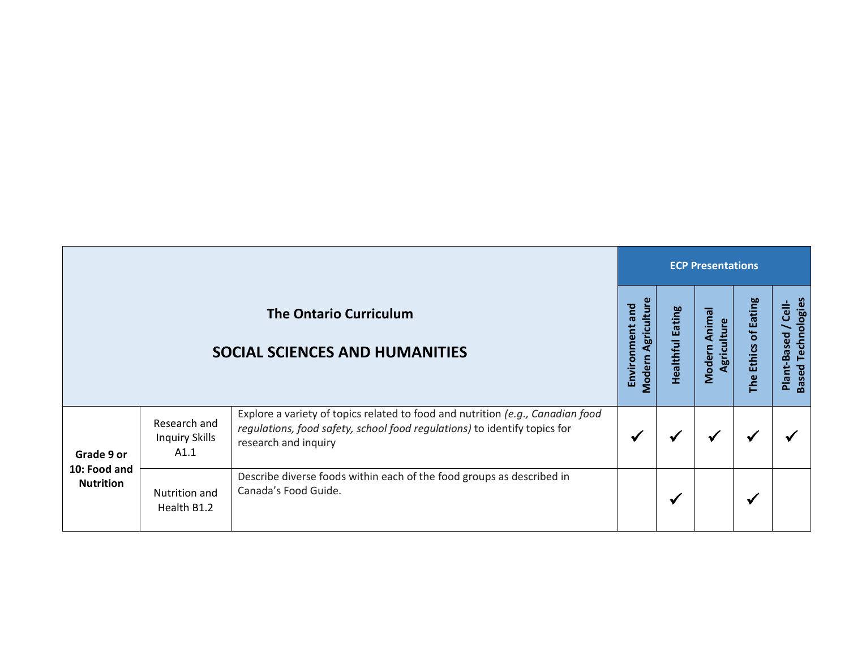|                                                |                                               |                                                                                                                                                                                     | <b>ECP Presentations</b>                               |                            |                                 |                                            |                                                            |  |
|------------------------------------------------|-----------------------------------------------|-------------------------------------------------------------------------------------------------------------------------------------------------------------------------------------|--------------------------------------------------------|----------------------------|---------------------------------|--------------------------------------------|------------------------------------------------------------|--|
|                                                |                                               | <b>The Ontario Curriculum</b><br>SOCIAL SCIENCES AND HUMANITIES                                                                                                                     | $\omega$<br>Agricultur<br>and<br>Environment<br>Modern | Eating<br><b>Healthful</b> | Animal<br>Agriculture<br>Modern | <b>Eating</b><br>ಕ<br><b>Ethics</b><br>The | Technologies<br>Cell-<br>Plant-Based<br>Based <sup>-</sup> |  |
| Grade 9 or<br>10: Food and<br><b>Nutrition</b> | Research and<br><b>Inquiry Skills</b><br>A1.1 | Explore a variety of topics related to food and nutrition (e.g., Canadian food<br>regulations, food safety, school food regulations) to identify topics for<br>research and inquiry |                                                        |                            | ✔                               | ✔                                          |                                                            |  |
|                                                | Nutrition and<br>Health B1.2                  | Describe diverse foods within each of the food groups as described in<br>Canada's Food Guide.                                                                                       |                                                        | ✔                          |                                 | $\checkmark$                               |                                                            |  |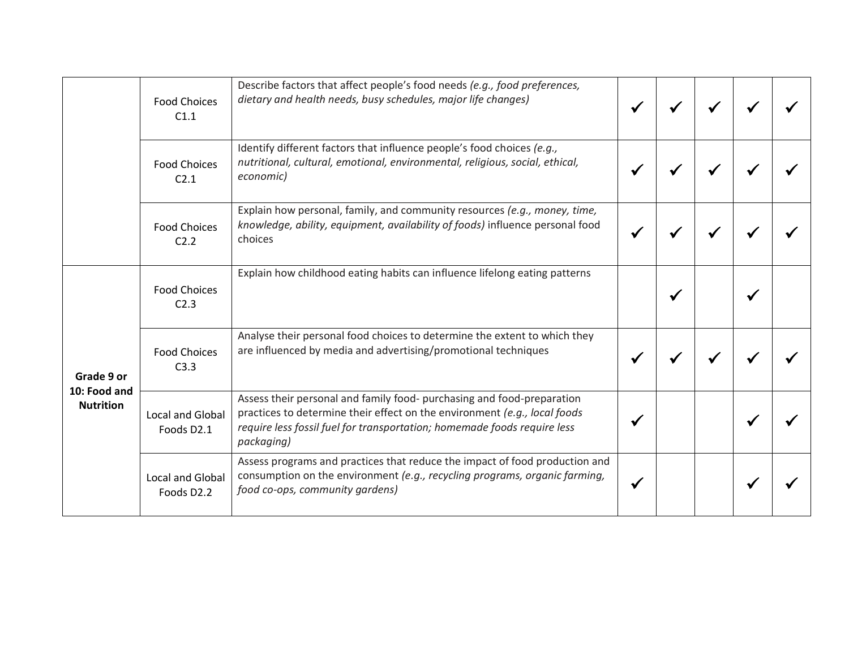|                                                | <b>Food Choices</b><br>C1.1           | Describe factors that affect people's food needs (e.g., food preferences,<br>dietary and health needs, busy schedules, major life changes)                                                                                                    |  |  |  |
|------------------------------------------------|---------------------------------------|-----------------------------------------------------------------------------------------------------------------------------------------------------------------------------------------------------------------------------------------------|--|--|--|
|                                                | <b>Food Choices</b><br>C2.1           | Identify different factors that influence people's food choices (e.g.,<br>nutritional, cultural, emotional, environmental, religious, social, ethical,<br>economic)                                                                           |  |  |  |
|                                                | <b>Food Choices</b><br>C2.2           | Explain how personal, family, and community resources (e.g., money, time,<br>knowledge, ability, equipment, availability of foods) influence personal food<br>choices                                                                         |  |  |  |
| Grade 9 or<br>10: Food and<br><b>Nutrition</b> | <b>Food Choices</b><br>C2.3           | Explain how childhood eating habits can influence lifelong eating patterns                                                                                                                                                                    |  |  |  |
|                                                | <b>Food Choices</b><br>C3.3           | Analyse their personal food choices to determine the extent to which they<br>are influenced by media and advertising/promotional techniques                                                                                                   |  |  |  |
|                                                | <b>Local and Global</b><br>Foods D2.1 | Assess their personal and family food- purchasing and food-preparation<br>practices to determine their effect on the environment (e.g., local foods<br>require less fossil fuel for transportation; homemade foods require less<br>packaging) |  |  |  |
|                                                | <b>Local and Global</b><br>Foods D2.2 | Assess programs and practices that reduce the impact of food production and<br>consumption on the environment (e.g., recycling programs, organic farming,<br>food co-ops, community gardens)                                                  |  |  |  |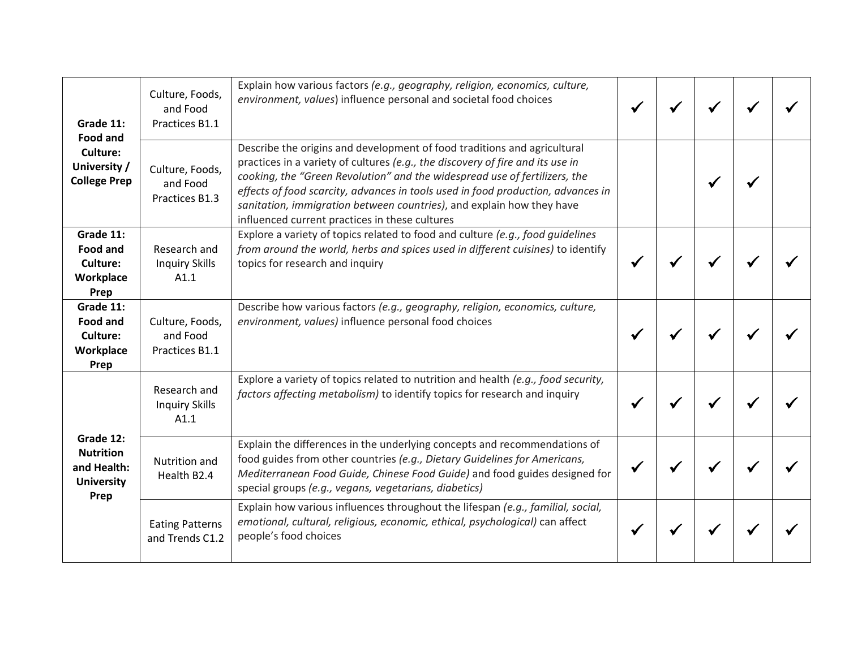| Grade 11:<br><b>Food and</b><br>Culture:<br>University /<br><b>College Prep</b> | Culture, Foods,<br>and Food<br>Practices B1.1 | Explain how various factors (e.g., geography, religion, economics, culture,<br>environment, values) influence personal and societal food choices                                                                                                                                                                                                                                                                                                        |  |  |  |
|---------------------------------------------------------------------------------|-----------------------------------------------|---------------------------------------------------------------------------------------------------------------------------------------------------------------------------------------------------------------------------------------------------------------------------------------------------------------------------------------------------------------------------------------------------------------------------------------------------------|--|--|--|
|                                                                                 | Culture, Foods,<br>and Food<br>Practices B1.3 | Describe the origins and development of food traditions and agricultural<br>practices in a variety of cultures (e.g., the discovery of fire and its use in<br>cooking, the "Green Revolution" and the widespread use of fertilizers, the<br>effects of food scarcity, advances in tools used in food production, advances in<br>sanitation, immigration between countries), and explain how they have<br>influenced current practices in these cultures |  |  |  |
| Grade 11:<br>Food and<br>Culture:<br>Workplace<br>Prep                          | Research and<br><b>Inquiry Skills</b><br>A1.1 | Explore a variety of topics related to food and culture (e.g., food guidelines<br>from around the world, herbs and spices used in different cuisines) to identify<br>topics for research and inquiry                                                                                                                                                                                                                                                    |  |  |  |
| Grade 11:<br>Food and<br>Culture:<br>Workplace<br>Prep                          | Culture, Foods,<br>and Food<br>Practices B1.1 | Describe how various factors (e.g., geography, religion, economics, culture,<br>environment, values) influence personal food choices                                                                                                                                                                                                                                                                                                                    |  |  |  |
|                                                                                 | Research and<br><b>Inquiry Skills</b><br>A1.1 | Explore a variety of topics related to nutrition and health (e.g., food security,<br>factors affecting metabolism) to identify topics for research and inquiry                                                                                                                                                                                                                                                                                          |  |  |  |
| Grade 12:<br><b>Nutrition</b><br>and Health:<br><b>University</b><br>Prep       | Nutrition and<br>Health B2.4                  | Explain the differences in the underlying concepts and recommendations of<br>food guides from other countries (e.g., Dietary Guidelines for Americans,<br>Mediterranean Food Guide, Chinese Food Guide) and food guides designed for<br>special groups (e.g., vegans, vegetarians, diabetics)                                                                                                                                                           |  |  |  |
|                                                                                 | <b>Eating Patterns</b><br>and Trends C1.2     | Explain how various influences throughout the lifespan (e.g., familial, social,<br>emotional, cultural, religious, economic, ethical, psychological) can affect<br>people's food choices                                                                                                                                                                                                                                                                |  |  |  |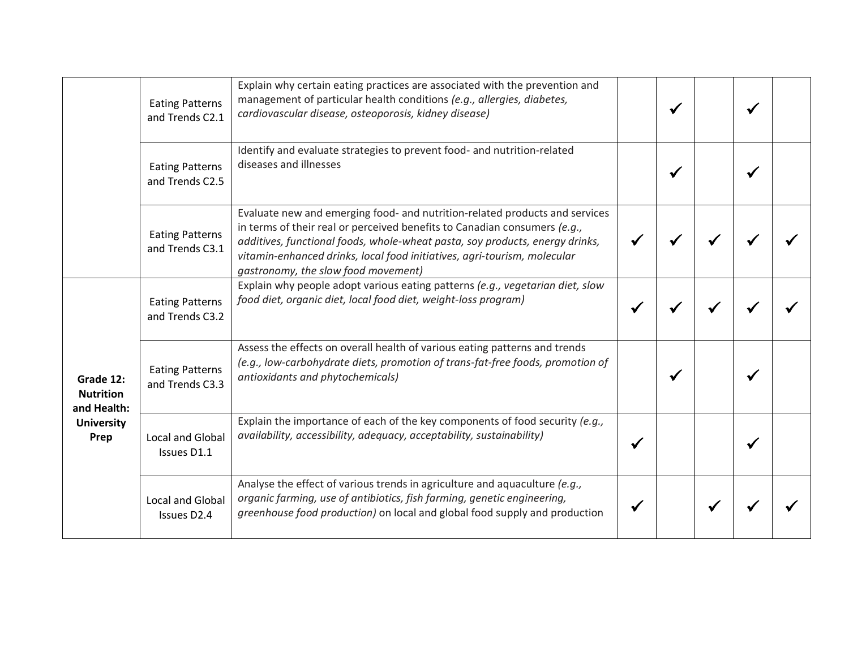|                                                                           | <b>Eating Patterns</b><br>and Trends C2.1 | Explain why certain eating practices are associated with the prevention and<br>management of particular health conditions (e.g., allergies, diabetes,<br>cardiovascular disease, osteoporosis, kidney disease)                                                                                                                                              |  |  |  |
|---------------------------------------------------------------------------|-------------------------------------------|-------------------------------------------------------------------------------------------------------------------------------------------------------------------------------------------------------------------------------------------------------------------------------------------------------------------------------------------------------------|--|--|--|
|                                                                           | <b>Eating Patterns</b><br>and Trends C2.5 | Identify and evaluate strategies to prevent food- and nutrition-related<br>diseases and illnesses                                                                                                                                                                                                                                                           |  |  |  |
|                                                                           | <b>Eating Patterns</b><br>and Trends C3.1 | Evaluate new and emerging food- and nutrition-related products and services<br>in terms of their real or perceived benefits to Canadian consumers (e.g.,<br>additives, functional foods, whole-wheat pasta, soy products, energy drinks,<br>vitamin-enhanced drinks, local food initiatives, agri-tourism, molecular<br>gastronomy, the slow food movement) |  |  |  |
| Grade 12:<br><b>Nutrition</b><br>and Health:<br><b>University</b><br>Prep | <b>Eating Patterns</b><br>and Trends C3.2 | Explain why people adopt various eating patterns (e.g., vegetarian diet, slow<br>food diet, organic diet, local food diet, weight-loss program)                                                                                                                                                                                                             |  |  |  |
|                                                                           | <b>Eating Patterns</b><br>and Trends C3.3 | Assess the effects on overall health of various eating patterns and trends<br>(e.g., low-carbohydrate diets, promotion of trans-fat-free foods, promotion of<br>antioxidants and phytochemicals)                                                                                                                                                            |  |  |  |
|                                                                           | <b>Local and Global</b><br>Issues D1.1    | Explain the importance of each of the key components of food security (e.g.,<br>availability, accessibility, adequacy, acceptability, sustainability)                                                                                                                                                                                                       |  |  |  |
|                                                                           | Local and Global<br>Issues D2.4           | Analyse the effect of various trends in agriculture and aquaculture (e.g.,<br>organic farming, use of antibiotics, fish farming, genetic engineering,<br>greenhouse food production) on local and global food supply and production                                                                                                                         |  |  |  |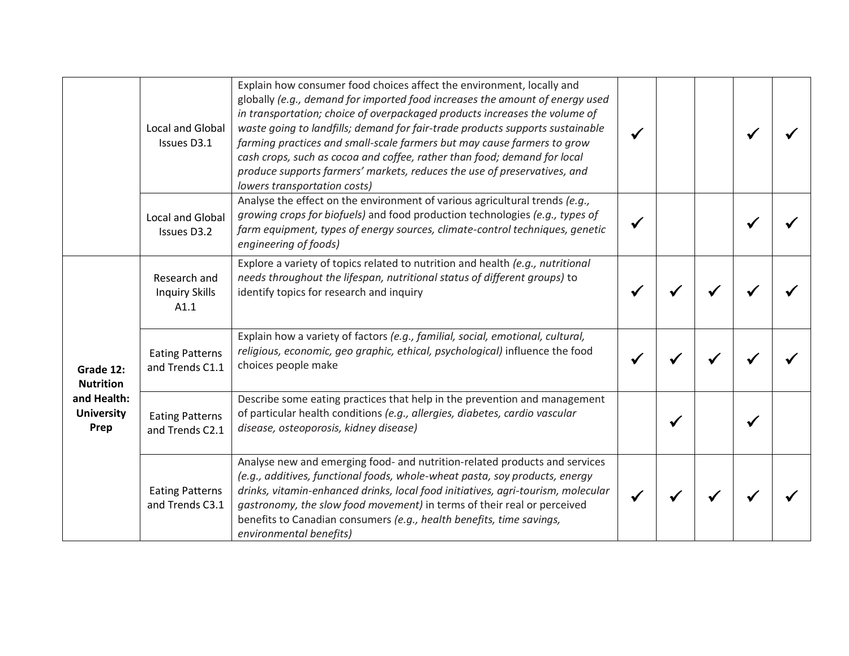|                                                                           | <b>Local and Global</b><br>Issues D3.1        | Explain how consumer food choices affect the environment, locally and<br>globally (e.g., demand for imported food increases the amount of energy used<br>in transportation; choice of overpackaged products increases the volume of<br>waste going to landfills; demand for fair-trade products supports sustainable<br>farming practices and small-scale farmers but may cause farmers to grow<br>cash crops, such as cocoa and coffee, rather than food; demand for local<br>produce supports farmers' markets, reduces the use of preservatives, and<br>lowers transportation costs) |  |  |  |
|---------------------------------------------------------------------------|-----------------------------------------------|-----------------------------------------------------------------------------------------------------------------------------------------------------------------------------------------------------------------------------------------------------------------------------------------------------------------------------------------------------------------------------------------------------------------------------------------------------------------------------------------------------------------------------------------------------------------------------------------|--|--|--|
|                                                                           | <b>Local and Global</b><br>Issues D3.2        | Analyse the effect on the environment of various agricultural trends (e.g.,<br>growing crops for biofuels) and food production technologies (e.g., types of<br>farm equipment, types of energy sources, climate-control techniques, genetic<br>engineering of foods)                                                                                                                                                                                                                                                                                                                    |  |  |  |
| Grade 12:<br><b>Nutrition</b><br>and Health:<br><b>University</b><br>Prep | Research and<br><b>Inquiry Skills</b><br>A1.1 | Explore a variety of topics related to nutrition and health (e.g., nutritional<br>needs throughout the lifespan, nutritional status of different groups) to<br>identify topics for research and inquiry                                                                                                                                                                                                                                                                                                                                                                                 |  |  |  |
|                                                                           | <b>Eating Patterns</b><br>and Trends C1.1     | Explain how a variety of factors (e.g., familial, social, emotional, cultural,<br>religious, economic, geo graphic, ethical, psychological) influence the food<br>choices people make                                                                                                                                                                                                                                                                                                                                                                                                   |  |  |  |
|                                                                           | <b>Eating Patterns</b><br>and Trends C2.1     | Describe some eating practices that help in the prevention and management<br>of particular health conditions (e.g., allergies, diabetes, cardio vascular<br>disease, osteoporosis, kidney disease)                                                                                                                                                                                                                                                                                                                                                                                      |  |  |  |
|                                                                           | <b>Eating Patterns</b><br>and Trends C3.1     | Analyse new and emerging food- and nutrition-related products and services<br>(e.g., additives, functional foods, whole-wheat pasta, soy products, energy<br>drinks, vitamin-enhanced drinks, local food initiatives, agri-tourism, molecular<br>gastronomy, the slow food movement) in terms of their real or perceived<br>benefits to Canadian consumers (e.g., health benefits, time savings,<br>environmental benefits)                                                                                                                                                             |  |  |  |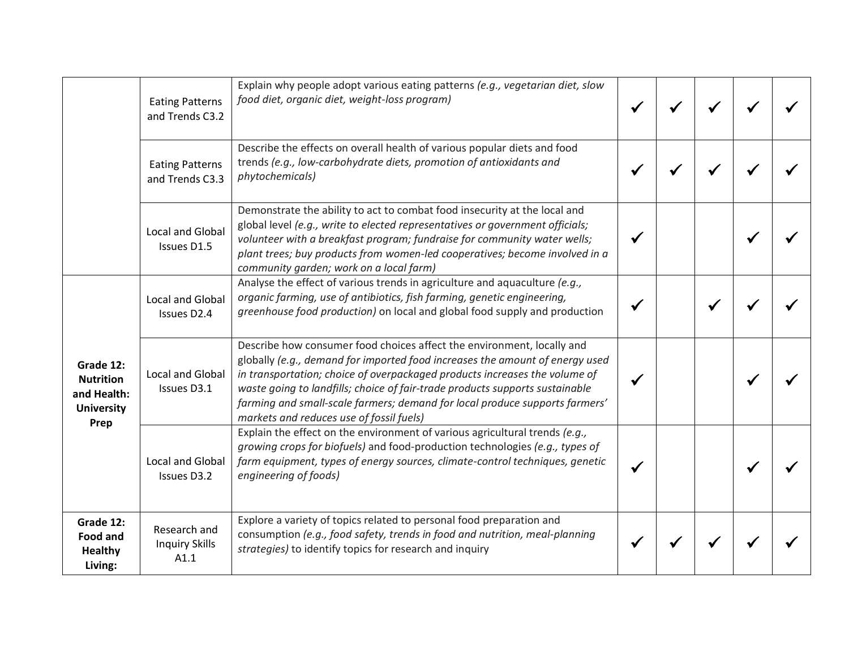|                                                                           | <b>Eating Patterns</b><br>and Trends C3.2     | Explain why people adopt various eating patterns (e.g., vegetarian diet, slow<br>food diet, organic diet, weight-loss program)                                                                                                                                                                                                                                                                                                                  |  |  |  |
|---------------------------------------------------------------------------|-----------------------------------------------|-------------------------------------------------------------------------------------------------------------------------------------------------------------------------------------------------------------------------------------------------------------------------------------------------------------------------------------------------------------------------------------------------------------------------------------------------|--|--|--|
|                                                                           | <b>Eating Patterns</b><br>and Trends C3.3     | Describe the effects on overall health of various popular diets and food<br>trends (e.g., low-carbohydrate diets, promotion of antioxidants and<br>phytochemicals)                                                                                                                                                                                                                                                                              |  |  |  |
|                                                                           | <b>Local and Global</b><br>Issues D1.5        | Demonstrate the ability to act to combat food insecurity at the local and<br>global level (e.g., write to elected representatives or government officials;<br>volunteer with a breakfast program; fundraise for community water wells;<br>plant trees; buy products from women-led cooperatives; become involved in a<br>community garden; work on a local farm)                                                                                |  |  |  |
| Grade 12:<br><b>Nutrition</b><br>and Health:<br><b>University</b><br>Prep | Local and Global<br>Issues D2.4               | Analyse the effect of various trends in agriculture and aquaculture (e.g.,<br>organic farming, use of antibiotics, fish farming, genetic engineering,<br>greenhouse food production) on local and global food supply and production                                                                                                                                                                                                             |  |  |  |
|                                                                           | Local and Global<br>Issues D3.1               | Describe how consumer food choices affect the environment, locally and<br>globally (e.g., demand for imported food increases the amount of energy used<br>in transportation; choice of overpackaged products increases the volume of<br>waste going to landfills; choice of fair-trade products supports sustainable<br>farming and small-scale farmers; demand for local produce supports farmers'<br>markets and reduces use of fossil fuels) |  |  |  |
|                                                                           | Local and Global<br>Issues D3.2               | Explain the effect on the environment of various agricultural trends (e.g.,<br>growing crops for biofuels) and food-production technologies (e.g., types of<br>farm equipment, types of energy sources, climate-control techniques, genetic<br>engineering of foods)                                                                                                                                                                            |  |  |  |
| Grade 12:<br>Food and<br><b>Healthy</b><br>Living:                        | Research and<br><b>Inquiry Skills</b><br>A1.1 | Explore a variety of topics related to personal food preparation and<br>consumption (e.g., food safety, trends in food and nutrition, meal-planning<br>strategies) to identify topics for research and inquiry                                                                                                                                                                                                                                  |  |  |  |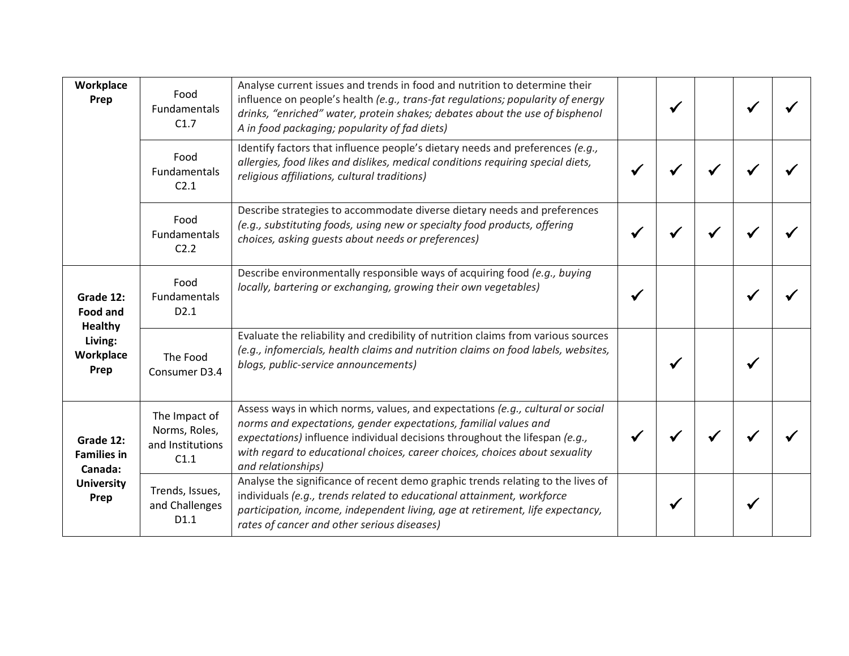| Workplace<br>Prep                                                                                                                                         | Food<br><b>Fundamentals</b><br>C1.7                        | Analyse current issues and trends in food and nutrition to determine their<br>influence on people's health (e.g., trans-fat regulations; popularity of energy<br>drinks, "enriched" water, protein shakes; debates about the use of bisphenol<br>A in food packaging; popularity of fad diets)                                         |  |  |  |
|-----------------------------------------------------------------------------------------------------------------------------------------------------------|------------------------------------------------------------|----------------------------------------------------------------------------------------------------------------------------------------------------------------------------------------------------------------------------------------------------------------------------------------------------------------------------------------|--|--|--|
|                                                                                                                                                           | Food<br>Fundamentals<br>C <sub>2.1</sub>                   | Identify factors that influence people's dietary needs and preferences (e.g.,<br>allergies, food likes and dislikes, medical conditions requiring special diets,<br>religious affiliations, cultural traditions)                                                                                                                       |  |  |  |
|                                                                                                                                                           | Food<br>Fundamentals<br>C <sub>2.2</sub>                   | Describe strategies to accommodate diverse dietary needs and preferences<br>(e.g., substituting foods, using new or specialty food products, offering<br>choices, asking quests about needs or preferences)                                                                                                                            |  |  |  |
| Grade 12:<br><b>Food and</b><br><b>Healthy</b><br>Living:<br>Workplace<br>Prep<br>Grade 12:<br><b>Families in</b><br>Canada:<br><b>University</b><br>Prep | Food<br>Fundamentals<br>D <sub>2.1</sub>                   | Describe environmentally responsible ways of acquiring food (e.g., buying<br>locally, bartering or exchanging, growing their own vegetables)                                                                                                                                                                                           |  |  |  |
|                                                                                                                                                           | The Food<br>Consumer D3.4                                  | Evaluate the reliability and credibility of nutrition claims from various sources<br>(e.g., infomercials, health claims and nutrition claims on food labels, websites,<br>blogs, public-service announcements)                                                                                                                         |  |  |  |
|                                                                                                                                                           | The Impact of<br>Norms, Roles,<br>and Institutions<br>C1.1 | Assess ways in which norms, values, and expectations (e.g., cultural or social<br>norms and expectations, gender expectations, familial values and<br>expectations) influence individual decisions throughout the lifespan (e.g.,<br>with regard to educational choices, career choices, choices about sexuality<br>and relationships) |  |  |  |
|                                                                                                                                                           | Trends, Issues,<br>and Challenges<br>D <sub>1.1</sub>      | Analyse the significance of recent demo graphic trends relating to the lives of<br>individuals (e.g., trends related to educational attainment, workforce<br>participation, income, independent living, age at retirement, life expectancy,<br>rates of cancer and other serious diseases)                                             |  |  |  |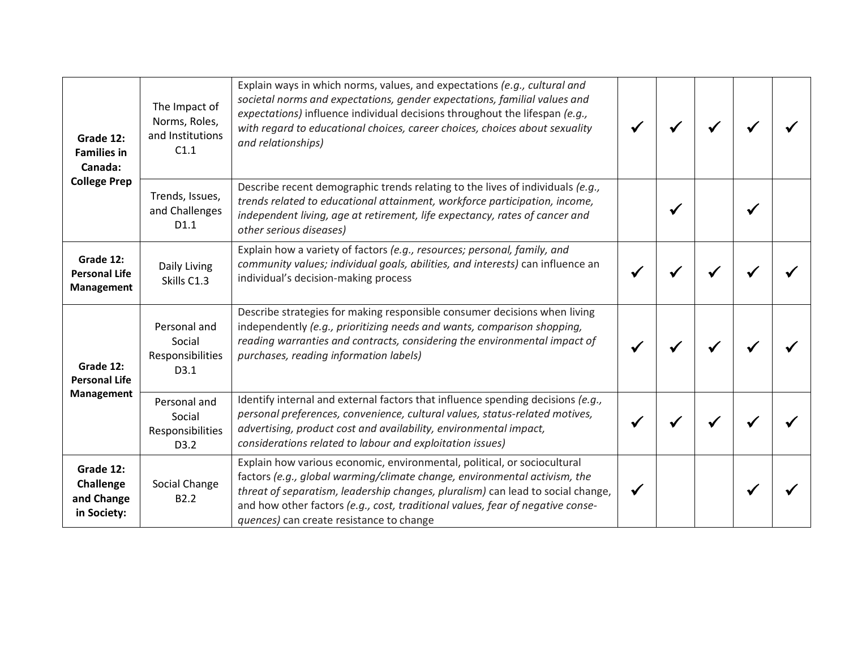| Grade 12:<br><b>Families in</b><br>Canada:<br><b>College Prep</b> | The Impact of<br>Norms, Roles,<br>and Institutions<br>C1.1 | Explain ways in which norms, values, and expectations (e.g., cultural and<br>societal norms and expectations, gender expectations, familial values and<br>expectations) influence individual decisions throughout the lifespan (e.g.,<br>with regard to educational choices, career choices, choices about sexuality<br>and relationships)                             |  |  |  |
|-------------------------------------------------------------------|------------------------------------------------------------|------------------------------------------------------------------------------------------------------------------------------------------------------------------------------------------------------------------------------------------------------------------------------------------------------------------------------------------------------------------------|--|--|--|
|                                                                   | Trends, Issues,<br>and Challenges<br>D <sub>1.1</sub>      | Describe recent demographic trends relating to the lives of individuals (e.g.,<br>trends related to educational attainment, workforce participation, income,<br>independent living, age at retirement, life expectancy, rates of cancer and<br>other serious diseases)                                                                                                 |  |  |  |
| Grade 12:<br><b>Personal Life</b><br>Management                   | Daily Living<br>Skills C1.3                                | Explain how a variety of factors (e.g., resources; personal, family, and<br>community values; individual goals, abilities, and interests) can influence an<br>individual's decision-making process                                                                                                                                                                     |  |  |  |
| Grade 12:<br><b>Personal Life</b><br>Management                   | Personal and<br>Social<br>Responsibilities<br>D3.1         | Describe strategies for making responsible consumer decisions when living<br>independently (e.g., prioritizing needs and wants, comparison shopping,<br>reading warranties and contracts, considering the environmental impact of<br>purchases, reading information labels)                                                                                            |  |  |  |
|                                                                   | Personal and<br>Social<br>Responsibilities<br>D3.2         | Identify internal and external factors that influence spending decisions (e.g.,<br>personal preferences, convenience, cultural values, status-related motives,<br>advertising, product cost and availability, environmental impact,<br>considerations related to labour and exploitation issues)                                                                       |  |  |  |
| Grade 12:<br>Challenge<br>and Change<br>in Society:               | Social Change<br>B <sub>2.2</sub>                          | Explain how various economic, environmental, political, or sociocultural<br>factors (e.g., global warming/climate change, environmental activism, the<br>threat of separatism, leadership changes, pluralism) can lead to social change,<br>and how other factors (e.g., cost, traditional values, fear of negative conse-<br>quences) can create resistance to change |  |  |  |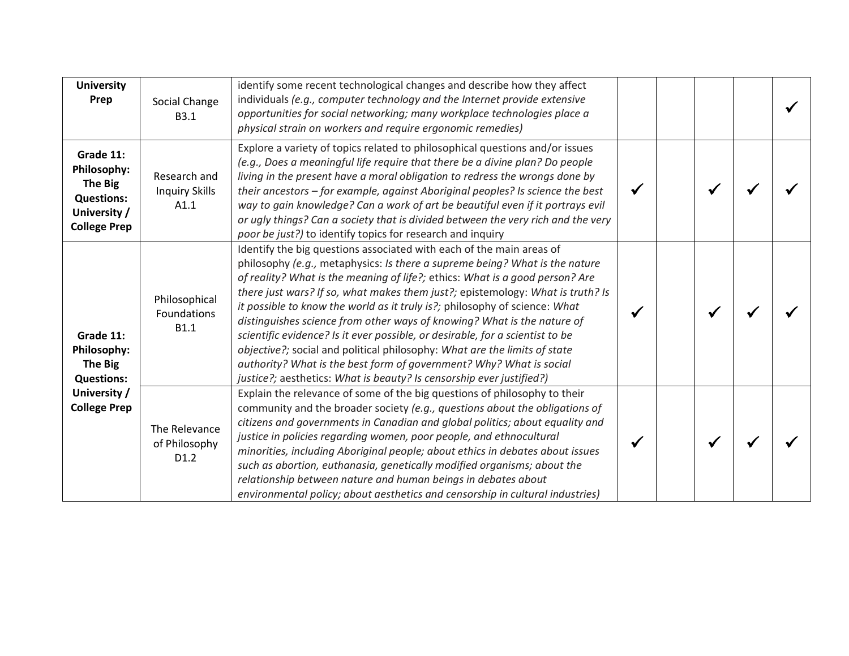| <b>University</b><br>Prep                                                                       | Social Change<br>B3.1                         | identify some recent technological changes and describe how they affect<br>individuals (e.g., computer technology and the Internet provide extensive<br>opportunities for social networking; many workplace technologies place a<br>physical strain on workers and require ergonomic remedies)                                                                                                                                                                                                                                                                                                                                                                                                                                                                                              |  |  |  |
|-------------------------------------------------------------------------------------------------|-----------------------------------------------|---------------------------------------------------------------------------------------------------------------------------------------------------------------------------------------------------------------------------------------------------------------------------------------------------------------------------------------------------------------------------------------------------------------------------------------------------------------------------------------------------------------------------------------------------------------------------------------------------------------------------------------------------------------------------------------------------------------------------------------------------------------------------------------------|--|--|--|
| Grade 11:<br>Philosophy:<br>The Big<br><b>Questions:</b><br>University /<br><b>College Prep</b> | Research and<br><b>Inquiry Skills</b><br>A1.1 | Explore a variety of topics related to philosophical questions and/or issues<br>(e.g., Does a meaningful life require that there be a divine plan? Do people<br>living in the present have a moral obligation to redress the wrongs done by<br>their ancestors - for example, against Aboriginal peoples? Is science the best<br>way to gain knowledge? Can a work of art be beautiful even if it portrays evil<br>or ugly things? Can a society that is divided between the very rich and the very<br>poor be just?) to identify topics for research and inquiry                                                                                                                                                                                                                           |  |  |  |
| Grade 11:<br>Philosophy:<br><b>The Big</b><br><b>Questions:</b>                                 | Philosophical<br>Foundations<br><b>B1.1</b>   | Identify the big questions associated with each of the main areas of<br>philosophy (e.g., metaphysics: Is there a supreme being? What is the nature<br>of reality? What is the meaning of life?; ethics: What is a good person? Are<br>there just wars? If so, what makes them just?; epistemology: What is truth? Is<br>it possible to know the world as it truly is?; philosophy of science: What<br>distinguishes science from other ways of knowing? What is the nature of<br>scientific evidence? Is it ever possible, or desirable, for a scientist to be<br>objective?; social and political philosophy: What are the limits of state<br>authority? What is the best form of government? Why? What is social<br>justice?; aesthetics: What is beauty? Is censorship ever justified?) |  |  |  |
| University /<br><b>College Prep</b>                                                             | The Relevance<br>of Philosophy<br>D1.2        | Explain the relevance of some of the big questions of philosophy to their<br>community and the broader society (e.g., questions about the obligations of<br>citizens and governments in Canadian and global politics; about equality and<br>justice in policies regarding women, poor people, and ethnocultural<br>minorities, including Aboriginal people; about ethics in debates about issues<br>such as abortion, euthanasia, genetically modified organisms; about the<br>relationship between nature and human beings in debates about<br>environmental policy; about aesthetics and censorship in cultural industries)                                                                                                                                                               |  |  |  |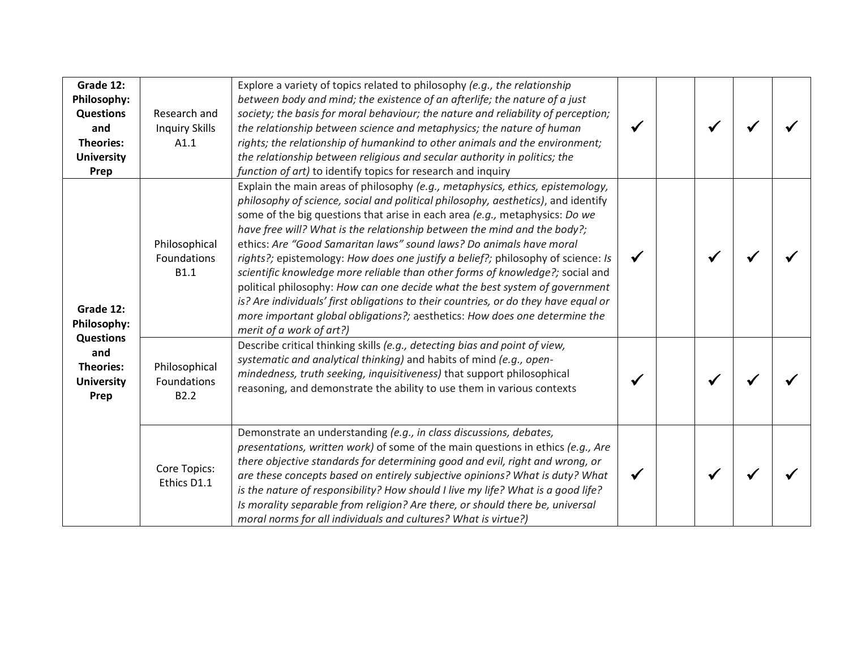| Grade 12:<br>Philosophy:<br><b>Questions</b><br>and<br><b>Theories:</b><br><b>University</b><br>Prep | Research and<br><b>Inquiry Skills</b><br>A1.1    | Explore a variety of topics related to philosophy (e.g., the relationship<br>between body and mind; the existence of an afterlife; the nature of a just<br>society; the basis for moral behaviour; the nature and reliability of perception;<br>the relationship between science and metaphysics; the nature of human<br>rights; the relationship of humankind to other animals and the environment;<br>the relationship between religious and secular authority in politics; the<br>function of art) to identify topics for research and inquiry                                                                                                                                                                                                                                                                                                          | $\checkmark$ | $\checkmark$ |  |
|------------------------------------------------------------------------------------------------------|--------------------------------------------------|------------------------------------------------------------------------------------------------------------------------------------------------------------------------------------------------------------------------------------------------------------------------------------------------------------------------------------------------------------------------------------------------------------------------------------------------------------------------------------------------------------------------------------------------------------------------------------------------------------------------------------------------------------------------------------------------------------------------------------------------------------------------------------------------------------------------------------------------------------|--------------|--------------|--|
| Grade 12:<br>Philosophy:                                                                             | Philosophical<br>Foundations<br><b>B1.1</b>      | Explain the main areas of philosophy (e.g., metaphysics, ethics, epistemology,<br>philosophy of science, social and political philosophy, aesthetics), and identify<br>some of the big questions that arise in each area (e.g., metaphysics: Do we<br>have free will? What is the relationship between the mind and the body?;<br>ethics: Are "Good Samaritan laws" sound laws? Do animals have moral<br>rights?; epistemology: How does one justify a belief?; philosophy of science: Is<br>scientific knowledge more reliable than other forms of knowledge?; social and<br>political philosophy: How can one decide what the best system of government<br>is? Are individuals' first obligations to their countries, or do they have equal or<br>more important global obligations?; aesthetics: How does one determine the<br>merit of a work of art?) |              | ✔            |  |
| <b>Questions</b><br>and<br><b>Theories:</b><br><b>University</b><br>Prep                             | Philosophical<br>Foundations<br>B <sub>2.2</sub> | Describe critical thinking skills (e.g., detecting bias and point of view,<br>systematic and analytical thinking) and habits of mind (e.g., open-<br>mindedness, truth seeking, inquisitiveness) that support philosophical<br>reasoning, and demonstrate the ability to use them in various contexts                                                                                                                                                                                                                                                                                                                                                                                                                                                                                                                                                      |              |              |  |
|                                                                                                      | Core Topics:<br>Ethics D1.1                      | Demonstrate an understanding (e.g., in class discussions, debates,<br>presentations, written work) of some of the main questions in ethics (e.g., Are<br>there objective standards for determining good and evil, right and wrong, or<br>are these concepts based on entirely subjective opinions? What is duty? What<br>is the nature of responsibility? How should I live my life? What is a good life?<br>Is morality separable from religion? Are there, or should there be, universal<br>moral norms for all individuals and cultures? What is virtue?)                                                                                                                                                                                                                                                                                               | $\checkmark$ |              |  |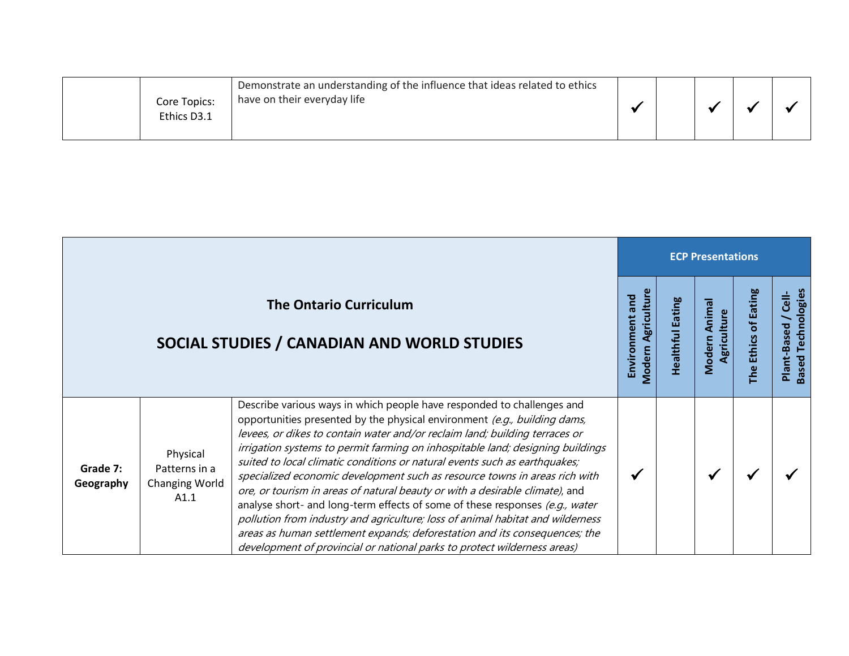|  | Core Topics:<br>Ethics D3.1 | Demonstrate an understanding of the influence that ideas related to ethics<br>have on their everyday life |  |  |  |  |  |
|--|-----------------------------|-----------------------------------------------------------------------------------------------------------|--|--|--|--|--|
|--|-----------------------------|-----------------------------------------------------------------------------------------------------------|--|--|--|--|--|

 $\mathcal{L}(\mathcal{A})$ 

|                       |                                                     |                                                                                                                                                                                                                                                                                                                                                                                                                                                                                                                                                                                                                                                                                                                                                                                                                                                                                              |                                                |                                 | <b>ECP Presentations</b>        |                                  |                                                          |
|-----------------------|-----------------------------------------------------|----------------------------------------------------------------------------------------------------------------------------------------------------------------------------------------------------------------------------------------------------------------------------------------------------------------------------------------------------------------------------------------------------------------------------------------------------------------------------------------------------------------------------------------------------------------------------------------------------------------------------------------------------------------------------------------------------------------------------------------------------------------------------------------------------------------------------------------------------------------------------------------------|------------------------------------------------|---------------------------------|---------------------------------|----------------------------------|----------------------------------------------------------|
|                       |                                                     | <b>The Ontario Curriculum</b><br>SOCIAL STUDIES / CANADIAN AND WORLD STUDIES                                                                                                                                                                                                                                                                                                                                                                                                                                                                                                                                                                                                                                                                                                                                                                                                                 | Agricultur<br>Environment and<br><b>Modern</b> | <b>Eating</b><br>ealthful<br>Ŧ. | Animal<br>Agriculture<br>Modern | <b>Eating</b><br>đ<br>The Ethics | <b>Based Technologies</b><br><b>Cell-</b><br>Plant-Based |
| Grade 7:<br>Geography | Physical<br>Patterns in a<br>Changing World<br>A1.1 | Describe various ways in which people have responded to challenges and<br>opportunities presented by the physical environment (e.g., building dams,<br>levees, or dikes to contain water and/or reclaim land; building terraces or<br>irrigation systems to permit farming on inhospitable land; designing buildings<br>suited to local climatic conditions or natural events such as earthquakes;<br>specialized economic development such as resource towns in areas rich with<br>ore, or tourism in areas of natural beauty or with a desirable climate), and<br>analyse short- and long-term effects of some of these responses (e.g., water<br>pollution from industry and agriculture; loss of animal habitat and wilderness<br>areas as human settlement expands; deforestation and its consequences; the<br>development of provincial or national parks to protect wilderness areas) | ✔                                              |                                 | M                               |                                  |                                                          |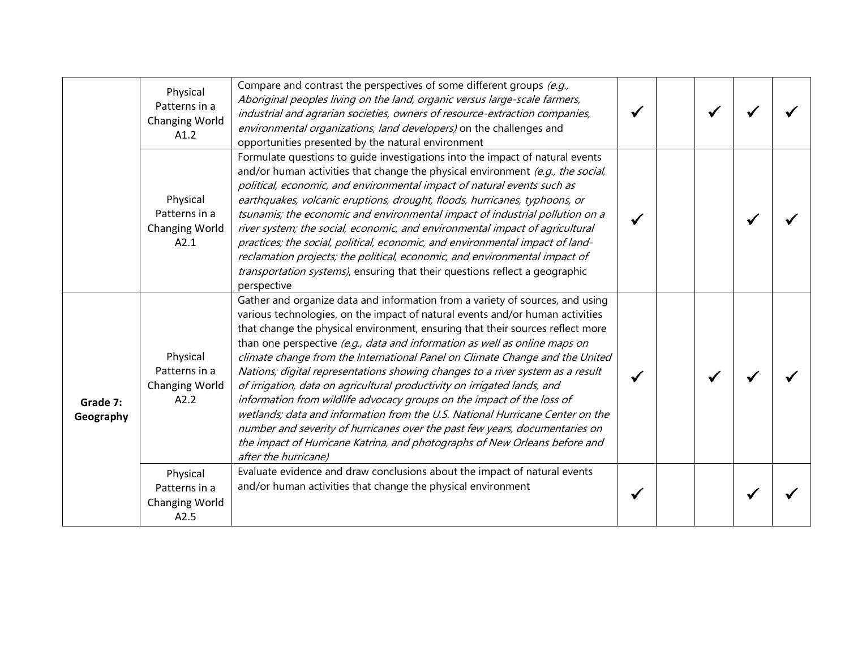|                       | Physical<br>Patterns in a<br><b>Changing World</b><br>A1.2 | Compare and contrast the perspectives of some different groups (e.g.,<br>Aboriginal peoples living on the land, organic versus large-scale farmers,<br>industrial and agrarian societies, owners of resource-extraction companies,<br>environmental organizations, land developers) on the challenges and<br>opportunities presented by the natural environment                                                                                                                                                                                                                                                                                                                                                                                                                                                                                                                                                              |  |  |  |
|-----------------------|------------------------------------------------------------|------------------------------------------------------------------------------------------------------------------------------------------------------------------------------------------------------------------------------------------------------------------------------------------------------------------------------------------------------------------------------------------------------------------------------------------------------------------------------------------------------------------------------------------------------------------------------------------------------------------------------------------------------------------------------------------------------------------------------------------------------------------------------------------------------------------------------------------------------------------------------------------------------------------------------|--|--|--|
|                       | Physical<br>Patterns in a<br><b>Changing World</b><br>A2.1 | Formulate questions to quide investigations into the impact of natural events<br>and/or human activities that change the physical environment (e.g., the social,<br>political, economic, and environmental impact of natural events such as<br>earthquakes, volcanic eruptions, drought, floods, hurricanes, typhoons, or<br>tsunamis; the economic and environmental impact of industrial pollution on a<br>river system; the social, economic, and environmental impact of agricultural<br>practices; the social, political, economic, and environmental impact of land-<br>reclamation projects; the political, economic, and environmental impact of<br>transportation systems), ensuring that their questions reflect a geographic<br>perspective                                                                                                                                                                       |  |  |  |
| Grade 7:<br>Geography | Physical<br>Patterns in a<br><b>Changing World</b><br>A2.2 | Gather and organize data and information from a variety of sources, and using<br>various technologies, on the impact of natural events and/or human activities<br>that change the physical environment, ensuring that their sources reflect more<br>than one perspective (e.g., data and information as well as online maps on<br>climate change from the International Panel on Climate Change and the United<br>Nations; digital representations showing changes to a river system as a result<br>of irrigation, data on agricultural productivity on irrigated lands, and<br>information from wildlife advocacy groups on the impact of the loss of<br>wetlands; data and information from the U.S. National Hurricane Center on the<br>number and severity of hurricanes over the past few years, documentaries on<br>the impact of Hurricane Katrina, and photographs of New Orleans before and<br>after the hurricane) |  |  |  |
|                       | Physical<br>Patterns in a<br><b>Changing World</b><br>A2.5 | Evaluate evidence and draw conclusions about the impact of natural events<br>and/or human activities that change the physical environment                                                                                                                                                                                                                                                                                                                                                                                                                                                                                                                                                                                                                                                                                                                                                                                    |  |  |  |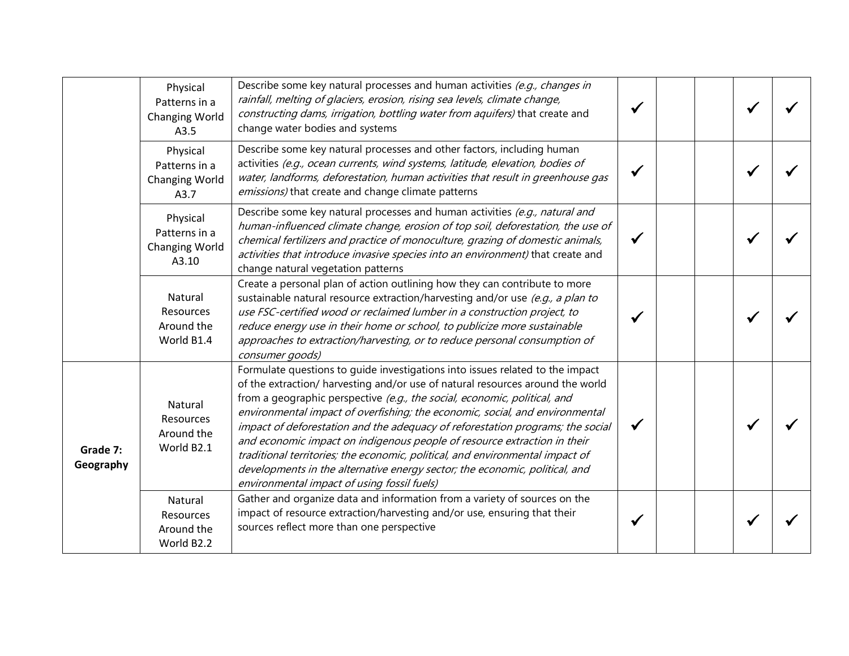|                       | Physical<br>Patterns in a<br>Changing World<br>A3.5         | Describe some key natural processes and human activities (e.g., changes in<br>rainfall, melting of glaciers, erosion, rising sea levels, climate change,<br>constructing dams, irrigation, bottling water from aquifers) that create and<br>change water bodies and systems                                                                                                                                                                                                                                                                                                                                                                                                                               |  |  |  |
|-----------------------|-------------------------------------------------------------|-----------------------------------------------------------------------------------------------------------------------------------------------------------------------------------------------------------------------------------------------------------------------------------------------------------------------------------------------------------------------------------------------------------------------------------------------------------------------------------------------------------------------------------------------------------------------------------------------------------------------------------------------------------------------------------------------------------|--|--|--|
|                       | Physical<br>Patterns in a<br><b>Changing World</b><br>A3.7  | Describe some key natural processes and other factors, including human<br>activities (e.g., ocean currents, wind systems, latitude, elevation, bodies of<br>water, landforms, deforestation, human activities that result in greenhouse gas<br>emissions) that create and change climate patterns                                                                                                                                                                                                                                                                                                                                                                                                         |  |  |  |
|                       | Physical<br>Patterns in a<br><b>Changing World</b><br>A3.10 | Describe some key natural processes and human activities (e.g., natural and<br>human-influenced climate change, erosion of top soil, deforestation, the use of<br>chemical fertilizers and practice of monoculture, grazing of domestic animals,<br>activities that introduce invasive species into an environment) that create and<br>change natural vegetation patterns                                                                                                                                                                                                                                                                                                                                 |  |  |  |
|                       | Natural<br>Resources<br>Around the<br>World B1.4            | Create a personal plan of action outlining how they can contribute to more<br>sustainable natural resource extraction/harvesting and/or use (e.g., a plan to<br>use FSC-certified wood or reclaimed lumber in a construction project, to<br>reduce energy use in their home or school, to publicize more sustainable<br>approaches to extraction/harvesting, or to reduce personal consumption of<br>consumer goods)                                                                                                                                                                                                                                                                                      |  |  |  |
| Grade 7:<br>Geography | Natural<br>Resources<br>Around the<br>World B2.1            | Formulate questions to quide investigations into issues related to the impact<br>of the extraction/ harvesting and/or use of natural resources around the world<br>from a geographic perspective (e.g., the social, economic, political, and<br>environmental impact of overfishing; the economic, social, and environmental<br>impact of deforestation and the adequacy of reforestation programs; the social<br>and economic impact on indigenous people of resource extraction in their<br>traditional territories; the economic, political, and environmental impact of<br>developments in the alternative energy sector; the economic, political, and<br>environmental impact of using fossil fuels) |  |  |  |
|                       | Natural<br>Resources<br>Around the<br>World B2.2            | Gather and organize data and information from a variety of sources on the<br>impact of resource extraction/harvesting and/or use, ensuring that their<br>sources reflect more than one perspective                                                                                                                                                                                                                                                                                                                                                                                                                                                                                                        |  |  |  |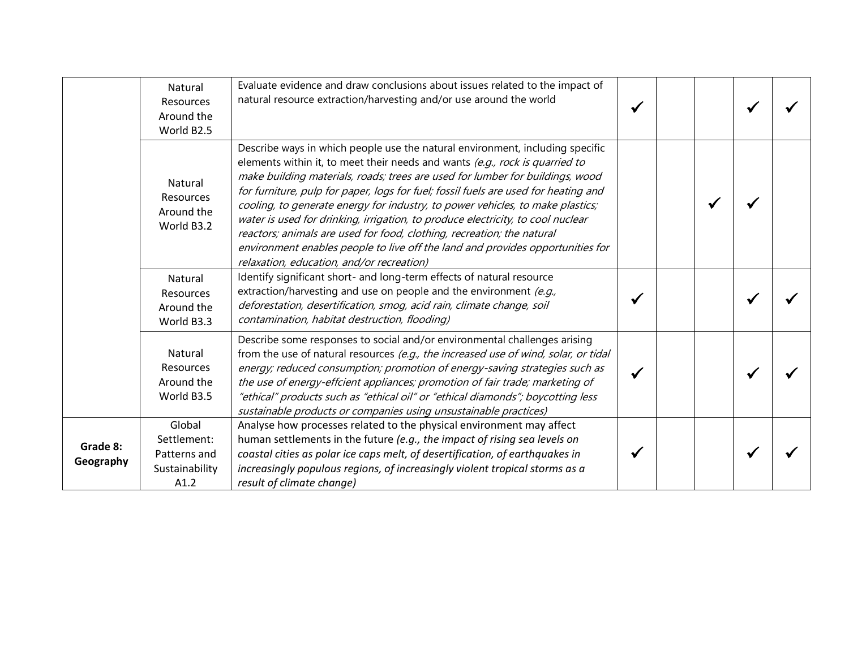|                       | Natural<br>Resources<br>Around the<br>World B2.5                | Evaluate evidence and draw conclusions about issues related to the impact of<br>natural resource extraction/harvesting and/or use around the world                                                                                                                                                                                                                                                                                                                                                                                                                                                                                                                                                                  |  |  |  |
|-----------------------|-----------------------------------------------------------------|---------------------------------------------------------------------------------------------------------------------------------------------------------------------------------------------------------------------------------------------------------------------------------------------------------------------------------------------------------------------------------------------------------------------------------------------------------------------------------------------------------------------------------------------------------------------------------------------------------------------------------------------------------------------------------------------------------------------|--|--|--|
|                       | Natural<br>Resources<br>Around the<br>World B3.2                | Describe ways in which people use the natural environment, including specific<br>elements within it, to meet their needs and wants (e.g., rock is quarried to<br>make building materials, roads; trees are used for lumber for buildings, wood<br>for furniture, pulp for paper, logs for fuel; fossil fuels are used for heating and<br>cooling, to generate energy for industry, to power vehicles, to make plastics;<br>water is used for drinking, irrigation, to produce electricity, to cool nuclear<br>reactors; animals are used for food, clothing, recreation; the natural<br>environment enables people to live off the land and provides opportunities for<br>relaxation, education, and/or recreation) |  |  |  |
|                       | Natural<br>Resources<br>Around the<br>World B3.3                | Identify significant short- and long-term effects of natural resource<br>extraction/harvesting and use on people and the environment $(e.g.,$<br>deforestation, desertification, smog, acid rain, climate change, soil<br>contamination, habitat destruction, flooding)                                                                                                                                                                                                                                                                                                                                                                                                                                             |  |  |  |
|                       | Natural<br>Resources<br>Around the<br>World B3.5                | Describe some responses to social and/or environmental challenges arising<br>from the use of natural resources (e.g., the increased use of wind, solar, or tidal<br>energy; reduced consumption; promotion of energy-saving strategies such as<br>the use of energy-effcient appliances; promotion of fair trade; marketing of<br>"ethical" products such as "ethical oil" or "ethical diamonds"; boycotting less<br>sustainable products or companies using unsustainable practices)                                                                                                                                                                                                                               |  |  |  |
| Grade 8:<br>Geography | Global<br>Settlement:<br>Patterns and<br>Sustainability<br>A1.2 | Analyse how processes related to the physical environment may affect<br>human settlements in the future (e.g., the impact of rising sea levels on<br>coastal cities as polar ice caps melt, of desertification, of earthquakes in<br>increasingly populous regions, of increasingly violent tropical storms as a<br>result of climate change)                                                                                                                                                                                                                                                                                                                                                                       |  |  |  |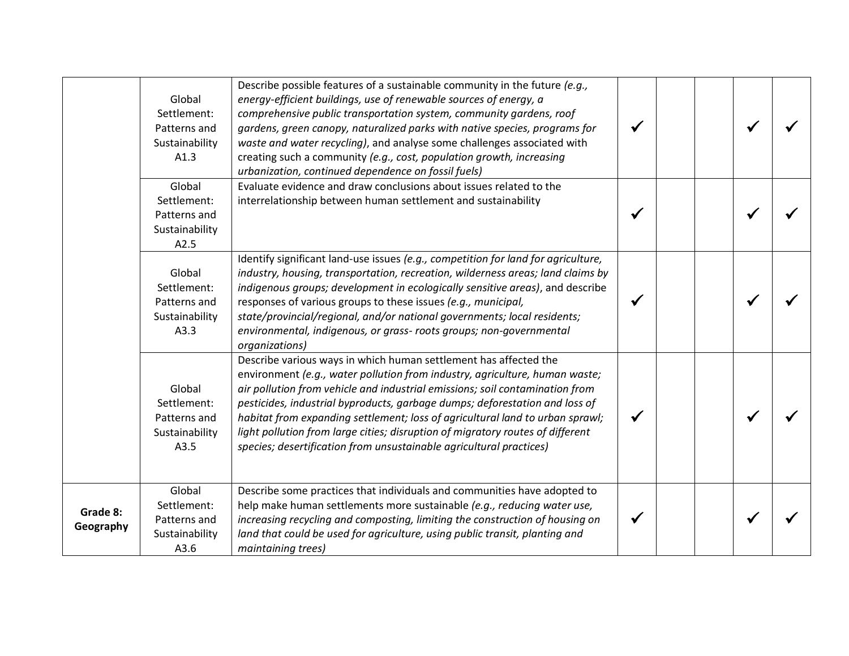|                       | Global<br>Settlement:<br>Patterns and<br>Sustainability<br>A1.3 | Describe possible features of a sustainable community in the future (e.g.,<br>energy-efficient buildings, use of renewable sources of energy, a<br>comprehensive public transportation system, community gardens, roof<br>gardens, green canopy, naturalized parks with native species, programs for<br>waste and water recycling), and analyse some challenges associated with<br>creating such a community (e.g., cost, population growth, increasing<br>urbanization, continued dependence on fossil fuels)                                           |  |  |  |
|-----------------------|-----------------------------------------------------------------|----------------------------------------------------------------------------------------------------------------------------------------------------------------------------------------------------------------------------------------------------------------------------------------------------------------------------------------------------------------------------------------------------------------------------------------------------------------------------------------------------------------------------------------------------------|--|--|--|
|                       | Global<br>Settlement:<br>Patterns and<br>Sustainability<br>A2.5 | Evaluate evidence and draw conclusions about issues related to the<br>interrelationship between human settlement and sustainability                                                                                                                                                                                                                                                                                                                                                                                                                      |  |  |  |
|                       | Global<br>Settlement:<br>Patterns and<br>Sustainability<br>A3.3 | Identify significant land-use issues (e.g., competition for land for agriculture,<br>industry, housing, transportation, recreation, wilderness areas; land claims by<br>indigenous groups; development in ecologically sensitive areas), and describe<br>responses of various groups to these issues (e.g., municipal,<br>state/provincial/regional, and/or national governments; local residents;<br>environmental, indigenous, or grass- roots groups; non-governmental<br>organizations)                                                              |  |  |  |
|                       | Global<br>Settlement:<br>Patterns and<br>Sustainability<br>A3.5 | Describe various ways in which human settlement has affected the<br>environment (e.g., water pollution from industry, agriculture, human waste;<br>air pollution from vehicle and industrial emissions; soil contamination from<br>pesticides, industrial byproducts, garbage dumps; deforestation and loss of<br>habitat from expanding settlement; loss of agricultural land to urban sprawl;<br>light pollution from large cities; disruption of migratory routes of different<br>species; desertification from unsustainable agricultural practices) |  |  |  |
| Grade 8:<br>Geography | Global<br>Settlement:<br>Patterns and<br>Sustainability<br>A3.6 | Describe some practices that individuals and communities have adopted to<br>help make human settlements more sustainable (e.g., reducing water use,<br>increasing recycling and composting, limiting the construction of housing on<br>land that could be used for agriculture, using public transit, planting and<br>maintaining trees)                                                                                                                                                                                                                 |  |  |  |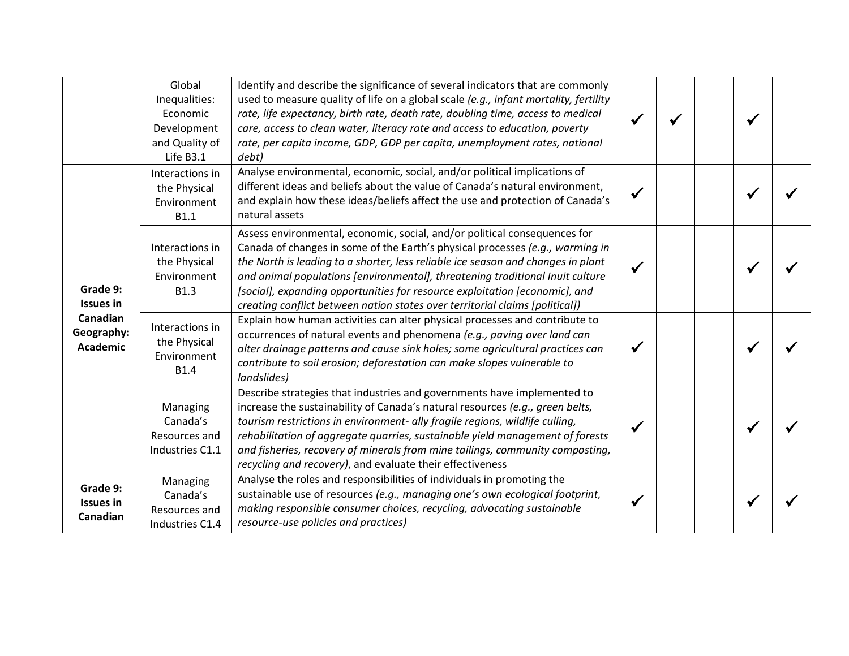|                                           | Global<br>Inequalities:<br>Economic<br>Development<br>and Quality of<br>Life B3.1 | Identify and describe the significance of several indicators that are commonly<br>used to measure quality of life on a global scale (e.g., infant mortality, fertility<br>rate, life expectancy, birth rate, death rate, doubling time, access to medical<br>care, access to clean water, literacy rate and access to education, poverty<br>rate, per capita income, GDP, GDP per capita, unemployment rates, national<br>debt)                                                                |  |  |  |
|-------------------------------------------|-----------------------------------------------------------------------------------|------------------------------------------------------------------------------------------------------------------------------------------------------------------------------------------------------------------------------------------------------------------------------------------------------------------------------------------------------------------------------------------------------------------------------------------------------------------------------------------------|--|--|--|
| Grade 9:<br><b>Issues in</b>              | Interactions in<br>the Physical<br>Environment<br><b>B1.1</b>                     | Analyse environmental, economic, social, and/or political implications of<br>different ideas and beliefs about the value of Canada's natural environment,<br>and explain how these ideas/beliefs affect the use and protection of Canada's<br>natural assets                                                                                                                                                                                                                                   |  |  |  |
|                                           | Interactions in<br>the Physical<br>Environment<br><b>B1.3</b>                     | Assess environmental, economic, social, and/or political consequences for<br>Canada of changes in some of the Earth's physical processes (e.g., warming in<br>the North is leading to a shorter, less reliable ice season and changes in plant<br>and animal populations [environmental], threatening traditional Inuit culture<br>[social], expanding opportunities for resource exploitation [economic], and<br>creating conflict between nation states over territorial claims [political]) |  |  |  |
| Canadian<br>Geography:<br><b>Academic</b> | Interactions in<br>the Physical<br>Environment<br><b>B1.4</b>                     | Explain how human activities can alter physical processes and contribute to<br>occurrences of natural events and phenomena (e.g., paving over land can<br>alter drainage patterns and cause sink holes; some agricultural practices can<br>contribute to soil erosion; deforestation can make slopes vulnerable to<br>landslides)                                                                                                                                                              |  |  |  |
|                                           | Managing<br>Canada's<br>Resources and<br>Industries C1.1                          | Describe strategies that industries and governments have implemented to<br>increase the sustainability of Canada's natural resources (e.g., green belts,<br>tourism restrictions in environment- ally fragile regions, wildlife culling,<br>rehabilitation of aggregate quarries, sustainable yield management of forests<br>and fisheries, recovery of minerals from mine tailings, community composting,<br>recycling and recovery), and evaluate their effectiveness                        |  |  |  |
| Grade 9:<br><b>Issues in</b><br>Canadian  | Managing<br>Canada's<br>Resources and<br>Industries C1.4                          | Analyse the roles and responsibilities of individuals in promoting the<br>sustainable use of resources (e.g., managing one's own ecological footprint,<br>making responsible consumer choices, recycling, advocating sustainable<br>resource-use policies and practices)                                                                                                                                                                                                                       |  |  |  |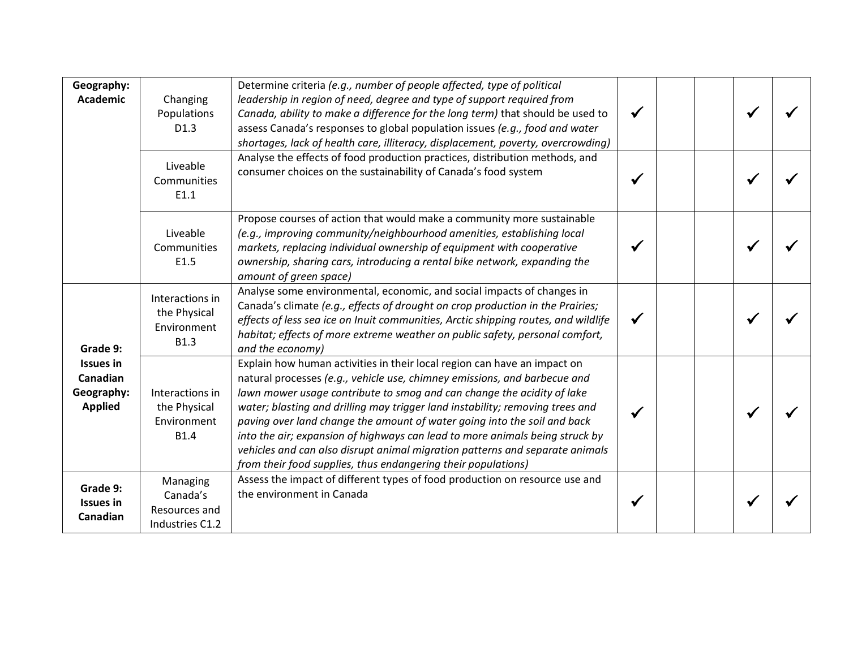| Geography:<br><b>Academic</b>                                            | Changing<br>Populations<br>D <sub>1.3</sub>                   | Determine criteria (e.g., number of people affected, type of political<br>leadership in region of need, degree and type of support required from<br>Canada, ability to make a difference for the long term) that should be used to<br>assess Canada's responses to global population issues (e.g., food and water<br>shortages, lack of health care, illiteracy, displacement, poverty, overcrowding)                                                                                                                                                                                                                         |              |  |  |
|--------------------------------------------------------------------------|---------------------------------------------------------------|-------------------------------------------------------------------------------------------------------------------------------------------------------------------------------------------------------------------------------------------------------------------------------------------------------------------------------------------------------------------------------------------------------------------------------------------------------------------------------------------------------------------------------------------------------------------------------------------------------------------------------|--------------|--|--|
|                                                                          | Liveable<br>Communities<br>E1.1                               | Analyse the effects of food production practices, distribution methods, and<br>consumer choices on the sustainability of Canada's food system                                                                                                                                                                                                                                                                                                                                                                                                                                                                                 |              |  |  |
|                                                                          | Liveable<br>Communities<br>E1.5                               | Propose courses of action that would make a community more sustainable<br>(e.g., improving community/neighbourhood amenities, establishing local<br>markets, replacing individual ownership of equipment with cooperative<br>ownership, sharing cars, introducing a rental bike network, expanding the<br>amount of green space)                                                                                                                                                                                                                                                                                              |              |  |  |
| Grade 9:<br><b>Issues in</b><br>Canadian<br>Geography:<br><b>Applied</b> | Interactions in<br>the Physical<br>Environment<br><b>B1.3</b> | Analyse some environmental, economic, and social impacts of changes in<br>Canada's climate (e.g., effects of drought on crop production in the Prairies;<br>effects of less sea ice on Inuit communities, Arctic shipping routes, and wildlife<br>habitat; effects of more extreme weather on public safety, personal comfort,<br>and the economy)                                                                                                                                                                                                                                                                            | $\checkmark$ |  |  |
|                                                                          | Interactions in<br>the Physical<br>Environment<br><b>B1.4</b> | Explain how human activities in their local region can have an impact on<br>natural processes (e.g., vehicle use, chimney emissions, and barbecue and<br>lawn mower usage contribute to smog and can change the acidity of lake<br>water; blasting and drilling may trigger land instability; removing trees and<br>paving over land change the amount of water going into the soil and back<br>into the air; expansion of highways can lead to more animals being struck by<br>vehicles and can also disrupt animal migration patterns and separate animals<br>from their food supplies, thus endangering their populations) |              |  |  |
| Grade 9:<br><b>Issues in</b><br>Canadian                                 | Managing<br>Canada's<br>Resources and<br>Industries C1.2      | Assess the impact of different types of food production on resource use and<br>the environment in Canada                                                                                                                                                                                                                                                                                                                                                                                                                                                                                                                      |              |  |  |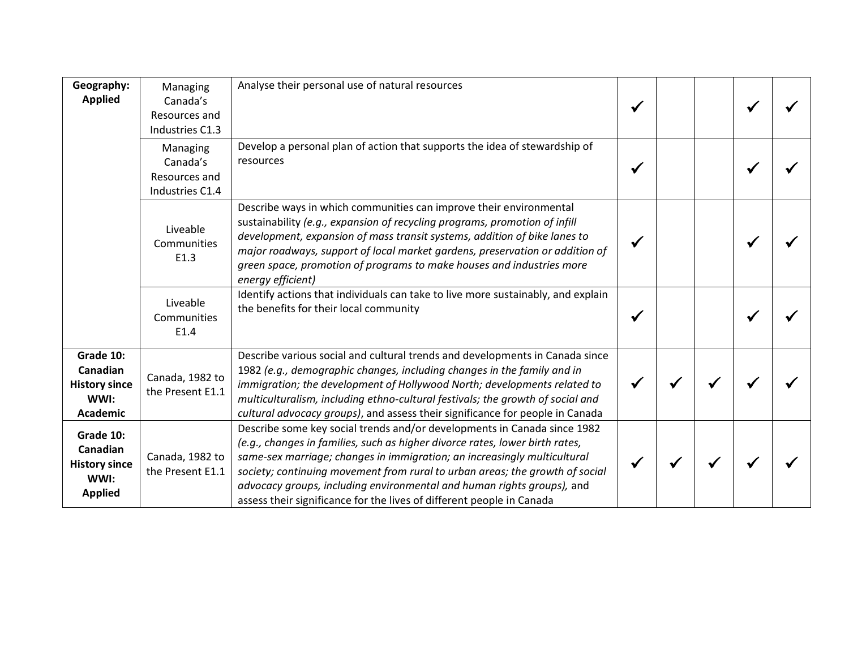| Geography:<br><b>Applied</b>                                            | Managing<br>Canada's<br>Resources and<br>Industries C1.3 | Analyse their personal use of natural resources                                                                                                                                                                                                                                                                                                                                                                                                                         |   |  |  |
|-------------------------------------------------------------------------|----------------------------------------------------------|-------------------------------------------------------------------------------------------------------------------------------------------------------------------------------------------------------------------------------------------------------------------------------------------------------------------------------------------------------------------------------------------------------------------------------------------------------------------------|---|--|--|
|                                                                         | Managing<br>Canada's<br>Resources and<br>Industries C1.4 | Develop a personal plan of action that supports the idea of stewardship of<br>resources                                                                                                                                                                                                                                                                                                                                                                                 | ✔ |  |  |
|                                                                         | Liveable<br>Communities<br>E1.3                          | Describe ways in which communities can improve their environmental<br>sustainability (e.g., expansion of recycling programs, promotion of infill<br>development, expansion of mass transit systems, addition of bike lanes to<br>major roadways, support of local market gardens, preservation or addition of<br>green space, promotion of programs to make houses and industries more<br>energy efficient)                                                             |   |  |  |
|                                                                         | Liveable<br>Communities<br>E1.4                          | Identify actions that individuals can take to live more sustainably, and explain<br>the benefits for their local community                                                                                                                                                                                                                                                                                                                                              |   |  |  |
| Grade 10:<br>Canadian<br><b>History since</b><br>WWI:<br>Academic       | Canada, 1982 to<br>the Present E1.1                      | Describe various social and cultural trends and developments in Canada since<br>1982 (e.g., demographic changes, including changes in the family and in<br>immigration; the development of Hollywood North; developments related to<br>multiculturalism, including ethno-cultural festivals; the growth of social and<br>cultural advocacy groups), and assess their significance for people in Canada                                                                  |   |  |  |
| Grade 10:<br>Canadian<br><b>History since</b><br>WWI:<br><b>Applied</b> | Canada, 1982 to<br>the Present E1.1                      | Describe some key social trends and/or developments in Canada since 1982<br>(e.g., changes in families, such as higher divorce rates, lower birth rates,<br>same-sex marriage; changes in immigration; an increasingly multicultural<br>society; continuing movement from rural to urban areas; the growth of social<br>advocacy groups, including environmental and human rights groups), and<br>assess their significance for the lives of different people in Canada |   |  |  |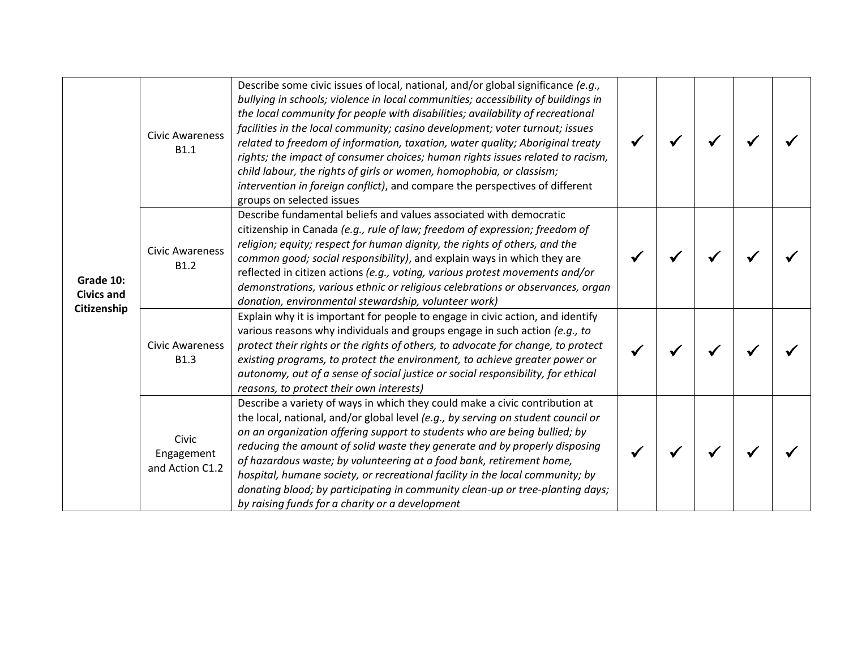| Grade 10:<br><b>Civics and</b><br>Citizenship | <b>Civic Awareness</b><br><b>B1.1</b>  | Describe some civic issues of local, national, and/or global significance (e.g.,<br>bullying in schools; violence in local communities; accessibility of buildings in<br>the local community for people with disabilities; availability of recreational<br>facilities in the local community; casino development; voter turnout; issues<br>related to freedom of information, taxation, water quality; Aboriginal treaty<br>rights; the impact of consumer choices; human rights issues related to racism,<br>child labour, the rights of girls or women, homophobia, or classism;<br>intervention in foreign conflict), and compare the perspectives of different<br>groups on selected issues |  |  |  |
|-----------------------------------------------|----------------------------------------|-------------------------------------------------------------------------------------------------------------------------------------------------------------------------------------------------------------------------------------------------------------------------------------------------------------------------------------------------------------------------------------------------------------------------------------------------------------------------------------------------------------------------------------------------------------------------------------------------------------------------------------------------------------------------------------------------|--|--|--|
|                                               | <b>Civic Awareness</b><br><b>B1.2</b>  | Describe fundamental beliefs and values associated with democratic<br>citizenship in Canada (e.g., rule of law; freedom of expression; freedom of<br>religion; equity; respect for human dignity, the rights of others, and the<br>common good; social responsibility), and explain ways in which they are<br>reflected in citizen actions (e.g., voting, various protest movements and/or<br>demonstrations, various ethnic or religious celebrations or observances, organ<br>donation, environmental stewardship, volunteer work)                                                                                                                                                            |  |  |  |
|                                               | <b>Civic Awareness</b><br><b>B1.3</b>  | Explain why it is important for people to engage in civic action, and identify<br>various reasons why individuals and groups engage in such action (e.g., to<br>protect their rights or the rights of others, to advocate for change, to protect<br>existing programs, to protect the environment, to achieve greater power or<br>autonomy, out of a sense of social justice or social responsibility, for ethical<br>reasons, to protect their own interests)                                                                                                                                                                                                                                  |  |  |  |
|                                               | Civic<br>Engagement<br>and Action C1.2 | Describe a variety of ways in which they could make a civic contribution at<br>the local, national, and/or global level (e.g., by serving on student council or<br>on an organization offering support to students who are being bullied; by<br>reducing the amount of solid waste they generate and by properly disposing<br>of hazardous waste; by volunteering at a food bank, retirement home,<br>hospital, humane society, or recreational facility in the local community; by<br>donating blood; by participating in community clean-up or tree-planting days;<br>by raising funds for a charity or a development                                                                         |  |  |  |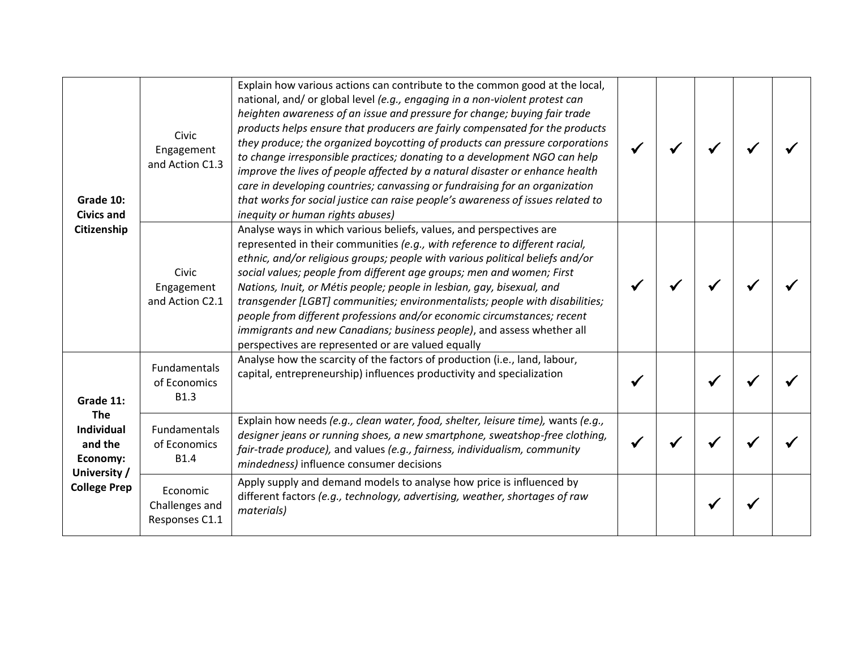| Grade 10:<br><b>Civics and</b><br>Citizenship<br>Grade 11:<br><b>The</b><br><b>Individual</b><br>and the<br>Economy:<br>University /<br><b>College Prep</b> | Civic<br>Engagement<br>and Action C1.3             | Explain how various actions can contribute to the common good at the local,<br>national, and/ or global level (e.g., engaging in a non-violent protest can<br>heighten awareness of an issue and pressure for change; buying fair trade<br>products helps ensure that producers are fairly compensated for the products<br>they produce; the organized boycotting of products can pressure corporations<br>to change irresponsible practices; donating to a development NGO can help<br>improve the lives of people affected by a natural disaster or enhance health<br>care in developing countries; canvassing or fundraising for an organization<br>that works for social justice can raise people's awareness of issues related to<br>inequity or human rights abuses) |  |  |  |
|-------------------------------------------------------------------------------------------------------------------------------------------------------------|----------------------------------------------------|----------------------------------------------------------------------------------------------------------------------------------------------------------------------------------------------------------------------------------------------------------------------------------------------------------------------------------------------------------------------------------------------------------------------------------------------------------------------------------------------------------------------------------------------------------------------------------------------------------------------------------------------------------------------------------------------------------------------------------------------------------------------------|--|--|--|
|                                                                                                                                                             | Civic<br>Engagement<br>and Action C2.1             | Analyse ways in which various beliefs, values, and perspectives are<br>represented in their communities (e.g., with reference to different racial,<br>ethnic, and/or religious groups; people with various political beliefs and/or<br>social values; people from different age groups; men and women; First<br>Nations, Inuit, or Métis people; people in lesbian, gay, bisexual, and<br>transgender [LGBT] communities; environmentalists; people with disabilities;<br>people from different professions and/or economic circumstances; recent<br>immigrants and new Canadians; business people), and assess whether all<br>perspectives are represented or are valued equally                                                                                          |  |  |  |
|                                                                                                                                                             | Fundamentals<br>of Economics<br><b>B1.3</b>        | Analyse how the scarcity of the factors of production (i.e., land, labour,<br>capital, entrepreneurship) influences productivity and specialization                                                                                                                                                                                                                                                                                                                                                                                                                                                                                                                                                                                                                        |  |  |  |
|                                                                                                                                                             | <b>Fundamentals</b><br>of Economics<br><b>B1.4</b> | Explain how needs (e.g., clean water, food, shelter, leisure time), wants (e.g.,<br>designer jeans or running shoes, a new smartphone, sweatshop-free clothing,<br>fair-trade produce), and values (e.g., fairness, individualism, community<br>mindedness) influence consumer decisions                                                                                                                                                                                                                                                                                                                                                                                                                                                                                   |  |  |  |
|                                                                                                                                                             | Economic<br>Challenges and<br>Responses C1.1       | Apply supply and demand models to analyse how price is influenced by<br>different factors (e.g., technology, advertising, weather, shortages of raw<br>materials)                                                                                                                                                                                                                                                                                                                                                                                                                                                                                                                                                                                                          |  |  |  |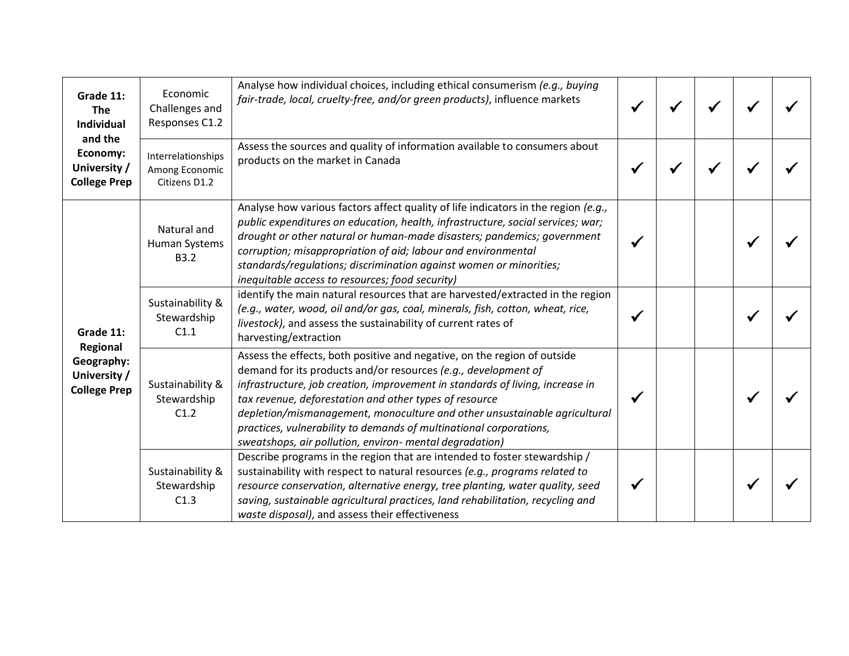| Grade 11:<br><b>The</b><br><b>Individual</b><br>and the<br>Economy:<br>University /<br><b>College Prep</b> | Economic<br>Challenges and<br>Responses C1.2          | Analyse how individual choices, including ethical consumerism (e.g., buying<br>fair-trade, local, cruelty-free, and/or green products), influence markets                                                                                                                                                                                                                                                                                                                                           |  |  |  |
|------------------------------------------------------------------------------------------------------------|-------------------------------------------------------|-----------------------------------------------------------------------------------------------------------------------------------------------------------------------------------------------------------------------------------------------------------------------------------------------------------------------------------------------------------------------------------------------------------------------------------------------------------------------------------------------------|--|--|--|
|                                                                                                            | Interrelationships<br>Among Economic<br>Citizens D1.2 | Assess the sources and quality of information available to consumers about<br>products on the market in Canada                                                                                                                                                                                                                                                                                                                                                                                      |  |  |  |
| Grade 11:<br>Regional<br>Geography:<br>University /<br><b>College Prep</b>                                 | Natural and<br>Human Systems<br><b>B3.2</b>           | Analyse how various factors affect quality of life indicators in the region (e.g.,<br>public expenditures on education, health, infrastructure, social services; war;<br>drought or other natural or human-made disasters; pandemics; government<br>corruption; misappropriation of aid; labour and environmental<br>standards/regulations; discrimination against women or minorities;<br>inequitable access to resources; food security)                                                          |  |  |  |
|                                                                                                            | Sustainability &<br>Stewardship<br>C1.1               | identify the main natural resources that are harvested/extracted in the region<br>(e.g., water, wood, oil and/or gas, coal, minerals, fish, cotton, wheat, rice,<br>livestock), and assess the sustainability of current rates of<br>harvesting/extraction                                                                                                                                                                                                                                          |  |  |  |
|                                                                                                            | Sustainability &<br>Stewardship<br>C1.2               | Assess the effects, both positive and negative, on the region of outside<br>demand for its products and/or resources (e.g., development of<br>infrastructure, job creation, improvement in standards of living, increase in<br>tax revenue, deforestation and other types of resource<br>depletion/mismanagement, monoculture and other unsustainable agricultural<br>practices, vulnerability to demands of multinational corporations,<br>sweatshops, air pollution, environ- mental degradation) |  |  |  |
|                                                                                                            | Sustainability &<br>Stewardship<br>C1.3               | Describe programs in the region that are intended to foster stewardship /<br>sustainability with respect to natural resources (e.g., programs related to<br>resource conservation, alternative energy, tree planting, water quality, seed<br>saving, sustainable agricultural practices, land rehabilitation, recycling and<br>waste disposal), and assess their effectiveness                                                                                                                      |  |  |  |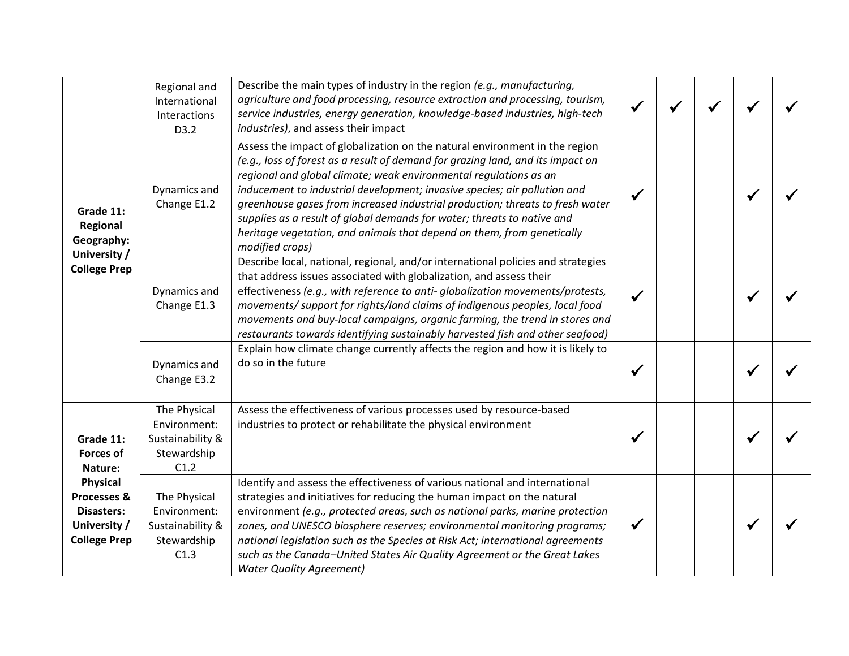| Grade 11:<br>Regional<br>Geography:<br>University /<br><b>College Prep</b>   | Regional and<br>International<br>Interactions<br>D3.2                   | Describe the main types of industry in the region (e.g., manufacturing,<br>agriculture and food processing, resource extraction and processing, tourism,<br>service industries, energy generation, knowledge-based industries, high-tech<br>industries), and assess their impact                                                                                                                                                                                                                                                                                          |  |  |  |
|------------------------------------------------------------------------------|-------------------------------------------------------------------------|---------------------------------------------------------------------------------------------------------------------------------------------------------------------------------------------------------------------------------------------------------------------------------------------------------------------------------------------------------------------------------------------------------------------------------------------------------------------------------------------------------------------------------------------------------------------------|--|--|--|
|                                                                              | Dynamics and<br>Change E1.2                                             | Assess the impact of globalization on the natural environment in the region<br>(e.g., loss of forest as a result of demand for grazing land, and its impact on<br>regional and global climate; weak environmental regulations as an<br>inducement to industrial development; invasive species; air pollution and<br>greenhouse gases from increased industrial production; threats to fresh water<br>supplies as a result of global demands for water; threats to native and<br>heritage vegetation, and animals that depend on them, from genetically<br>modified crops) |  |  |  |
|                                                                              | Dynamics and<br>Change E1.3                                             | Describe local, national, regional, and/or international policies and strategies<br>that address issues associated with globalization, and assess their<br>effectiveness (e.g., with reference to anti-globalization movements/protests,<br>movements/ support for rights/land claims of indigenous peoples, local food<br>movements and buy-local campaigns, organic farming, the trend in stores and<br>restaurants towards identifying sustainably harvested fish and other seafood)                                                                                   |  |  |  |
|                                                                              | Dynamics and<br>Change E3.2                                             | Explain how climate change currently affects the region and how it is likely to<br>do so in the future                                                                                                                                                                                                                                                                                                                                                                                                                                                                    |  |  |  |
| Grade 11:<br><b>Forces of</b><br>Nature:                                     | The Physical<br>Environment:<br>Sustainability &<br>Stewardship<br>C1.2 | Assess the effectiveness of various processes used by resource-based<br>industries to protect or rehabilitate the physical environment                                                                                                                                                                                                                                                                                                                                                                                                                                    |  |  |  |
| Physical<br>Processes &<br>Disasters:<br>University /<br><b>College Prep</b> | The Physical<br>Environment:<br>Sustainability &<br>Stewardship<br>C1.3 | Identify and assess the effectiveness of various national and international<br>strategies and initiatives for reducing the human impact on the natural<br>environment (e.g., protected areas, such as national parks, marine protection<br>zones, and UNESCO biosphere reserves; environmental monitoring programs;<br>national legislation such as the Species at Risk Act; international agreements<br>such as the Canada-United States Air Quality Agreement or the Great Lakes<br><b>Water Quality Agreement)</b>                                                     |  |  |  |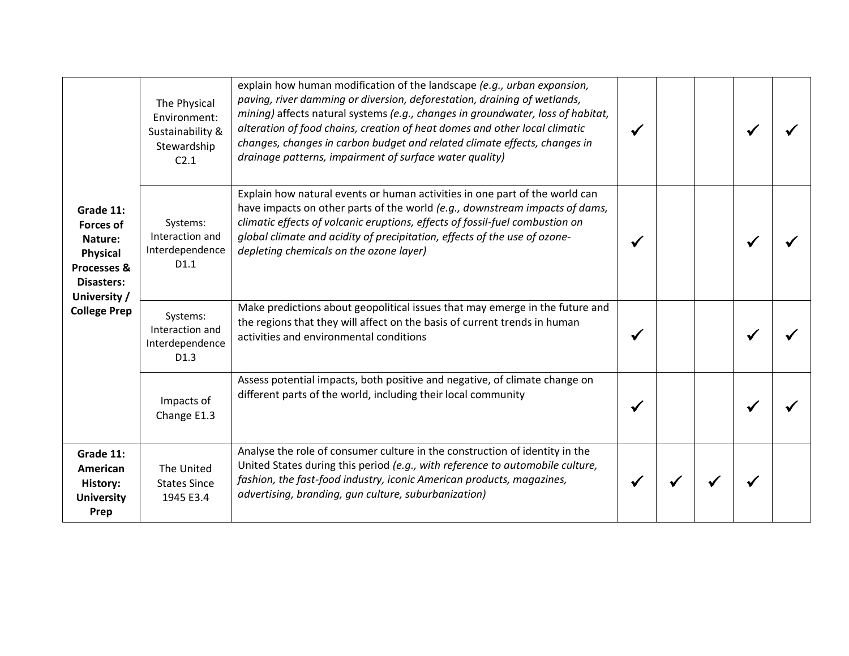| Grade 11:<br><b>Forces of</b><br>Nature:<br>Physical<br>Processes &<br>Disasters:<br>University /<br><b>College Prep</b> | The Physical<br>Environment:<br>Sustainability &<br>Stewardship<br>C <sub>2.1</sub> | explain how human modification of the landscape (e.g., urban expansion,<br>paving, river damming or diversion, deforestation, draining of wetlands,<br>mining) affects natural systems (e.g., changes in groundwater, loss of habitat,<br>alteration of food chains, creation of heat domes and other local climatic<br>changes, changes in carbon budget and related climate effects, changes in<br>drainage patterns, impairment of surface water quality) |  |  |  |
|--------------------------------------------------------------------------------------------------------------------------|-------------------------------------------------------------------------------------|--------------------------------------------------------------------------------------------------------------------------------------------------------------------------------------------------------------------------------------------------------------------------------------------------------------------------------------------------------------------------------------------------------------------------------------------------------------|--|--|--|
|                                                                                                                          | Systems:<br>Interaction and<br>Interdependence<br>D1.1                              | Explain how natural events or human activities in one part of the world can<br>have impacts on other parts of the world (e.g., downstream impacts of dams,<br>climatic effects of volcanic eruptions, effects of fossil-fuel combustion on<br>global climate and acidity of precipitation, effects of the use of ozone-<br>depleting chemicals on the ozone layer)                                                                                           |  |  |  |
|                                                                                                                          | Systems:<br>Interaction and<br>Interdependence<br>D1.3                              | Make predictions about geopolitical issues that may emerge in the future and<br>the regions that they will affect on the basis of current trends in human<br>activities and environmental conditions                                                                                                                                                                                                                                                         |  |  |  |
|                                                                                                                          | Impacts of<br>Change E1.3                                                           | Assess potential impacts, both positive and negative, of climate change on<br>different parts of the world, including their local community                                                                                                                                                                                                                                                                                                                  |  |  |  |
| Grade 11:<br>American<br>History:<br><b>University</b><br>Prep                                                           | The United<br><b>States Since</b><br>1945 E3.4                                      | Analyse the role of consumer culture in the construction of identity in the<br>United States during this period (e.g., with reference to automobile culture,<br>fashion, the fast-food industry, iconic American products, magazines,<br>advertising, branding, gun culture, suburbanization)                                                                                                                                                                |  |  |  |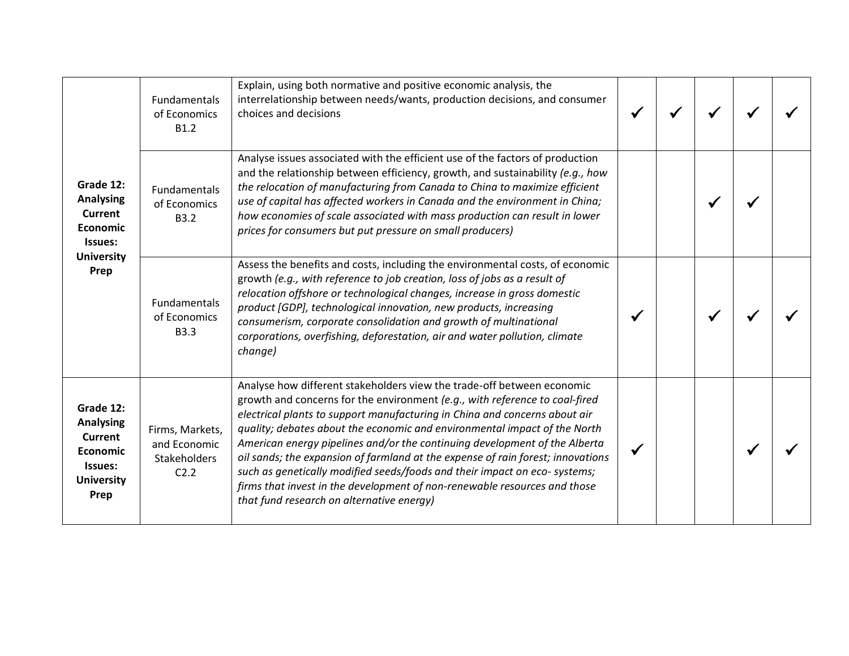| Grade 12:<br><b>Analysing</b><br>Current<br><b>Economic</b><br>Issues:<br><b>University</b><br>Prep        | <b>Fundamentals</b><br>of Economics<br>B1.2             | Explain, using both normative and positive economic analysis, the<br>interrelationship between needs/wants, production decisions, and consumer<br>choices and decisions                                                                                                                                                                                                                                                                                                                                                                                                                                                                                                                  |  |  |  |
|------------------------------------------------------------------------------------------------------------|---------------------------------------------------------|------------------------------------------------------------------------------------------------------------------------------------------------------------------------------------------------------------------------------------------------------------------------------------------------------------------------------------------------------------------------------------------------------------------------------------------------------------------------------------------------------------------------------------------------------------------------------------------------------------------------------------------------------------------------------------------|--|--|--|
|                                                                                                            | Fundamentals<br>of Economics<br><b>B3.2</b>             | Analyse issues associated with the efficient use of the factors of production<br>and the relationship between efficiency, growth, and sustainability (e.g., how<br>the relocation of manufacturing from Canada to China to maximize efficient<br>use of capital has affected workers in Canada and the environment in China;<br>how economies of scale associated with mass production can result in lower<br>prices for consumers but put pressure on small producers)                                                                                                                                                                                                                  |  |  |  |
|                                                                                                            | Fundamentals<br>of Economics<br><b>B3.3</b>             | Assess the benefits and costs, including the environmental costs, of economic<br>growth (e.g., with reference to job creation, loss of jobs as a result of<br>relocation offshore or technological changes, increase in gross domestic<br>product [GDP], technological innovation, new products, increasing<br>consumerism, corporate consolidation and growth of multinational<br>corporations, overfishing, deforestation, air and water pollution, climate<br>change)                                                                                                                                                                                                                 |  |  |  |
| Grade 12:<br><b>Analysing</b><br><b>Current</b><br><b>Economic</b><br>Issues:<br><b>University</b><br>Prep | Firms, Markets,<br>and Economic<br>Stakeholders<br>C2.2 | Analyse how different stakeholders view the trade-off between economic<br>growth and concerns for the environment (e.g., with reference to coal-fired<br>electrical plants to support manufacturing in China and concerns about air<br>quality; debates about the economic and environmental impact of the North<br>American energy pipelines and/or the continuing development of the Alberta<br>oil sands; the expansion of farmland at the expense of rain forest; innovations<br>such as genetically modified seeds/foods and their impact on eco-systems;<br>firms that invest in the development of non-renewable resources and those<br>that fund research on alternative energy) |  |  |  |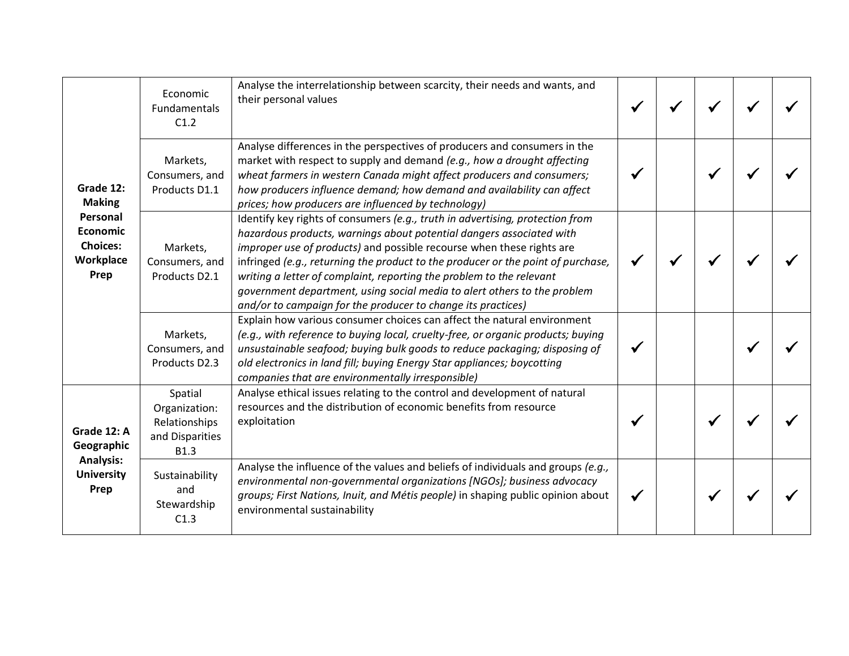| Grade 12:<br><b>Making</b><br>Personal<br><b>Economic</b><br><b>Choices:</b><br>Workplace<br>Prep<br>Grade 12: A<br>Geographic<br><b>Analysis:</b><br><b>University</b><br>Prep | Economic<br>Fundamentals<br>C1.2                                            | Analyse the interrelationship between scarcity, their needs and wants, and<br>their personal values                                                                                                                                                                                                                                                                                                                                                                                                                                    |  |  |  |
|---------------------------------------------------------------------------------------------------------------------------------------------------------------------------------|-----------------------------------------------------------------------------|----------------------------------------------------------------------------------------------------------------------------------------------------------------------------------------------------------------------------------------------------------------------------------------------------------------------------------------------------------------------------------------------------------------------------------------------------------------------------------------------------------------------------------------|--|--|--|
|                                                                                                                                                                                 | Markets,<br>Consumers, and<br>Products D1.1                                 | Analyse differences in the perspectives of producers and consumers in the<br>market with respect to supply and demand (e.g., how a drought affecting<br>wheat farmers in western Canada might affect producers and consumers;<br>how producers influence demand; how demand and availability can affect<br>prices; how producers are influenced by technology)                                                                                                                                                                         |  |  |  |
|                                                                                                                                                                                 | Markets,<br>Consumers, and<br>Products D2.1                                 | Identify key rights of consumers (e.g., truth in advertising, protection from<br>hazardous products, warnings about potential dangers associated with<br>improper use of products) and possible recourse when these rights are<br>infringed (e.g., returning the product to the producer or the point of purchase,<br>writing a letter of complaint, reporting the problem to the relevant<br>government department, using social media to alert others to the problem<br>and/or to campaign for the producer to change its practices) |  |  |  |
|                                                                                                                                                                                 | Markets,<br>Consumers, and<br>Products D2.3                                 | Explain how various consumer choices can affect the natural environment<br>(e.g., with reference to buying local, cruelty-free, or organic products; buying<br>unsustainable seafood; buying bulk goods to reduce packaging; disposing of<br>old electronics in land fill; buying Energy Star appliances; boycotting<br>companies that are environmentally irresponsible)                                                                                                                                                              |  |  |  |
|                                                                                                                                                                                 | Spatial<br>Organization:<br>Relationships<br>and Disparities<br><b>B1.3</b> | Analyse ethical issues relating to the control and development of natural<br>resources and the distribution of economic benefits from resource<br>exploitation                                                                                                                                                                                                                                                                                                                                                                         |  |  |  |
|                                                                                                                                                                                 | Sustainability<br>and<br>Stewardship<br>C1.3                                | Analyse the influence of the values and beliefs of individuals and groups (e.g.,<br>environmental non-governmental organizations [NGOs]; business advocacy<br>groups; First Nations, Inuit, and Métis people) in shaping public opinion about<br>environmental sustainability                                                                                                                                                                                                                                                          |  |  |  |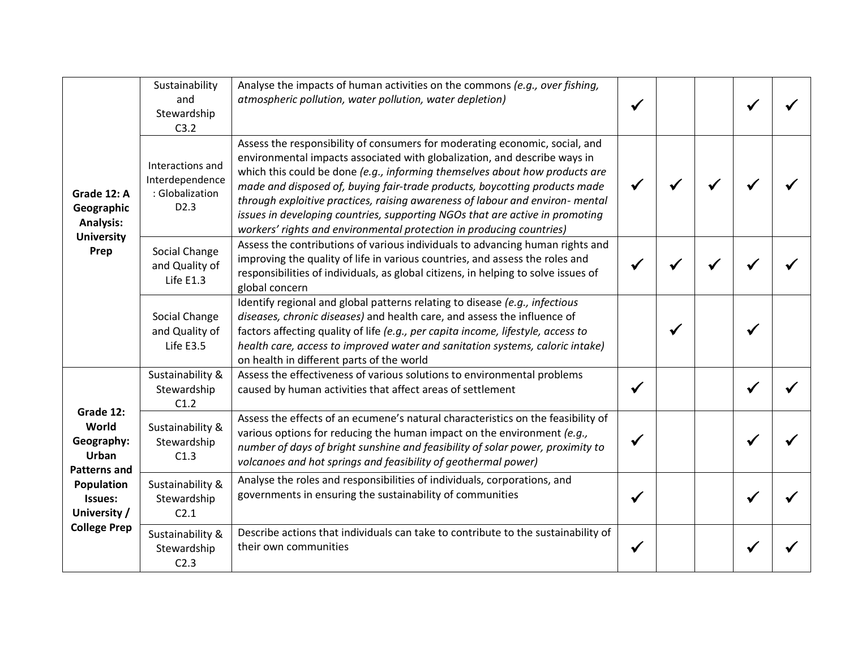| Grade 12: A<br>Geographic<br><b>Analysis:</b><br><b>University</b><br>Prep                                                | Sustainability<br>and<br>Stewardship<br>C3.2                               | Analyse the impacts of human activities on the commons (e.g., over fishing,<br>atmospheric pollution, water pollution, water depletion)                                                                                                                                                                                                                                                                                                                                                                                                                        |  |  |  |
|---------------------------------------------------------------------------------------------------------------------------|----------------------------------------------------------------------------|----------------------------------------------------------------------------------------------------------------------------------------------------------------------------------------------------------------------------------------------------------------------------------------------------------------------------------------------------------------------------------------------------------------------------------------------------------------------------------------------------------------------------------------------------------------|--|--|--|
|                                                                                                                           | Interactions and<br>Interdependence<br>: Globalization<br>D <sub>2.3</sub> | Assess the responsibility of consumers for moderating economic, social, and<br>environmental impacts associated with globalization, and describe ways in<br>which this could be done (e.g., informing themselves about how products are<br>made and disposed of, buying fair-trade products, boycotting products made<br>through exploitive practices, raising awareness of labour and environ- mental<br>issues in developing countries, supporting NGOs that are active in promoting<br>workers' rights and environmental protection in producing countries) |  |  |  |
|                                                                                                                           | Social Change<br>and Quality of<br>Life E1.3                               | Assess the contributions of various individuals to advancing human rights and<br>improving the quality of life in various countries, and assess the roles and<br>responsibilities of individuals, as global citizens, in helping to solve issues of<br>global concern                                                                                                                                                                                                                                                                                          |  |  |  |
|                                                                                                                           | Social Change<br>and Quality of<br>Life E3.5                               | Identify regional and global patterns relating to disease (e.g., infectious<br>diseases, chronic diseases) and health care, and assess the influence of<br>factors affecting quality of life (e.g., per capita income, lifestyle, access to<br>health care, access to improved water and sanitation systems, caloric intake)<br>on health in different parts of the world                                                                                                                                                                                      |  |  |  |
|                                                                                                                           | Sustainability &<br>Stewardship<br>C1.2                                    | Assess the effectiveness of various solutions to environmental problems<br>caused by human activities that affect areas of settlement                                                                                                                                                                                                                                                                                                                                                                                                                          |  |  |  |
| Grade 12:<br>World<br>Geography:<br>Urban<br>Patterns and<br>Population<br>Issues:<br>University /<br><b>College Prep</b> | Sustainability &<br>Stewardship<br>C1.3                                    | Assess the effects of an ecumene's natural characteristics on the feasibility of<br>various options for reducing the human impact on the environment (e.g.,<br>number of days of bright sunshine and feasibility of solar power, proximity to<br>volcanoes and hot springs and feasibility of geothermal power)                                                                                                                                                                                                                                                |  |  |  |
|                                                                                                                           | Sustainability &<br>Stewardship<br>C <sub>2.1</sub>                        | Analyse the roles and responsibilities of individuals, corporations, and<br>governments in ensuring the sustainability of communities                                                                                                                                                                                                                                                                                                                                                                                                                          |  |  |  |
|                                                                                                                           | Sustainability &<br>Stewardship<br>C2.3                                    | Describe actions that individuals can take to contribute to the sustainability of<br>their own communities                                                                                                                                                                                                                                                                                                                                                                                                                                                     |  |  |  |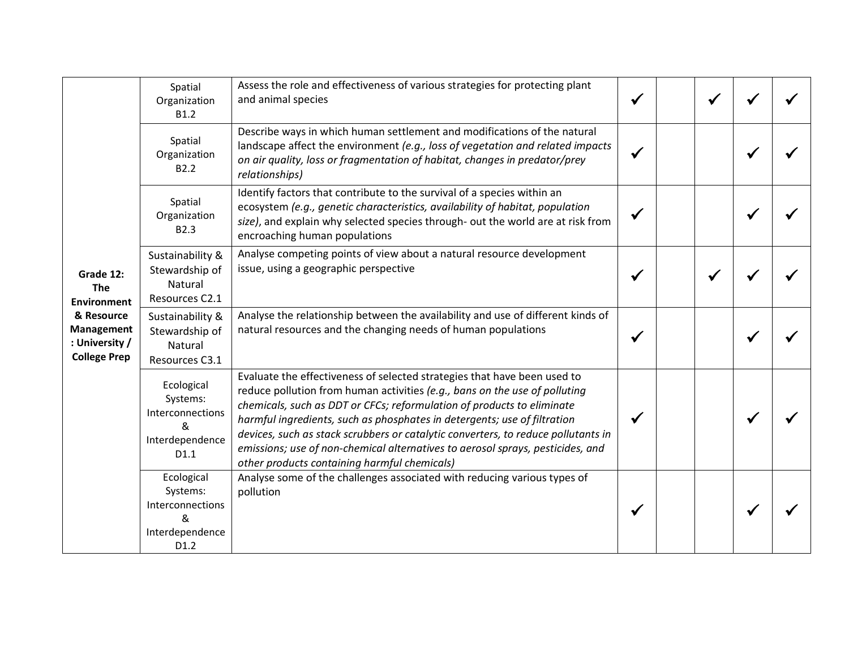|                                                                                                                    | Spatial<br>Organization<br><b>B1.2</b>                                     | Assess the role and effectiveness of various strategies for protecting plant<br>and animal species                                                                                                                                                                                                                                                                                                                                                                                                                                  |  |  |  |
|--------------------------------------------------------------------------------------------------------------------|----------------------------------------------------------------------------|-------------------------------------------------------------------------------------------------------------------------------------------------------------------------------------------------------------------------------------------------------------------------------------------------------------------------------------------------------------------------------------------------------------------------------------------------------------------------------------------------------------------------------------|--|--|--|
|                                                                                                                    | Spatial<br>Organization<br>B <sub>2.2</sub>                                | Describe ways in which human settlement and modifications of the natural<br>landscape affect the environment (e.g., loss of vegetation and related impacts<br>on air quality, loss or fragmentation of habitat, changes in predator/prey<br>relationships)                                                                                                                                                                                                                                                                          |  |  |  |
|                                                                                                                    | Spatial<br>Organization<br>B <sub>2.3</sub>                                | Identify factors that contribute to the survival of a species within an<br>ecosystem (e.g., genetic characteristics, availability of habitat, population<br>size), and explain why selected species through- out the world are at risk from<br>encroaching human populations                                                                                                                                                                                                                                                        |  |  |  |
| Grade 12:<br><b>The</b><br><b>Environment</b><br>& Resource<br>Management<br>: University /<br><b>College Prep</b> | Sustainability &<br>Stewardship of<br>Natural<br>Resources C2.1            | Analyse competing points of view about a natural resource development<br>issue, using a geographic perspective                                                                                                                                                                                                                                                                                                                                                                                                                      |  |  |  |
|                                                                                                                    | Sustainability &<br>Stewardship of<br><b>Natural</b><br>Resources C3.1     | Analyse the relationship between the availability and use of different kinds of<br>natural resources and the changing needs of human populations                                                                                                                                                                                                                                                                                                                                                                                    |  |  |  |
|                                                                                                                    | Ecological<br>Systems:<br>Interconnections<br>&<br>Interdependence<br>D1.1 | Evaluate the effectiveness of selected strategies that have been used to<br>reduce pollution from human activities (e.g., bans on the use of polluting<br>chemicals, such as DDT or CFCs; reformulation of products to eliminate<br>harmful ingredients, such as phosphates in detergents; use of filtration<br>devices, such as stack scrubbers or catalytic converters, to reduce pollutants in<br>emissions; use of non-chemical alternatives to aerosol sprays, pesticides, and<br>other products containing harmful chemicals) |  |  |  |
|                                                                                                                    | Ecological<br>Systems:<br>Interconnections<br>&<br>Interdependence<br>D1.2 | Analyse some of the challenges associated with reducing various types of<br>pollution                                                                                                                                                                                                                                                                                                                                                                                                                                               |  |  |  |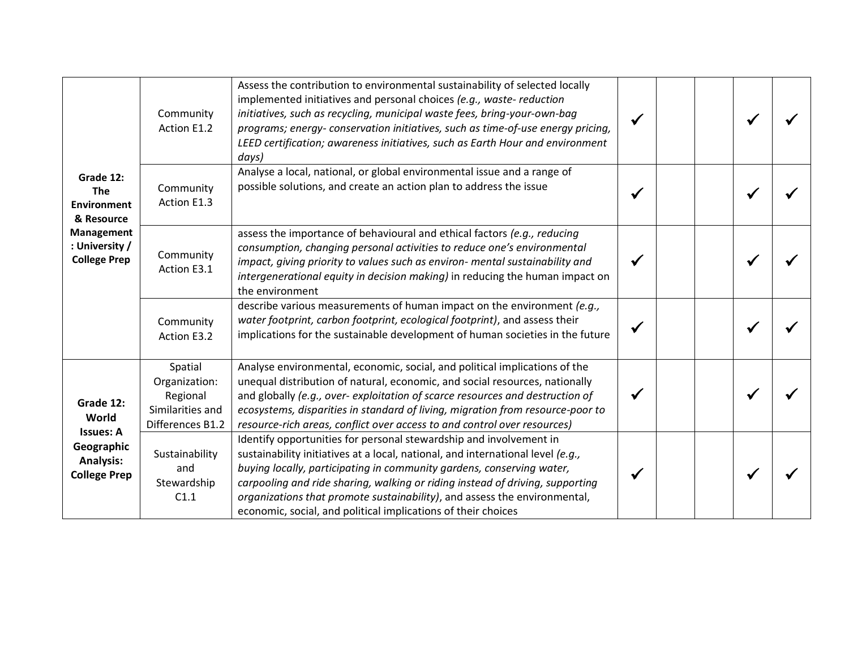|                                                                                                                                                               | Community<br>Action E1.2                                                     | Assess the contribution to environmental sustainability of selected locally<br>implemented initiatives and personal choices (e.g., waste-reduction<br>initiatives, such as recycling, municipal waste fees, bring-your-own-bag<br>programs; energy- conservation initiatives, such as time-of-use energy pricing,<br>LEED certification; awareness initiatives, such as Earth Hour and environment<br>days)                                                   |  |  |  |
|---------------------------------------------------------------------------------------------------------------------------------------------------------------|------------------------------------------------------------------------------|---------------------------------------------------------------------------------------------------------------------------------------------------------------------------------------------------------------------------------------------------------------------------------------------------------------------------------------------------------------------------------------------------------------------------------------------------------------|--|--|--|
| Grade 12:<br><b>The</b><br><b>Environment</b><br>& Resource                                                                                                   | Community<br>Action E1.3                                                     | Analyse a local, national, or global environmental issue and a range of<br>possible solutions, and create an action plan to address the issue                                                                                                                                                                                                                                                                                                                 |  |  |  |
| <b>Management</b><br>: University /<br><b>College Prep</b><br>Grade 12:<br>World<br><b>Issues: A</b><br>Geographic<br><b>Analysis:</b><br><b>College Prep</b> | Community<br>Action E3.1                                                     | assess the importance of behavioural and ethical factors (e.g., reducing<br>consumption, changing personal activities to reduce one's environmental<br>impact, giving priority to values such as environ- mental sustainability and<br>intergenerational equity in decision making) in reducing the human impact on<br>the environment                                                                                                                        |  |  |  |
|                                                                                                                                                               | Community<br>Action E3.2                                                     | describe various measurements of human impact on the environment (e.g.,<br>water footprint, carbon footprint, ecological footprint), and assess their<br>implications for the sustainable development of human societies in the future                                                                                                                                                                                                                        |  |  |  |
|                                                                                                                                                               | Spatial<br>Organization:<br>Regional<br>Similarities and<br>Differences B1.2 | Analyse environmental, economic, social, and political implications of the<br>unequal distribution of natural, economic, and social resources, nationally<br>and globally (e.g., over-exploitation of scarce resources and destruction of<br>ecosystems, disparities in standard of living, migration from resource-poor to<br>resource-rich areas, conflict over access to and control over resources)                                                       |  |  |  |
|                                                                                                                                                               | Sustainability<br>and<br>Stewardship<br>C1.1                                 | Identify opportunities for personal stewardship and involvement in<br>sustainability initiatives at a local, national, and international level (e.g.,<br>buying locally, participating in community gardens, conserving water,<br>carpooling and ride sharing, walking or riding instead of driving, supporting<br>organizations that promote sustainability), and assess the environmental,<br>economic, social, and political implications of their choices |  |  |  |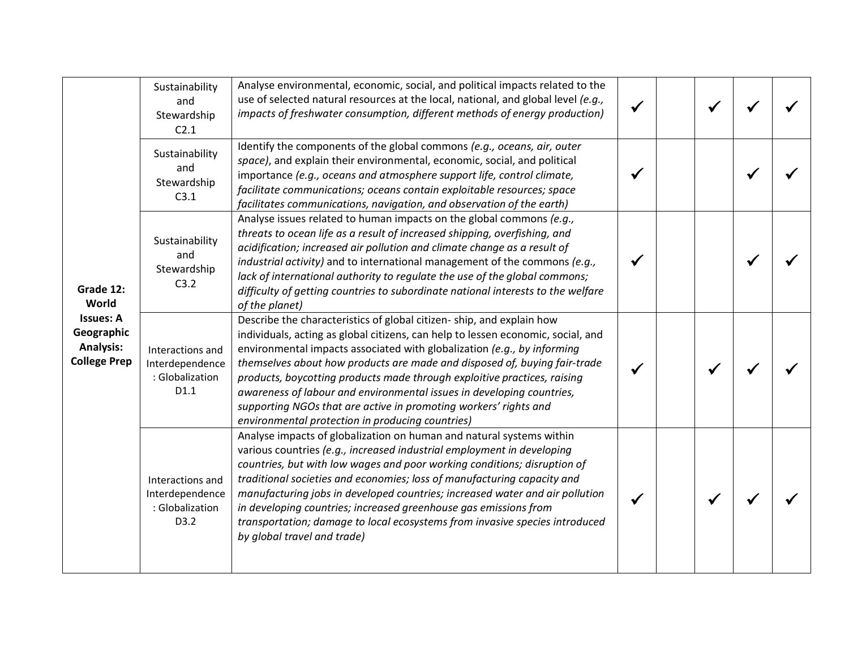| Grade 12:<br>World<br><b>Issues: A</b><br>Geographic<br><b>Analysis:</b><br><b>College Prep</b> | Sustainability<br>and<br>Stewardship<br>C2.1                   | Analyse environmental, economic, social, and political impacts related to the<br>use of selected natural resources at the local, national, and global level (e.g.,<br>impacts of freshwater consumption, different methods of energy production)                                                                                                                                                                                                                                                                                                                                              |  |              |  |
|-------------------------------------------------------------------------------------------------|----------------------------------------------------------------|-----------------------------------------------------------------------------------------------------------------------------------------------------------------------------------------------------------------------------------------------------------------------------------------------------------------------------------------------------------------------------------------------------------------------------------------------------------------------------------------------------------------------------------------------------------------------------------------------|--|--------------|--|
|                                                                                                 | Sustainability<br>and<br>Stewardship<br>C3.1                   | Identify the components of the global commons (e.g., oceans, air, outer<br>space), and explain their environmental, economic, social, and political<br>importance (e.g., oceans and atmosphere support life, control climate,<br>facilitate communications; oceans contain exploitable resources; space<br>facilitates communications, navigation, and observation of the earth)                                                                                                                                                                                                              |  |              |  |
|                                                                                                 | Sustainability<br>and<br>Stewardship<br>C3.2                   | Analyse issues related to human impacts on the global commons (e.g.,<br>threats to ocean life as a result of increased shipping, overfishing, and<br>acidification; increased air pollution and climate change as a result of<br>industrial activity) and to international management of the commons (e.g.,<br>lack of international authority to regulate the use of the global commons;<br>difficulty of getting countries to subordinate national interests to the welfare<br>of the planet)                                                                                               |  |              |  |
|                                                                                                 | Interactions and<br>Interdependence<br>: Globalization<br>D1.1 | Describe the characteristics of global citizen-ship, and explain how<br>individuals, acting as global citizens, can help to lessen economic, social, and<br>environmental impacts associated with globalization (e.g., by informing<br>themselves about how products are made and disposed of, buying fair-trade<br>products, boycotting products made through exploitive practices, raising<br>awareness of labour and environmental issues in developing countries,<br>supporting NGOs that are active in promoting workers' rights and<br>environmental protection in producing countries) |  |              |  |
|                                                                                                 | Interactions and<br>Interdependence<br>: Globalization<br>D3.2 | Analyse impacts of globalization on human and natural systems within<br>various countries (e.g., increased industrial employment in developing<br>countries, but with low wages and poor working conditions; disruption of<br>traditional societies and economies; loss of manufacturing capacity and<br>manufacturing jobs in developed countries; increased water and air pollution<br>in developing countries; increased greenhouse gas emissions from<br>transportation; damage to local ecosystems from invasive species introduced<br>by global travel and trade)                       |  | $\checkmark$ |  |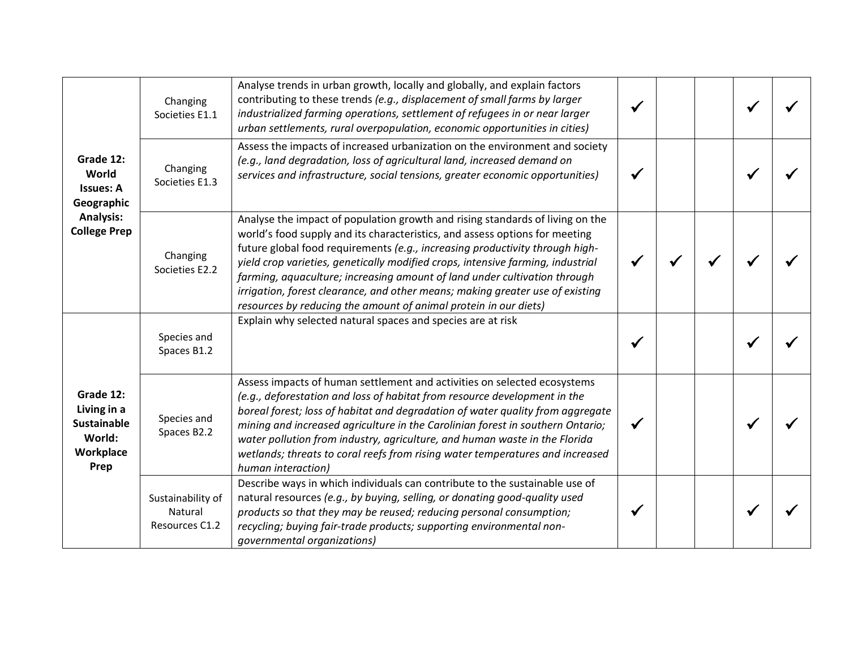| Grade 12:<br>World<br><b>Issues: A</b><br>Geographic<br><b>Analysis:</b><br><b>College Prep</b> | Changing<br>Societies E1.1                     | Analyse trends in urban growth, locally and globally, and explain factors<br>contributing to these trends (e.g., displacement of small farms by larger<br>industrialized farming operations, settlement of refugees in or near larger<br>urban settlements, rural overpopulation, economic opportunities in cities)                                                                                                                                                                                                                                               |  |  |  |
|-------------------------------------------------------------------------------------------------|------------------------------------------------|-------------------------------------------------------------------------------------------------------------------------------------------------------------------------------------------------------------------------------------------------------------------------------------------------------------------------------------------------------------------------------------------------------------------------------------------------------------------------------------------------------------------------------------------------------------------|--|--|--|
|                                                                                                 | Changing<br>Societies E1.3                     | Assess the impacts of increased urbanization on the environment and society<br>(e.g., land degradation, loss of agricultural land, increased demand on<br>services and infrastructure, social tensions, greater economic opportunities)                                                                                                                                                                                                                                                                                                                           |  |  |  |
|                                                                                                 | Changing<br>Societies E2.2                     | Analyse the impact of population growth and rising standards of living on the<br>world's food supply and its characteristics, and assess options for meeting<br>future global food requirements (e.g., increasing productivity through high-<br>yield crop varieties, genetically modified crops, intensive farming, industrial<br>farming, aquaculture; increasing amount of land under cultivation through<br>irrigation, forest clearance, and other means; making greater use of existing<br>resources by reducing the amount of animal protein in our diets) |  |  |  |
|                                                                                                 | Species and<br>Spaces B1.2                     | Explain why selected natural spaces and species are at risk                                                                                                                                                                                                                                                                                                                                                                                                                                                                                                       |  |  |  |
| Grade 12:<br>Living in a<br><b>Sustainable</b><br>World:<br>Workplace<br>Prep                   | Species and<br>Spaces B2.2                     | Assess impacts of human settlement and activities on selected ecosystems<br>(e.g., deforestation and loss of habitat from resource development in the<br>boreal forest; loss of habitat and degradation of water quality from aggregate<br>mining and increased agriculture in the Carolinian forest in southern Ontario;<br>water pollution from industry, agriculture, and human waste in the Florida<br>wetlands; threats to coral reefs from rising water temperatures and increased<br>human interaction)                                                    |  |  |  |
|                                                                                                 | Sustainability of<br>Natural<br>Resources C1.2 | Describe ways in which individuals can contribute to the sustainable use of<br>natural resources (e.g., by buying, selling, or donating good-quality used<br>products so that they may be reused; reducing personal consumption;<br>recycling; buying fair-trade products; supporting environmental non-<br>governmental organizations)                                                                                                                                                                                                                           |  |  |  |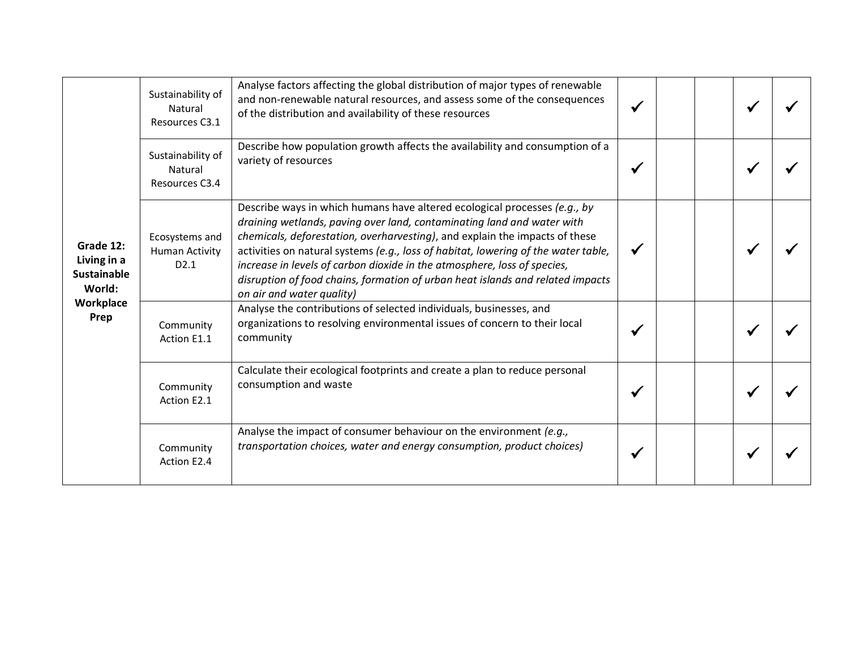| Grade 12:<br>Living in a<br><b>Sustainable</b><br>World:<br>Workplace<br>Prep | Sustainability of<br>Natural<br>Resources C3.1  | Analyse factors affecting the global distribution of major types of renewable<br>and non-renewable natural resources, and assess some of the consequences<br>of the distribution and availability of these resources                                                                                                                                                                                                                                                                                                |  |  |  |
|-------------------------------------------------------------------------------|-------------------------------------------------|---------------------------------------------------------------------------------------------------------------------------------------------------------------------------------------------------------------------------------------------------------------------------------------------------------------------------------------------------------------------------------------------------------------------------------------------------------------------------------------------------------------------|--|--|--|
|                                                                               | Sustainability of<br>Natural<br>Resources C3.4  | Describe how population growth affects the availability and consumption of a<br>variety of resources                                                                                                                                                                                                                                                                                                                                                                                                                |  |  |  |
|                                                                               | Ecosystems and<br><b>Human Activity</b><br>D2.1 | Describe ways in which humans have altered ecological processes (e.g., by<br>draining wetlands, paving over land, contaminating land and water with<br>chemicals, deforestation, overharvesting), and explain the impacts of these<br>activities on natural systems (e.g., loss of habitat, lowering of the water table,<br>increase in levels of carbon dioxide in the atmosphere, loss of species,<br>disruption of food chains, formation of urban heat islands and related impacts<br>on air and water quality) |  |  |  |
|                                                                               | Community<br>Action E1.1                        | Analyse the contributions of selected individuals, businesses, and<br>organizations to resolving environmental issues of concern to their local<br>community                                                                                                                                                                                                                                                                                                                                                        |  |  |  |
|                                                                               | Community<br>Action E2.1                        | Calculate their ecological footprints and create a plan to reduce personal<br>consumption and waste                                                                                                                                                                                                                                                                                                                                                                                                                 |  |  |  |
|                                                                               | Community<br>Action E2.4                        | Analyse the impact of consumer behaviour on the environment (e.g.,<br>transportation choices, water and energy consumption, product choices)                                                                                                                                                                                                                                                                                                                                                                        |  |  |  |